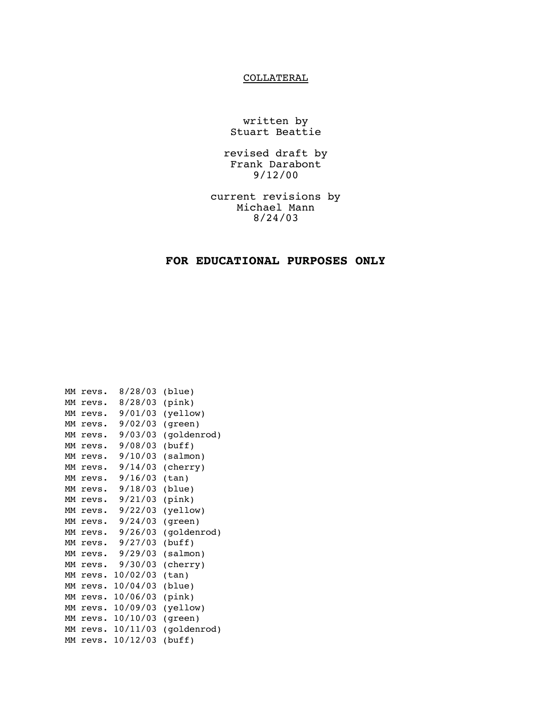## **COLLATERAL**

written by Stuart Beattie

revised draft by Frank Darabont 9/12/00

current revisions by Michael Mann 8/24/03

## **FOR EDUCATIONAL PURPOSES ONLY**

| MМ | revs. | 8/28/03  | (blue)      |
|----|-------|----------|-------------|
| MМ | revs. | 8/28/03  | (pink)      |
| MМ | revs. | 9/01/03  | (yellow)    |
| MМ | revs. | 9/02/03  | (green)     |
| MМ | revs. | 9/03/03  | (goldenrod) |
| MМ | revs. | 9/08/03  | (buff)      |
| MМ | revs. | 9/10/03  | (salmon)    |
| MМ | revs. | 9/14/03  | (cherry)    |
| MМ | revs. | 9/16/03  | (tan)       |
| MМ | revs. | 9/18/03  | (blue)      |
| MМ | revs. | 9/21/03  | (pink)      |
| MМ | revs. | 9/22/03  | (yellow)    |
| MМ | revs. | 9/24/03  | (green)     |
| MМ | revs. | 9/26/03  | (goldenrod) |
| MМ | revs. | 9/27/03  | (buff)      |
| MМ | revs. | 9/29/03  | (salmon)    |
| MМ | revs. | 9/30/03  | (cherry)    |
| MМ | revs. | 10/02/03 | (tan)       |
| MМ | revs. | 10/04/03 | (blue)      |
| MМ | revs. | 10/06/03 | (pink)      |
| MМ | revs. | 10/09/03 | (yellow)    |
| MМ | revs. | 10/10/03 | (green)     |
| MМ | revs. | 10/11/03 | (goldenrod) |
| MМ | revs. | 10/12/03 | (buff)      |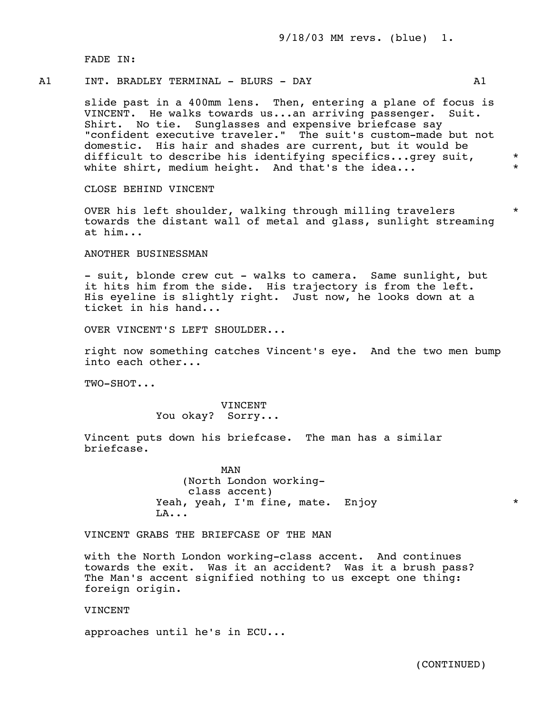9/18/03 MM revs. (blue) 1.

FADE IN:

### A1 TNT, BRADLEY TERMINAL - BLURS - DAY A1

 slide past in a 400mm lens. Then, entering a plane of focus is VINCENT. He walks towards us...an arriving passenger. Suit. Shirt. No tie. Sunglasses and expensive briefcase say "confident executive traveler." The suit's custom-made but not domestic. His hair and shades are current, but it would be difficult to describe his identifying specifics...grey suit, \* white shirt, medium height. And that's the idea...

CLOSE BEHIND VINCENT

OVER his left shoulder, walking through milling travelers \* towards the distant wall of metal and glass, sunlight streaming at him...

ANOTHER BUSINESSMAN

- suit, blonde crew cut - walks to camera. Same sunlight, but it hits him from the side. His trajectory is from the left. His eyeline is slightly right. Just now, he looks down at a ticket in his hand...

OVER VINCENT'S LEFT SHOULDER...

 right now something catches Vincent's eye. And the two men bump into each other...

TWO-SHOT...

 VINCENT You okay? Sorry...

 Vincent puts down his briefcase. The man has a similar briefcase.

 MAN (North London working class accent) Yeah, yeah, I'm fine, mate. Enjoy \*  $LA...$ 

VINCENT GRABS THE BRIEFCASE OF THE MAN

 with the North London working-class accent. And continues towards the exit. Was it an accident? Was it a brush pass? The Man's accent signified nothing to us except one thing: foreign origin.

VINCENT

approaches until he's in ECU...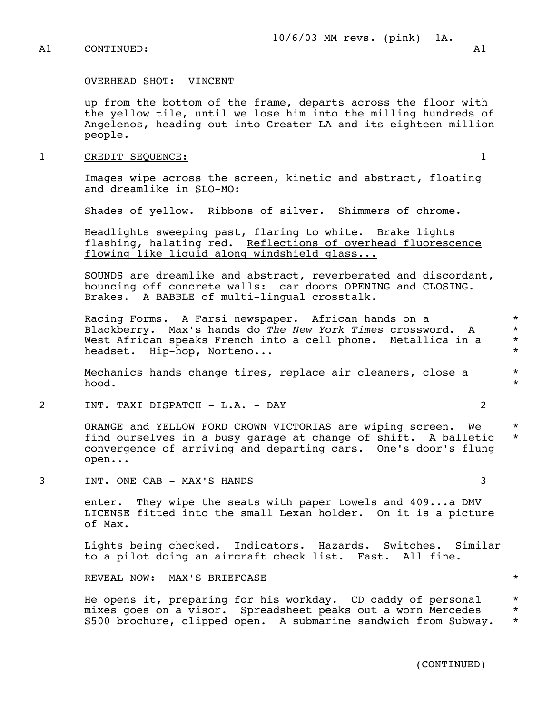OVERHEAD SHOT: VINCENT

 up from the bottom of the frame, departs across the floor with the yellow tile, until we lose him into the milling hundreds of Angelenos, heading out into Greater LA and its eighteen million people.

#### 1 CREDIT SEQUENCE: 1

 Images wipe across the screen, kinetic and abstract, floating and dreamlike in SLO-MO:

Shades of yellow. Ribbons of silver. Shimmers of chrome.

 Headlights sweeping past, flaring to white. Brake lights flashing, halating red. Reflections of overhead fluorescence flowing like liquid along windshield glass...

 SOUNDS are dreamlike and abstract, reverberated and discordant, bouncing off concrete walls: car doors OPENING and CLOSING. Brakes. A BABBLE of multi-lingual crosstalk.

Racing Forms. A Farsi newspaper. African hands on a  $*$  Blackberry. Max's hands do *The New York Times* crossword. A \* West African speaks French into a cell phone. Metallica in a \*<br>headset uin-bon Norteno headset. Hip-hop, Norteno...

 Mechanics hands change tires, replace air cleaners, close a \* hood.  $\qquad \qquad \star$ 

2 INT. TAXI DISPATCH - L.A. - DAY 2

 ORANGE and YELLOW FORD CROWN VICTORIAS are wiping screen. We \* find ourselves in a busy garage at change of shift. A balletic \* convergence of arriving and departing cars. One's door's flung open...

3 INT. ONE CAB - MAX'S HANDS 3

 enter. They wipe the seats with paper towels and 409...a DMV LICENSE fitted into the small Lexan holder. On it is a picture of Max.

 Lights being checked. Indicators. Hazards. Switches. Similar to a pilot doing an aircraft check list. Fast. All fine.

REVEAL NOW: MAX'S BRIEFCASE  $\star$ 

He opens it, preparing for his workday. CD caddy of personal \* mixes goes on a visor. Spreadsheet peaks out a worn Mercedes \* S500 brochure, clipped open. A submarine sandwich from Subway. \*

(CONTINUED)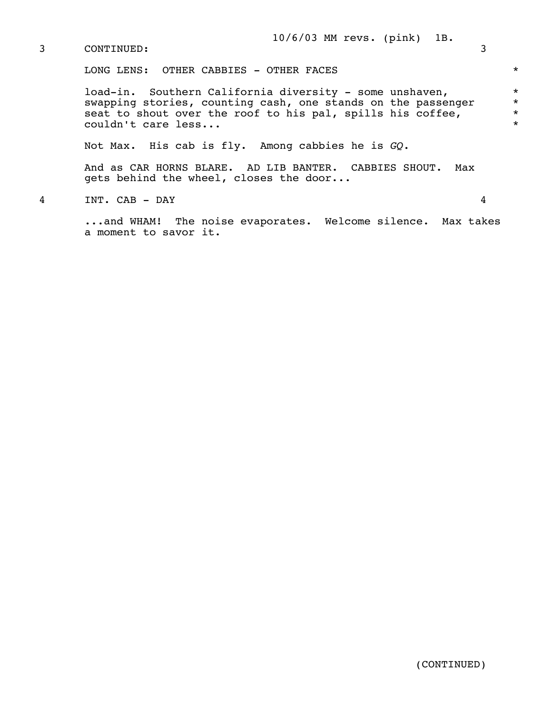LONG LENS: OTHER CABBIES - OTHER FACES  $*$ 

load-in. Southern California diversity - some unshaven, \* swapping stories, counting cash, one stands on the passenger \* seat to shout over the roof to his pal, spills his coffee,  $*$   $*$   $con1dn't$  care less... couldn't care less...

Not Max. His cab is fly. Among cabbies he is *GQ.*

 And as CAR HORNS BLARE. AD LIB BANTER. CABBIES SHOUT. Max gets behind the wheel, closes the door...

4 INT. CAB - DAY 4

 ...and WHAM! The noise evaporates. Welcome silence. Max takes a moment to savor it.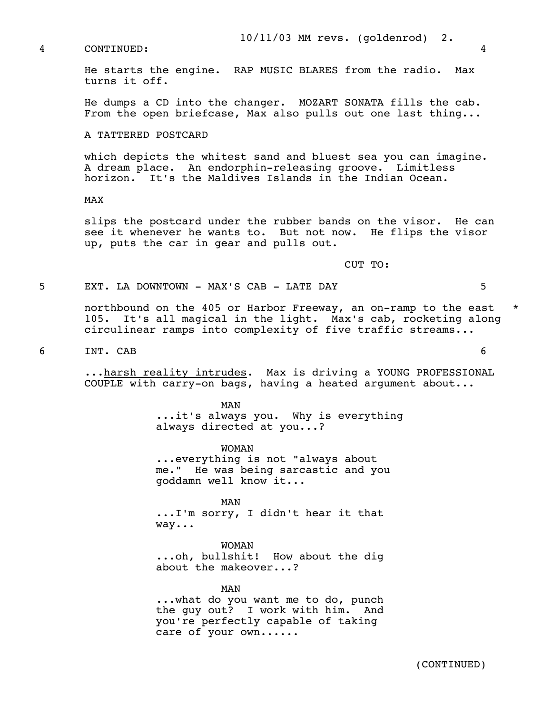He starts the engine. RAP MUSIC BLARES from the radio. Max turns it off.

 He dumps a CD into the changer. MOZART SONATA fills the cab. From the open briefcase, Max also pulls out one last thing...

#### A TATTERED POSTCARD

 which depicts the whitest sand and bluest sea you can imagine. A dream place. An endorphin-releasing groove. Limitless horizon. It's the Maldives Islands in the Indian Ocean.

#### MAX

 slips the postcard under the rubber bands on the visor. He can see it whenever he wants to. But not now. He flips the visor up, puts the car in gear and pulls out.

CUT TO:

#### 5 EXT. LA DOWNTOWN - MAX'S CAB - LATE DAY 5

 northbound on the 405 or Harbor Freeway, an on-ramp to the east \* 105. It's all magical in the light. Max's cab, rocketing along circulinear ramps into complexity of five traffic streams...

6 INT. CAB 6

 ...harsh reality intrudes. Max is driving a YOUNG PROFESSIONAL COUPLE with carry-on bags, having a heated argument about...

MAN MAN ...it's always you. Why is everything always directed at you...?

> WOMAN ...everything is not "always about me." He was being sarcastic and you goddamn well know it...

MAN MAN ...I'm sorry, I didn't hear it that way...

> WOMAN ...oh, bullshit! How about the dig about the makeover...?

MAN MAN ...what do you want me to do, punch the guy out? I work with him. And you're perfectly capable of taking care of your own......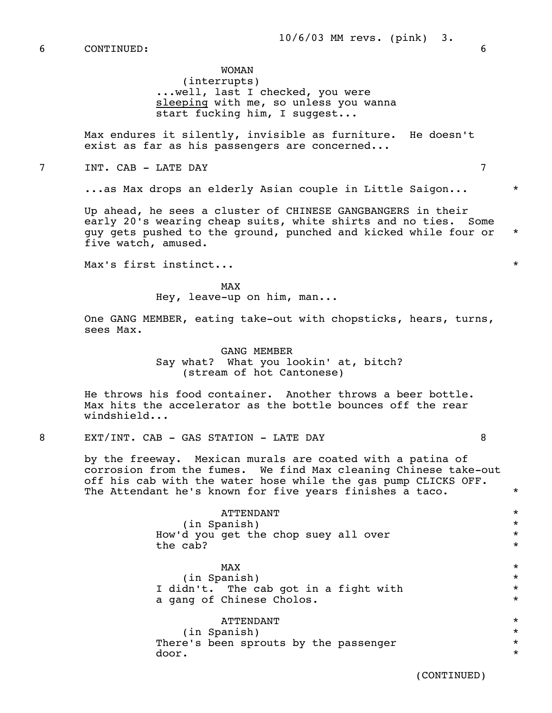WOMAN (interrupts) ...well, last I checked, you were sleeping with me, so unless you wanna start fucking him, I suggest...

 Max endures it silently, invisible as furniture. He doesn't exist as far as his passengers are concerned...

7 INT. CAB - LATE DAY 7

...as Max drops an elderly Asian couple in Little Saigon... \*

 Up ahead, he sees a cluster of CHINESE GANGBANGERS in their early 20's wearing cheap suits, white shirts and no ties. Some guy gets pushed to the ground, punched and kicked while four or \* five watch, amused.

Max's first instinct...  $\star$ 

MAX and the state of the state of the state of the state of the state of the state of the state of the state of the state of the state of the state of the state of the state of the state of the state of the state of the st Hey, leave-up on him, man...

> One GANG MEMBER, eating take-out with chopsticks, hears, turns, sees Max.

> > GANG MEMBER Say what? What you lookin' at, bitch? (stream of hot Cantonese)

 He throws his food container. Another throws a beer bottle. Max hits the accelerator as the bottle bounces off the rear windshield...

8 EXT/INT. CAB - GAS STATION - LATE DAY 8

 by the freeway. Mexican murals are coated with a patina of corrosion from the fumes. We find Max cleaning Chinese take-out off his cab with the water hose while the gas pump CLICKS OFF. The Attendant he's known for five years finishes a taco.  $*$ 

 ATTENDANT \* (in Spanish) \* How'd you get the chop suey all over  $*$ <br>the cab? the cab?  $\star$ 

 $MAX$  \*  $\begin{array}{ccc} \text{(in Spanish)} & & \star \\ \text{dn't} & \text{The cash soft in a fish with} & \star \end{array}$ I didn't. The cab got in a fight with  $\star$ <br>a gang of Chinese Cholos. a gang of Chinese Cholos.

 ATTENDANT \* (in Spanish) \* There's been sprouts by the passenger \*\*\* door.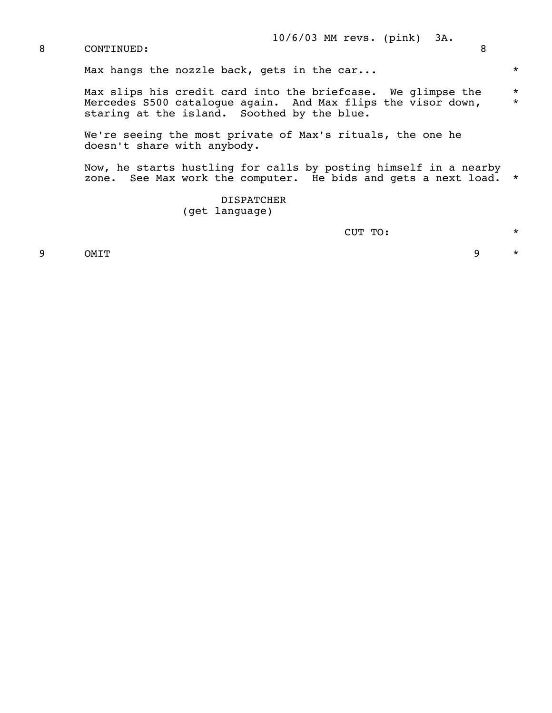Max hangs the nozzle back, gets in the car...  $*$ 

Max slips his credit card into the briefcase. We glimpse the \* Mercedes S500 catalogue again. And Max flips the visor down,  $*$ staring at the island. Soothed by the blue.

> We're seeing the most private of Max's rituals, the one he doesn't share with anybody.

 Now, he starts hustling for calls by posting himself in a nearby zone. See Max work the computer. He bids and gets a next load. \*

> DISPATCHER (get language)

CUT TO: \*

9 OMIT 9  $\star$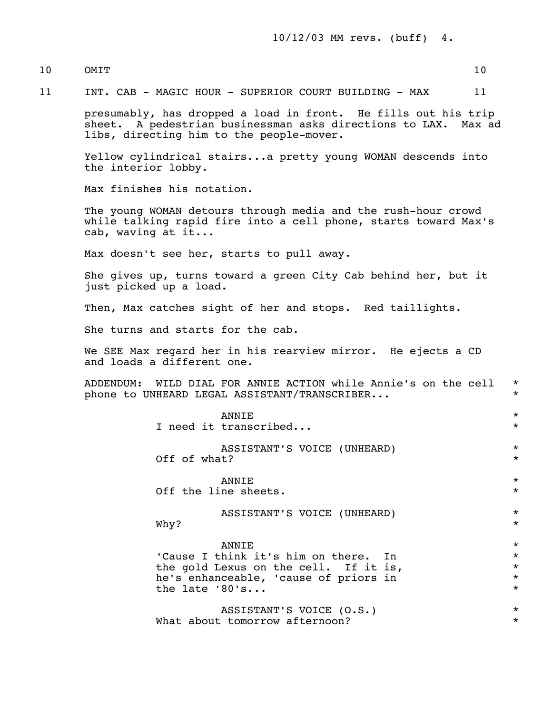## 10 OMIT 10

11 INT. CAB - MAGIC HOUR - SUPERIOR COURT BUILDING - MAX 11

 presumably, has dropped a load in front. He fills out his trip sheet. A pedestrian businessman asks directions to LAX. Max ad libs, directing him to the people-mover.

 Yellow cylindrical stairs...a pretty young WOMAN descends into the interior lobby.

Max finishes his notation.

 The young WOMAN detours through media and the rush-hour crowd while talking rapid fire into a cell phone, starts toward Max's cab, waving at it...

Max doesn't see her, starts to pull away.

 She gives up, turns toward a green City Cab behind her, but it just picked up a load.

Then, Max catches sight of her and stops. Red taillights.

She turns and starts for the cab.

 We SEE Max regard her in his rearview mirror. He ejects a CD and loads a different one.

 ADDENDUM: WILD DIAL FOR ANNIE ACTION while Annie's on the cell \* phone to UNHEARD LEGAL ASSISTANT/TRANSCRIBER...

| ANNIE<br>I need it transcribed                                                                                                                      | $\star$<br>$\star$                                  |
|-----------------------------------------------------------------------------------------------------------------------------------------------------|-----------------------------------------------------|
| ASSISTANT'S VOICE (UNHEARD)<br>Off of what?                                                                                                         | $\star$<br>$\star$                                  |
| ANNIE<br>Off the line sheets.                                                                                                                       | $\star$<br>$\star$                                  |
| ASSISTANT'S VOICE (UNHEARD)<br>Why?                                                                                                                 | $\star$<br>$\star$                                  |
| ANNIE<br>'Cause I think it's him on there. In<br>the gold Lexus on the cell. If it is,<br>he's enhanceable, 'cause of priors in<br>the late $'80's$ | $\star$<br>$\star$<br>$\star$<br>$\star$<br>$\star$ |
| ASSISTANT'S VOICE (O.S.)<br>What about tomorrow afternoon?                                                                                          | $\star$<br>$\star$                                  |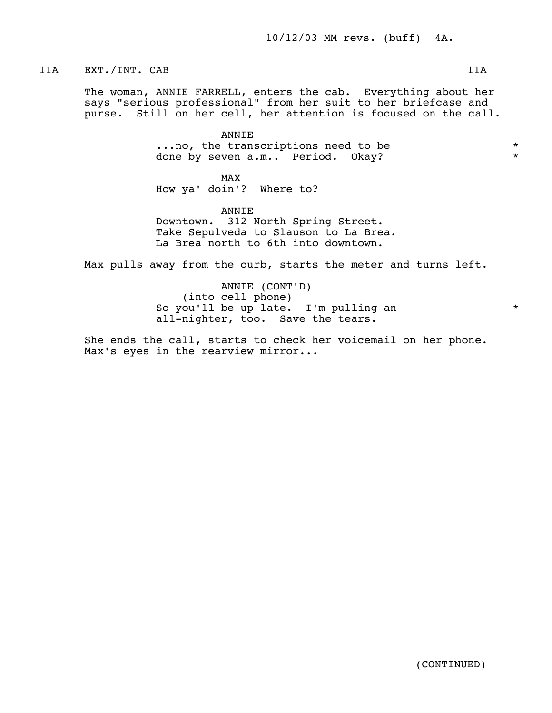11A EXT./INT. CAB 11A

 The woman, ANNIE FARRELL, enters the cab. Everything about her says "serious professional" from her suit to her briefcase and purse. Still on her cell, her attention is focused on the call.

> ANNIE ...no, the transcriptions need to be  $*$ <br>done by seven a m seriod okay? done by seven a.m.. Period. Okay? \*

MAX and the state of the state of the state of the state of the state of the state of the state of the state of the state of the state of the state of the state of the state of the state of the state of the state of the st How ya' doin'? Where to?

> ANNIE Downtown. 312 North Spring Street. Take Sepulveda to Slauson to La Brea. La Brea north to 6th into downtown.

Max pulls away from the curb, starts the meter and turns left.

 ANNIE (CONT'D) (into cell phone) So you'll be up late. I'm pulling an  $*$ all-nighter, too. Save the tears.

 She ends the call, starts to check her voicemail on her phone. Max's eyes in the rearview mirror...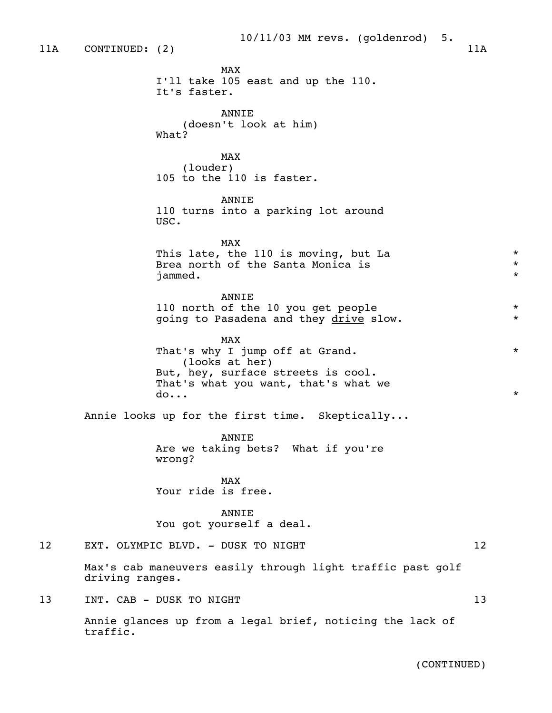MAX and the state of the state of the state of the state of the state of the state of the state of the state of the state of the state of the state of the state of the state of the state of the state of the state of the st I'll take 105 east and up the 110. It's faster. ANNIE (doesn't look at him) What? MAX and the state of the state of the state of the state of the state of the state of the state of the state of the state of the state of the state of the state of the state of the state of the state of the state of the st (louder) 105 to the 110 is faster. **ANNTE**  110 turns into a parking lot around USC. MAX and the state of the state of the state of the state of the state of the state of the state of the state of the state of the state of the state of the state of the state of the state of the state of the state of the st This late, the 110 is moving, but La  $*$ <br>Brea north of the Santa Monica is Brea north of the Santa Monica is jammed. \* ANNIE 110 north of the 10 you get people  $*$ going to Pasadena and they drive slow. \* \* MAX and the state of the state of the state of the state of the state of the state of the state of the state of the state of the state of the state of the state of the state of the state of the state of the state of the st That's why I jump off at Grand.  $*$  (looks at her) But, hey, surface streets is cool. That's what you want, that's what we  $\text{do...}$  \* Annie looks up for the first time. Skeptically... **ANNTE**  Are we taking bets? What if you're wrong? MAX and the state of the state of the state of the state of the state of the state of the state of the state of the state of the state of the state of the state of the state of the state of the state of the state of the st Your ride is free. ANNIE You got yourself a deal. 12 EXT. OLYMPIC BLVD. - DUSK TO NIGHT 12 Max's cab maneuvers easily through light traffic past golf driving ranges. 13 INT. CAB - DUSK TO NIGHT 13 13 Annie glances up from a legal brief, noticing the lack of traffic.

(CONTINUED)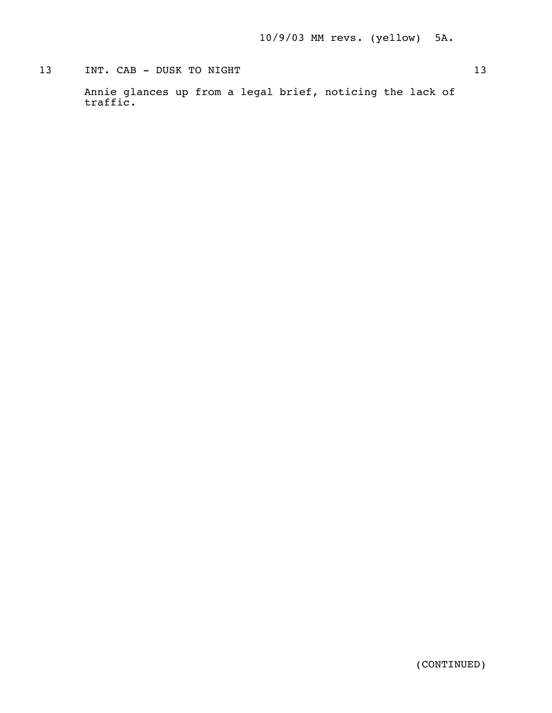# 13 INT. CAB - DUSK TO NIGHT 13

 Annie glances up from a legal brief, noticing the lack of traffic.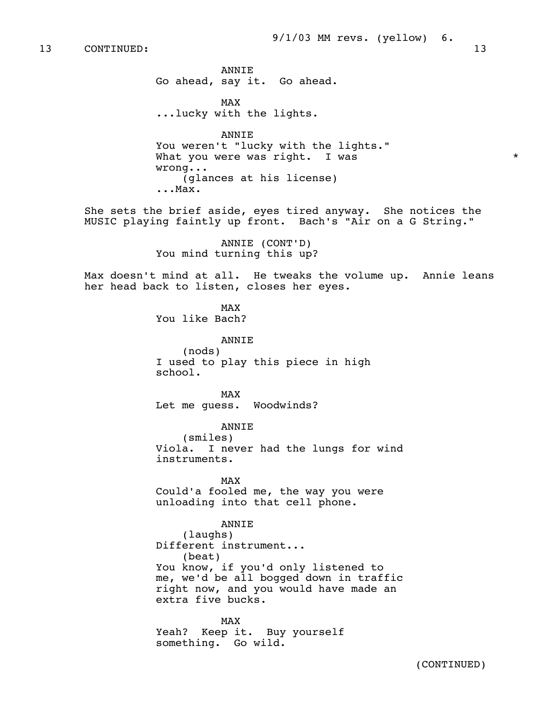ANNIE Go ahead, say it. Go ahead.

MAX and the state of the state of the state of the state of the state of the state of the state of the state of the state of the state of the state of the state of the state of the state of the state of the state of the st ...lucky with the lights.

> ANNIE You weren't "lucky with the lights." What you were was right. I was  $*$  wrong... (glances at his license) ...Max.

 She sets the brief aside, eyes tired anyway. She notices the MUSIC playing faintly up front. Bach's "Air on a G String."

> ANNIE (CONT'D) You mind turning this up?

 Max doesn't mind at all. He tweaks the volume up. Annie leans her head back to listen, closes her eyes.

MAX and the state of the state of the state of the state of the state of the state of the state of the state of the state of the state of the state of the state of the state of the state of the state of the state of the st You like Bach?

> ANNIE (nods) I used to play this piece in high school.

MAX and the state of the state of the state of the state of the state of the state of the state of the state of the state of the state of the state of the state of the state of the state of the state of the state of the st Let me guess. Woodwinds?

> ANNIE (smiles) Viola. I never had the lungs for wind instruments.

MAX and the state of the state of the state of the state of the state of the state of the state of the state of the state of the state of the state of the state of the state of the state of the state of the state of the st Could'a fooled me, the way you were unloading into that cell phone.

ANNIE

 (laughs) Different instrument... (beat) You know, if you'd only listened to me, we'd be all bogged down in traffic right now, and you would have made an extra five bucks.

MAX and the state of the state of the state of the state of the state of the state of the state of the state of the state of the state of the state of the state of the state of the state of the state of the state of the st Yeah? Keep it. Buy yourself something. Go wild.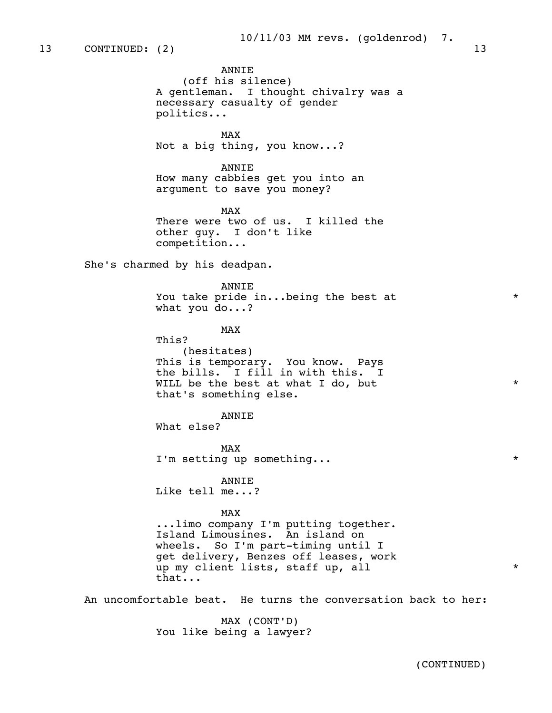ANNIE (off his silence) A gentleman. I thought chivalry was a necessary casualty of gender politics... MAX and the state of the state of the state of the state of the state of the state of the state of the state of the state of the state of the state of the state of the state of the state of the state of the state of the st Not a big thing, you know...? ANNIE How many cabbies get you into an argument to save you money? MAX and the state of the state of the state of the state of the state of the state of the state of the state of the state of the state of the state of the state of the state of the state of the state of the state of the st There were two of us. I killed the other guy. I don't like competition... She's charmed by his deadpan. ANNIE You take pride in...being the best at  $*$  what you do...? MAX and the state of the state of the state of the state of the state of the state of the state of the state of the state of the state of the state of the state of the state of the state of the state of the state of the st This? (hesitates) This is temporary. You know. Pays the bills. I fill in with this. I WILL be the best at what I do, but \* that's something else. ANNIE What else? MAX and the state of the state of the state of the state of the state of the state of the state of the state of the state of the state of the state of the state of the state of the state of the state of the state of the st I'm setting up something... \* ANNIE Like tell me...? MAX and the state of the state of the state of the state of the state of the state of the state of the state of the state of the state of the state of the state of the state of the state of the state of the state of the st

 ...limo company I'm putting together. Island Limousines. An island on wheels. So I'm part-timing until I get delivery, Benzes off leases, work up my client lists, staff up, all  $*$ that...

An uncomfortable beat. He turns the conversation back to her:

 MAX (CONT'D) You like being a lawyer?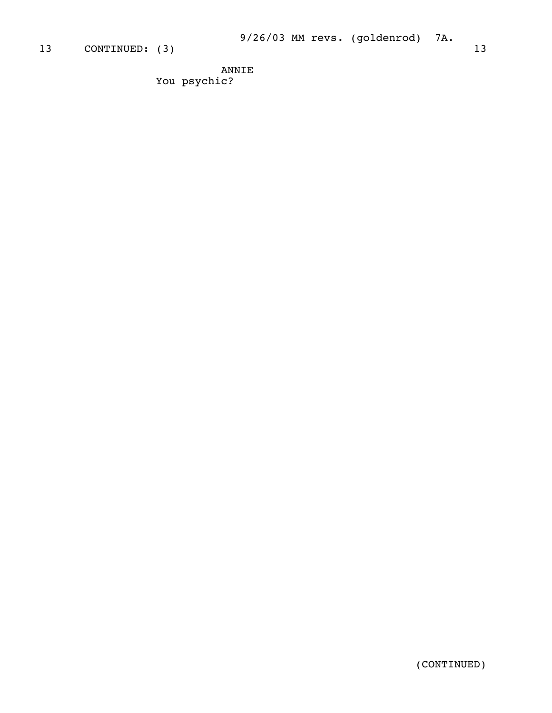ANNIE You psychic?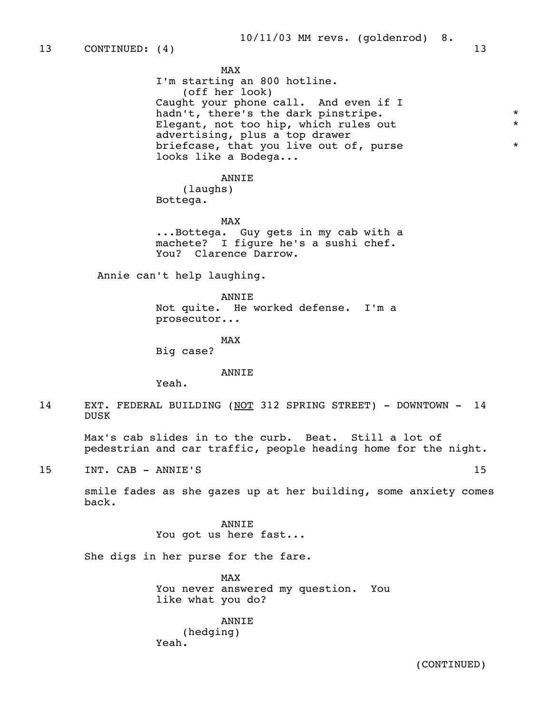MAX and the state of the state of the state of the state of the state of the state of the state of the state of the state of the state of the state of the state of the state of the state of the state of the state of the st I'm starting an 800 hotline. (off her look) Caught your phone call. And even if I hadn't, there's the dark pinstripe. \* Elegant, not too hip, which rules out advertising, plus a top drawer briefcase, that you live out of, purse  $*$ looks like a Bodega...

> ANNIE (laughs)

Bottega.

MAX and the state of the state of the state of the state of the state of the state of the state of the state of the state of the state of the state of the state of the state of the state of the state of the state of the st ...Bottega. Guy gets in my cab with a machete? I figure he's a sushi chef. You? Clarence Darrow.

Annie can't help laughing.

 ANNIE Not quite. He worked defense. I'm a prosecutor...

MAX and the state of the state of the state of the state of the state of the state of the state of the state of the state of the state of the state of the state of the state of the state of the state of the state of the st

Big case?

ANNIE

Yeah.

14 EXT. FEDERAL BUILDING (NOT 312 SPRING STREET) - DOWNTOWN - 14 DUSK

 Max's cab slides in to the curb. Beat. Still a lot of pedestrian and car traffic, people heading home for the night.

15 INT. CAB – ANNIE'S 15

 smile fades as she gazes up at her building, some anxiety comes back.

> ANNIE You got us here fast...

She digs in her purse for the fare.

MAX and the state of the state of the state of the state of the state of the state of the state of the state of the state of the state of the state of the state of the state of the state of the state of the state of the st You never answered my question. You like what you do?

> ANNIE (hedging) Yeah.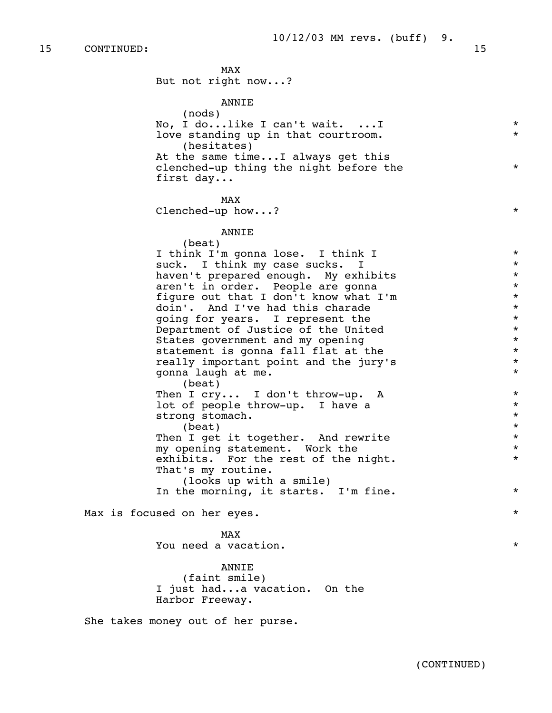15 CONTINUED: 15 MAX and the state of the state of the state of the state of the state of the state of the state of the state of the state of the state of the state of the state of the state of the state of the state of the state of the st But not right now...? ANNIE (nods) No, I do...like I can't wait. ...I \* love standing up in that courtroom. (hesitates) At the same time...I always get this clenched-up thing the night before the \* first day... MAX and the state of the state of the state of the state of the state of the state of the state of the state of the state of the state of the state of the state of the state of the state of the state of the state of the st Clenched-up how...?  $*$  ANNIE (beat) I think I'm gonna lose. I think I \* suck. I think my case sucks. I<br>haven't prepared enough My exhibits  $\star$ haven't prepared enough. My exhibits  $*$ <br>aren't in order. People are gonna aren't in order. People are gonna<br>figure out that I don't know what I'm figure out that I don't know what I'm  $\star$ <br>doin', And I've had this charade  $\star$ doin'. And I've had this charade  $\star$  and  $\star$  and  $\star$  and  $\star$  and  $\star$  and  $\star$ going for years. I represent the  $\star$ <br>Department of Justice of the United  $\star$  Department of Justice of the United \* States government and my opening  $*$ <br>statement is gonna fall flat at the  $*$ statement is gonna fall flat at the  $*$ <br>really important point and the jury's  $*$  really important point and the jury's \* gonna laugh at me. \* (beat) Then I cry... I don't throw-up. A \* lot of people throw-up. I have a  $\star$ <br>strong stomach. strong stomach. \*  $\star$ Then I get it together. And rewrite  $*$ <br>my opening statement. Work the  $*$  my opening statement. Work the \* exhibits. For the rest of the night.  $*$  That's my routine. (looks up with a smile) In the morning, it starts. I'm fine.  $*$  Max is focused on her eyes. \* MAX and the state of the state of the state of the state of the state of the state of the state of the state of the state of the state of the state of the state of the state of the state of the state of the state of the st You need a vacation. \* ANNIE (faint smile) I just had...a vacation. On the Harbor Freeway.

She takes money out of her purse.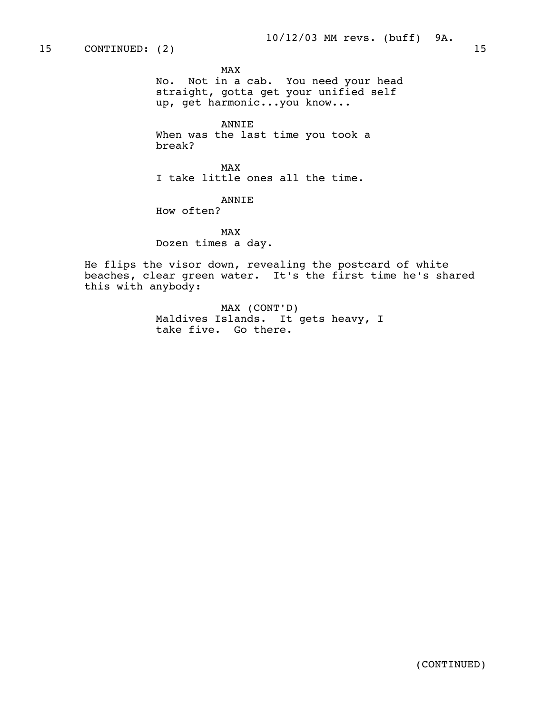MAX and the state of the state of the state of the state of the state of the state of the state of the state of the state of the state of the state of the state of the state of the state of the state of the state of the st

 No. Not in a cab. You need your head straight, gotta get your unified self up, get harmonic...you know...

 ANNIE When was the last time you took a break?

MAX and the state of the state of the state of the state of the state of the state of the state of the state of the state of the state of the state of the state of the state of the state of the state of the state of the st I take little ones all the time.

ANNIE

How often?

MAX and the state of the state of the state of the state of the state of the state of the state of the state of the state of the state of the state of the state of the state of the state of the state of the state of the st Dozen times a day.

> He flips the visor down, revealing the postcard of white beaches, clear green water. It's the first time he's shared this with anybody:

> > MAX (CONT'D) Maldives Islands. It gets heavy, I take five. Go there.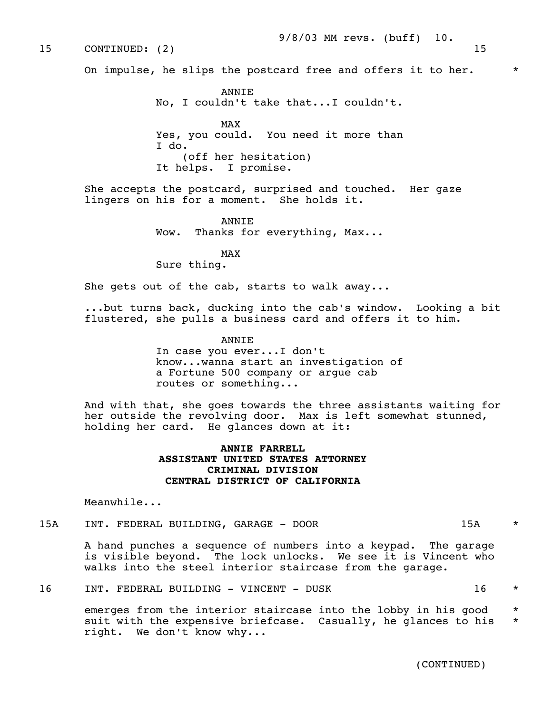### 9/8/03 MM revs. (buff) 10.

On impulse, he slips the postcard free and offers it to her.  $*$ 

 ANNIE No, I couldn't take that...I couldn't. MAX and the state of the state of the state of the state of the state of the state of the state of the state of the state of the state of the state of the state of the state of the state of the state of the state of the st Yes, you could. You need it more than I do. (off her hesitation) It helps. I promise.

> She accepts the postcard, surprised and touched. Her gaze lingers on his for a moment. She holds it.

> > **ANNTE** Wow. Thanks for everything, Max...

MAX and the state of the state of the state of the state of the state of the state of the state of the state of the state of the state of the state of the state of the state of the state of the state of the state of the st Sure thing.

She gets out of the cab, starts to walk away...

 ...but turns back, ducking into the cab's window. Looking a bit flustered, she pulls a business card and offers it to him.

ANNIE

 In case you ever...I don't know...wanna start an investigation of a Fortune 500 company or argue cab routes or something...

 And with that, she goes towards the three assistants waiting for her outside the revolving door. Max is left somewhat stunned, holding her card. He glances down at it:

## **ANNIE FARRELL ASSISTANT UNITED STATES ATTORNEY CRIMINAL DIVISION CENTRAL DISTRICT OF CALIFORNIA**

Meanwhile...

15A INT. FEDERAL BUILDING, GARAGE - DOOR 15A \*

 A hand punches a sequence of numbers into a keypad. The garage is visible beyond. The lock unlocks. We see it is Vincent who walks into the steel interior staircase from the garage.

16 INT. FEDERAL BUILDING - VINCENT - DUSK 16 \*

emerges from the interior staircase into the lobby in his good  $*$ suit with the expensive briefcase. Casually, he glances to his \* right. We don't know why...

(CONTINUED)

15 CONTINUED: (2) 15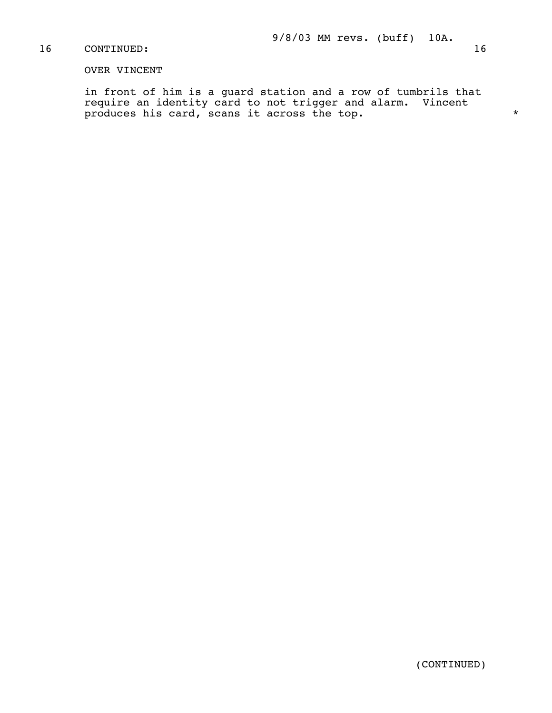## OVER VINCENT

 in front of him is a guard station and a row of tumbrils that require an identity card to not trigger and alarm. Vincent produces his card, scans it across the top.  $*$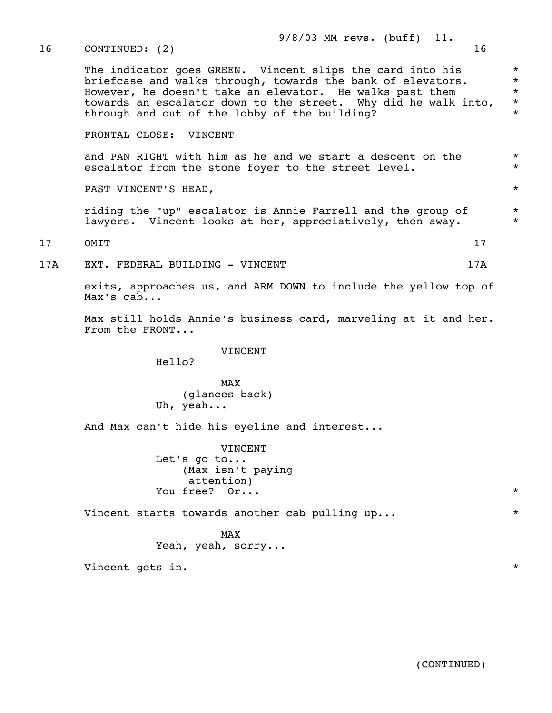| 16  | 16<br>CONTINUED: (2)                                                                                                                                                                                                                                                                                    |                                                     |  |
|-----|---------------------------------------------------------------------------------------------------------------------------------------------------------------------------------------------------------------------------------------------------------------------------------------------------------|-----------------------------------------------------|--|
|     | The indicator goes GREEN. Vincent slips the card into his<br>briefcase and walks through, towards the bank of elevators.<br>However, he doesn't take an elevator. He walks past them<br>towards an escalator down to the street. Why did he walk into,<br>through and out of the lobby of the building? | $\star$<br>$\star$<br>$\star$<br>$\star$<br>$\star$ |  |
|     | FRONTAL CLOSE: VINCENT                                                                                                                                                                                                                                                                                  |                                                     |  |
|     | and PAN RIGHT with him as he and we start a descent on the<br>escalator from the stone foyer to the street level.                                                                                                                                                                                       |                                                     |  |
|     | PAST VINCENT'S HEAD,                                                                                                                                                                                                                                                                                    | $\star$                                             |  |
|     | riding the "up" escalator is Annie Farrell and the group of<br>lawyers. Vincent looks at her, appreciatively, then away.                                                                                                                                                                                |                                                     |  |
| 17  | OMIT<br>17                                                                                                                                                                                                                                                                                              |                                                     |  |
| 17A | 17A<br>EXT. FEDERAL BUILDING - VINCENT                                                                                                                                                                                                                                                                  |                                                     |  |
|     | exits, approaches us, and ARM DOWN to include the yellow top of<br>Max's cab                                                                                                                                                                                                                            |                                                     |  |
|     | Max still holds Annie's business card, marveling at it and her.<br>From the FRONT                                                                                                                                                                                                                       |                                                     |  |
|     | VINCENT<br>Hello?                                                                                                                                                                                                                                                                                       |                                                     |  |
|     | <b>MAX</b>                                                                                                                                                                                                                                                                                              |                                                     |  |

9/8/03 MM revs. (buff) 11.

 (glances back) Uh, yeah...

And Max can't hide his eyeline and interest...

 VINCENT Let's go to... (Max isn't paying attention) You free?  $0r...$ 

Vincent starts towards another cab pulling up...  $*$ 

MAX and the state of the state of the state of the state of the state of the state of the state of the state of the state of the state of the state of the state of the state of the state of the state of the state of the st Yeah, yeah, sorry...

Vincent gets in.  $*$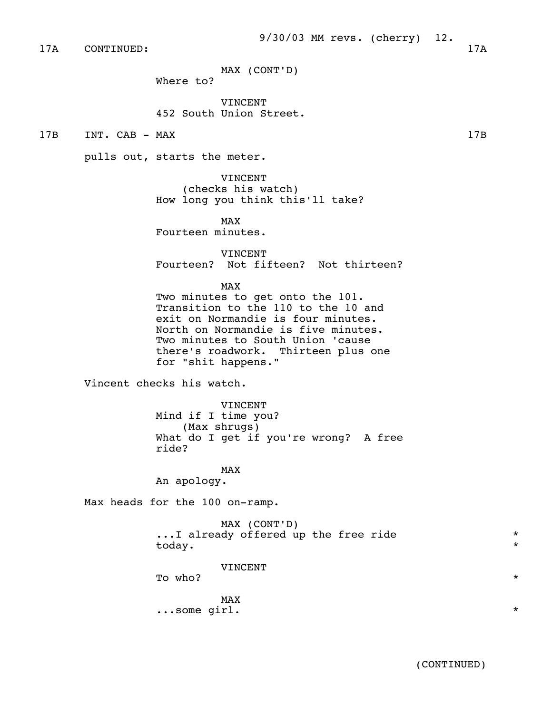17A CONTINUED: 17A

MAX (CONT'D)

Where to?

 VINCENT 452 South Union Street.

17B INT. CAB - MAX 17B

pulls out, starts the meter.

 VINCENT (checks his watch) How long you think this'll take?

MAX and the state of the state of the state of the state of the state of the state of the state of the state of the state of the state of the state of the state of the state of the state of the state of the state of the st Fourteen minutes.

> VINCENT Fourteen? Not fifteen? Not thirteen?

MAX and the state of the state of the state of the state of the state of the state of the state of the state of the state of the state of the state of the state of the state of the state of the state of the state of the st

 Two minutes to get onto the 101. Transition to the 110 to the 10 and exit on Normandie is four minutes. North on Normandie is five minutes. Two minutes to South Union 'cause there's roadwork. Thirteen plus one for "shit happens."

Vincent checks his watch.

 VINCENT Mind if I time you? (Max shrugs) What do I get if you're wrong? A free ride?

MAX and the state of the state of the state of the state of the state of the state of the state of the state of the state of the state of the state of the state of the state of the state of the state of the state of the st An apology.

Max heads for the 100 on-ramp.

 MAX (CONT'D) ...I already offered up the free ride \* today. \*

VINCENT

To who?

MAX and the state of the state of the state of the state of the state of the state of the state of the state of the state of the state of the state of the state of the state of the state of the state of the state of the st ...some girl. \*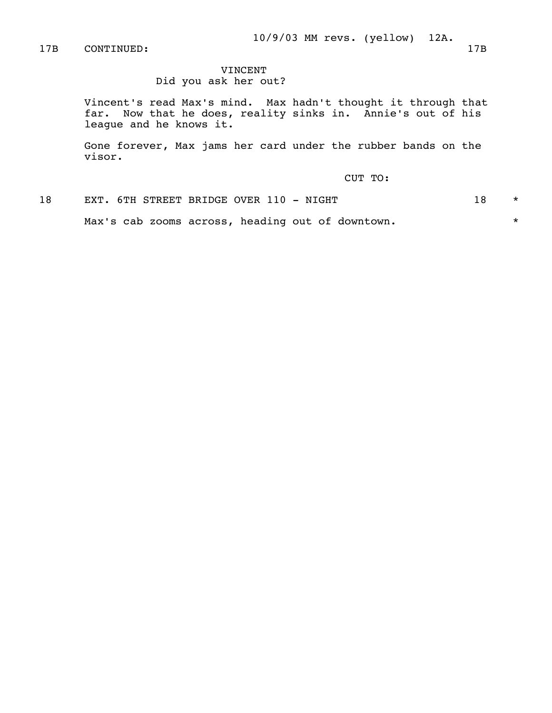17B CONTINUED: 17B

# VINCENT

Did you ask her out?

 Vincent's read Max's mind. Max hadn't thought it through that far. Now that he does, reality sinks in. Annie's out of his league and he knows it.

 Gone forever, Max jams her card under the rubber bands on the visor.

CUT TO:

18 EXT. 6TH STREET BRIDGE OVER 110 - NIGHT 18 \*

Max's cab zooms across, heading out of downtown.  $*$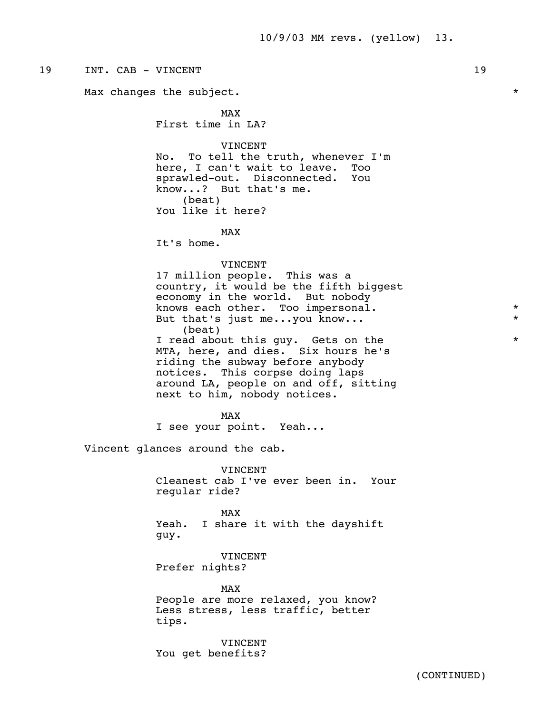# 19 INT. CAB – VINCENT 19 Max changes the subject.  $*$ MAX and the state of the state of the state of the state of the state of the state of the state of the state of the state of the state of the state of the state of the state of the state of the state of the state of the st First time in LA? VINCENT No. To tell the truth, whenever I'm here, I can't wait to leave. Too sprawled-out. Disconnected. You know...? But that's me. (beat) You like it here? MAX and the state of the state of the state of the state of the state of the state of the state of the state of the state of the state of the state of the state of the state of the state of the state of the state of the st It's home. VINCENT 17 million people. This was a country, it would be the fifth biggest economy in the world. But nobody knows each other. Too impersonal.  $*$ But that's just me...you know... (beat) I read about this guy. Gets on the  $*$  MTA, here, and dies. Six hours he's riding the subway before anybody notices. This corpse doing laps around LA, people on and off, sitting next to him, nobody notices. MAX and the state of the state of the state of the state of the state of the state of the state of the state of the state of the state of the state of the state of the state of the state of the state of the state of the st I see your point. Yeah... Vincent glances around the cab. VINCENT Cleanest cab I've ever been in. Your regular ride? MAX and the state of the state of the state of the state of the state of the state of the state of the state of the state of the state of the state of the state of the state of the state of the state of the state of the st Yeah. I share it with the dayshift guy. VINCENT Prefer nights? MAX and the state of the state of the state of the state of the state of the state of the state of the state of the state of the state of the state of the state of the state of the state of the state of the state of the st People are more relaxed, you know? Less stress, less traffic, better tips. VINCENT You get benefits?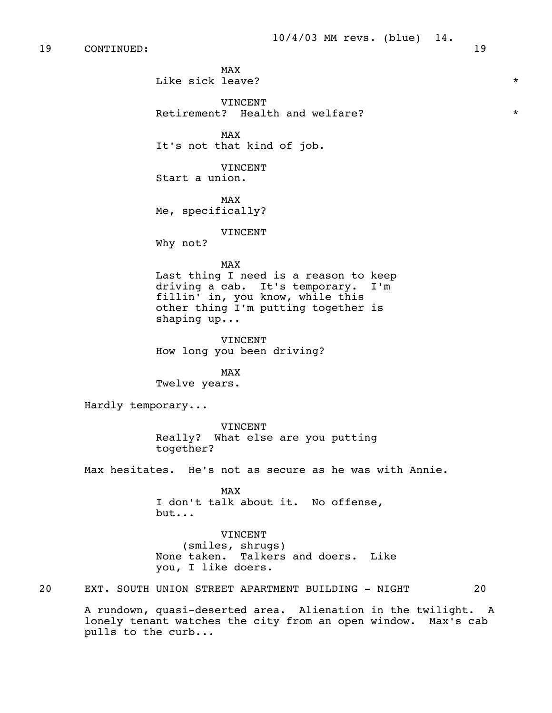MAX and the state of the state of the state of the state of the state of the state of the state of the state of the state of the state of the state of the state of the state of the state of the state of the state of the st Like sick leave?  $*$ 

> VINCENT Retirement? Health and welfare?  $*$

MAX and the state of the state of the state of the state of the state of the state of the state of the state of the state of the state of the state of the state of the state of the state of the state of the state of the st It's not that kind of job.

> VINCENT Start a union.

MAX and the state of the state of the state of the state of the state of the state of the state of the state of the state of the state of the state of the state of the state of the state of the state of the state of the st Me, specifically?

VINCENT

Why not?

## MAX and the state of the state of the state of the state of the state of the state of the state of the state of the state of the state of the state of the state of the state of the state of the state of the state of the st

 Last thing I need is a reason to keep driving a cab. It's temporary. I'm fillin' in, you know, while this other thing I'm putting together is shaping up...

 VINCENT How long you been driving?

MAX and the state of the state of the state of the state of the state of the state of the state of the state of the state of the state of the state of the state of the state of the state of the state of the state of the st Twelve years.

Hardly temporary...

 VINCENT Really? What else are you putting together?

Max hesitates. He's not as secure as he was with Annie.

MAX and the state of the state of the state of the state of the state of the state of the state of the state of the state of the state of the state of the state of the state of the state of the state of the state of the st I don't talk about it. No offense, but...

> VINCENT (smiles, shrugs) None taken. Talkers and doers. Like you, I like doers.

20 EXT. SOUTH UNION STREET APARTMENT BUILDING - NIGHT 20

 A rundown, quasi-deserted area. Alienation in the twilight. A lonely tenant watches the city from an open window. Max's cab pulls to the curb...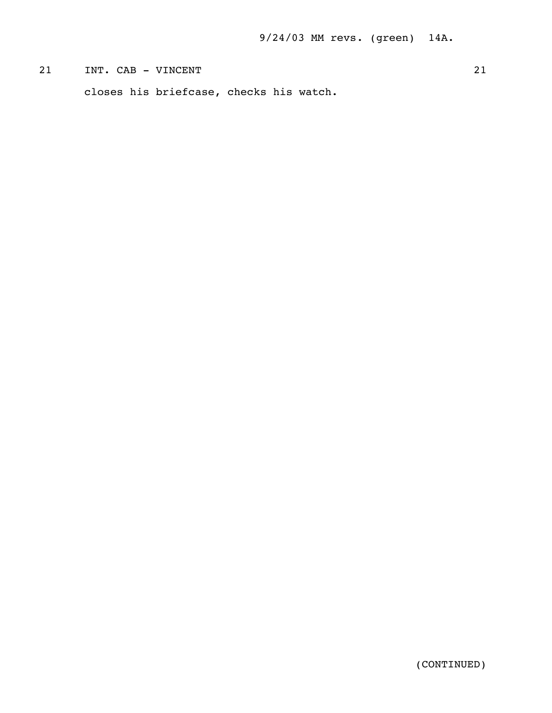# 21 INT. CAB - VINCENT 21

closes his briefcase, checks his watch.

(CONTINUED)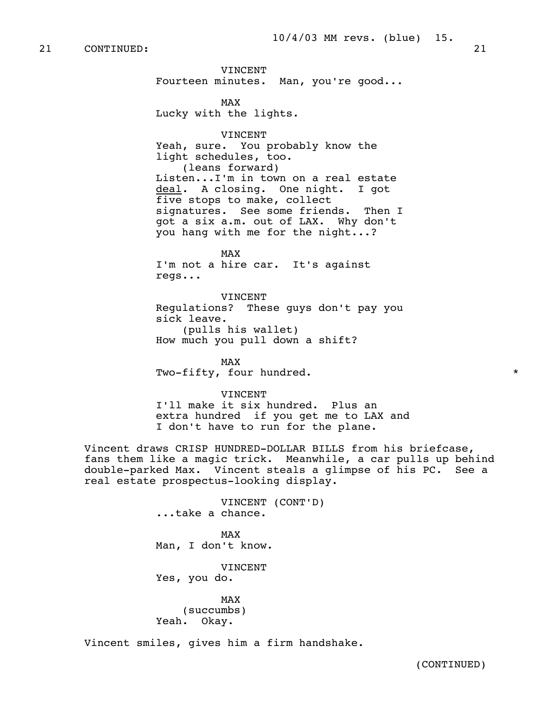VINCENT Fourteen minutes. Man, you're good...

MAX and the state of the state of the state of the state of the state of the state of the state of the state of the state of the state of the state of the state of the state of the state of the state of the state of the st Lucky with the lights.

> VINCENT Yeah, sure. You probably know the light schedules, too. (leans forward) Listen...I'm in town on a real estate deal. A closing. One night. I got five stops to make, collect signatures. See some friends. Then I got a six a.m. out of LAX. Why don't you hang with me for the night...?

MAX and the state of the state of the state of the state of the state of the state of the state of the state of the state of the state of the state of the state of the state of the state of the state of the state of the st I'm not a hire car. It's against regs...

> VINCENT Regulations? These guys don't pay you sick leave. (pulls his wallet) How much you pull down a shift?

MAX and the state of the state of the state of the state of the state of the state of the state of the state of the state of the state of the state of the state of the state of the state of the state of the state of the st Two-fifty, four hundred.  $*$ 

VINCENT

 I'll make it six hundred. Plus an extra hundred if you get me to LAX and I don't have to run for the plane.

 Vincent draws CRISP HUNDRED-DOLLAR BILLS from his briefcase, fans them like a magic trick. Meanwhile, a car pulls up behind double-parked Max. Vincent steals a glimpse of his PC. See a real estate prospectus-looking display.

 VINCENT (CONT'D) ...take a chance. MAX and the state of the state of the state of the state of the state of the state of the state of the state of the state of the state of the state of the state of the state of the state of the state of the state of the st Man, I don't know. VINCENT Yes, you do. MAX and the state of the state of the state of the state of the state of the state of the state of the state of the state of the state of the state of the state of the state of the state of the state of the state of the st (succumbs) Yeah. Okay.

Vincent smiles, gives him a firm handshake.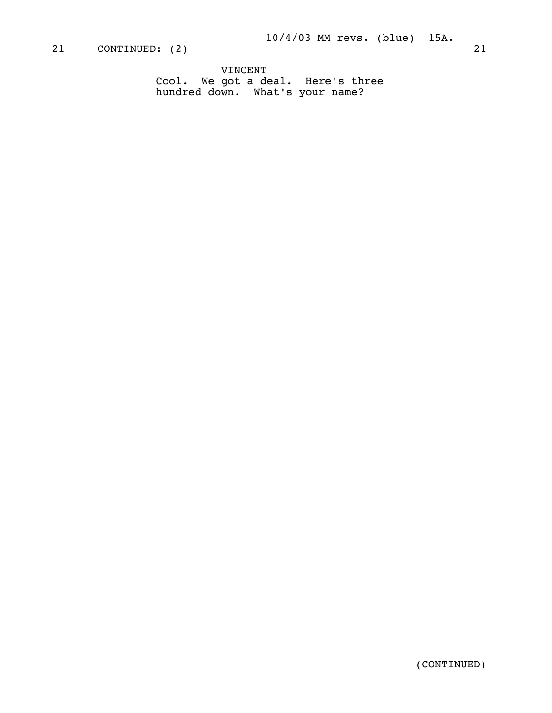VINCENT Cool. We got a deal. Here's three hundred down. What's your name?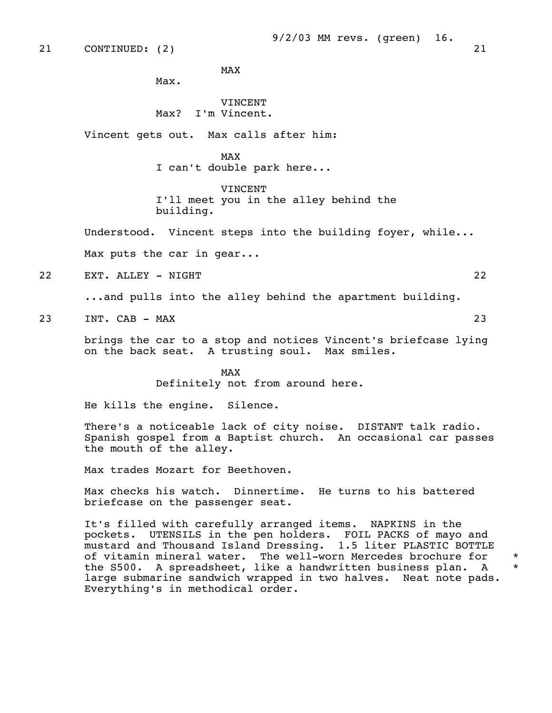MAX and the state of the state of the state of the state of the state of the state of the state of the state of the state of the state of the state of the state of the state of the state of the state of the state of the st

Max.

## VINCENT Max? I'm Vincent.

Vincent gets out. Max calls after him:

## MAX and the state of the state of the state of the state of the state of the state of the state of the state of the state of the state of the state of the state of the state of the state of the state of the state of the st

I can't double park here...

VINCENT

 I'll meet you in the alley behind the building.

Understood. Vincent steps into the building foyer, while...

Max puts the car in gear...

22 EXT. ALLEY - NIGHT 22

...and pulls into the alley behind the apartment building.

23 INT. CAB – MAX 23

 brings the car to a stop and notices Vincent's briefcase lying on the back seat. A trusting soul. Max smiles.

MAX and the state of the state of the state of the state of the state of the state of the state of the state of the state of the state of the state of the state of the state of the state of the state of the state of the st Definitely not from around here.

He kills the engine. Silence.

There's a noticeable lack of city noise. DISTANT talk radio. Spanish gospel from a Baptist church. An occasional car passes the mouth of the alley.

Max trades Mozart for Beethoven.

 Max checks his watch. Dinnertime. He turns to his battered briefcase on the passenger seat.

 It's filled with carefully arranged items. NAPKINS in the pockets. UTENSILS in the pen holders. FOIL PACKS of mayo and mustard and Thousand Island Dressing. 1.5 liter PLASTIC BOTTLE of vitamin mineral water. The well-worn Mercedes brochure for \* the S500. A spreadsheet, like a handwritten business plan. A \* large submarine sandwich wrapped in two halves. Neat note pads. Everything's in methodical order.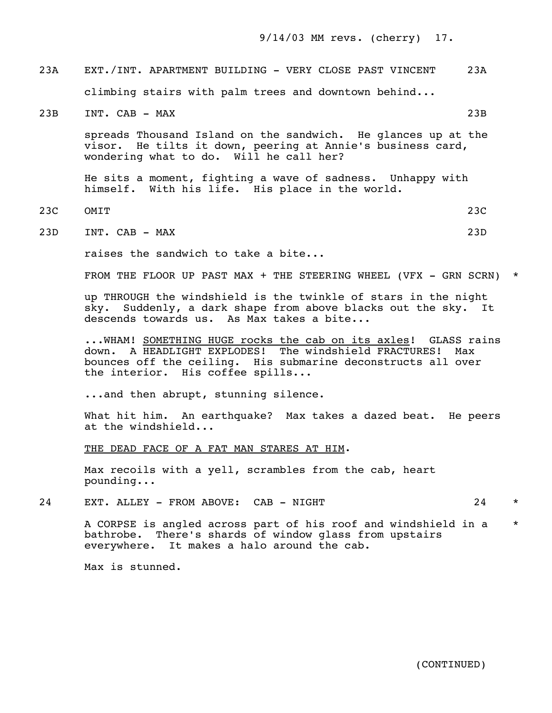9/14/03 MM revs. (cherry) 17.

 23A EXT./INT. APARTMENT BUILDING - VERY CLOSE PAST VINCENT 23A climbing stairs with palm trees and downtown behind...

23B INT. CAB - MAX 23B

 spreads Thousand Island on the sandwich. He glances up at the visor. He tilts it down, peering at Annie's business card, wondering what to do. Will he call her?

 He sits a moment, fighting a wave of sadness. Unhappy with himself. With his life. His place in the world.

23C OMIT 23C

23D INT. CAB - MAX 23D

raises the sandwich to take a bite...

FROM THE FLOOR UP PAST MAX  $+$  THE STEERING WHEEL (VFX - GRN SCRN)  $*$ 

 up THROUGH the windshield is the twinkle of stars in the night sky. Suddenly, a dark shape from above blacks out the sky. It descends towards us. As Max takes a bite...

... WHAM! SOMETHING HUGE rocks the cab on its axles! GLASS rains down. A HEADLIGHT EXPLODES! The windshield FRACTURES! Max bounces off the ceiling. His submarine deconstructs all over the interior. His coffee spills...

...and then abrupt, stunning silence.

 What hit him. An earthquake? Max takes a dazed beat. He peers at the windshield...

THE DEAD FACE OF A FAT MAN STARES AT HIM.

 Max recoils with a yell, scrambles from the cab, heart pounding...

24 EXT. ALLEY - FROM ABOVE: CAB - NIGHT 24 \*

 A CORPSE is angled across part of his roof and windshield in a \* bathrobe. There's shards of window glass from upstairs everywhere. It makes a halo around the cab.

Max is stunned.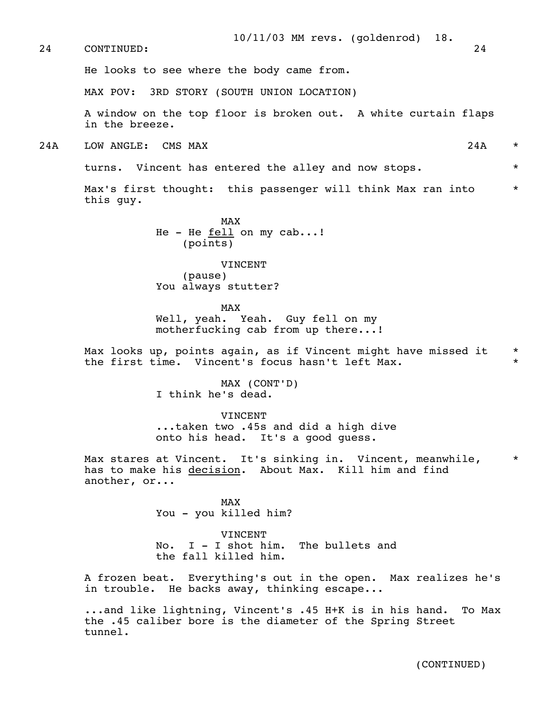He looks to see where the body came from.

MAX POV: 3RD STORY (SOUTH UNION LOCATION)

 A window on the top floor is broken out. A white curtain flaps in the breeze.

2.4A LOW ANGLE: CMS MAX 2.4A \*

turns. Vincent has entered the alley and now stops.  $*$ 

Max's first thought: this passenger will think Max ran into  $*$ this guy.

MAX and the state of the state of the state of the state of the state of the state of the state of the state of the state of the state of the state of the state of the state of the state of the state of the state of the st He - He fell on my cab...! (points)

> VINCENT (pause) You always stutter?

MAX and the state of the state of the state of the state of the state of the state of the state of the state of the state of the state of the state of the state of the state of the state of the state of the state of the st Well, yeah. Yeah. Guy fell on my motherfucking cab from up there...!

> Max looks up, points again, as if Vincent might have missed it \* the first time. Vincent's focus hasn't left Max. \*

> > MAX (CONT'D) I think he's dead.

 VINCENT ...taken two .45s and did a high dive onto his head. It's a good guess.

Max stares at Vincent. It's sinking in. Vincent, meanwhile, has to make his decision. About Max. Kill him and find another, or...

MAX and the state of the state of the state of the state of the state of the state of the state of the state of the state of the state of the state of the state of the state of the state of the state of the state of the st You - you killed him?

> VINCENT No. I - I shot him. The bullets and the fall killed him.

 A frozen beat. Everything's out in the open. Max realizes he's in trouble. He backs away, thinking escape...

 ...and like lightning, Vincent's .45 H+K is in his hand. To Max the .45 caliber bore is the diameter of the Spring Street tunnel.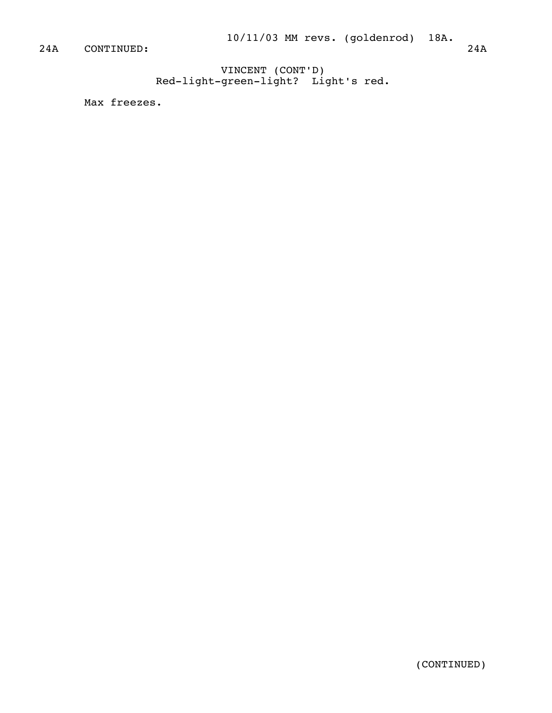VINCENT (CONT'D) Red-light-green-light? Light's red.

Max freezes.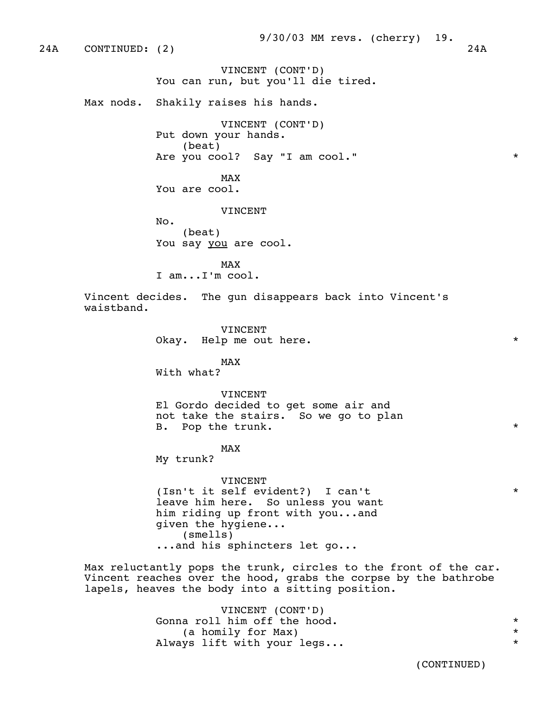24A CONTINUED: (2) 24A

 VINCENT (CONT'D) You can run, but you'll die tired.

Max nods. Shakily raises his hands.

 VINCENT (CONT'D) Put down your hands. (beat) Are you cool? Say "I am cool."  $\qquad \qquad$  \*

MAX and the state of the state of the state of the state of the state of the state of the state of the state of the state of the state of the state of the state of the state of the state of the state of the state of the st You are cool.

VINCENT

 No. (beat) You say you are cool.

MAX and the state of the state of the state of the state of the state of the state of the state of the state of the state of the state of the state of the state of the state of the state of the state of the state of the st I am...I'm cool.

> Vincent decides. The gun disappears back into Vincent's waistband.

> > VINCENT Okay. Help me out here.  $*$

MAX and the state of the state of the state of the state of the state of the state of the state of the state of the state of the state of the state of the state of the state of the state of the state of the state of the st With what?

> VINCENT El Gordo decided to get some air and not take the stairs. So we go to plan

B. Pop the trunk.  $\star$ 

MAX and the state of the state of the state of the state of the state of the state of the state of the state of the state of the state of the state of the state of the state of the state of the state of the state of the st

My trunk?

 VINCENT (Isn't it self evident?) I can't \* leave him here. So unless you want him riding up front with you...and given the hygiene... (smells) ...and his sphincters let go...

 Max reluctantly pops the trunk, circles to the front of the car. Vincent reaches over the hood, grabs the corpse by the bathrobe lapels, heaves the body into a sitting position.

> VINCENT (CONT'D) Gonna roll him off the hood.  $*$  (a homily for Max) \* Always lift with your legs...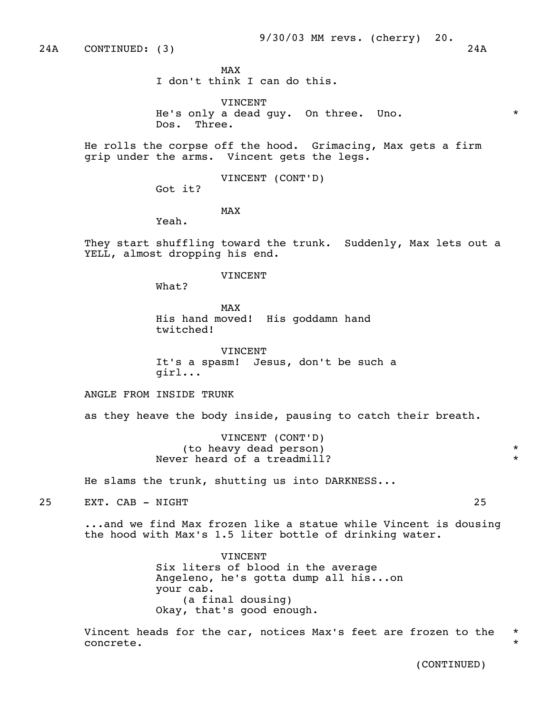24A CONTINUED: (3) 24A

MAX and the state of the state of the state of the state of the state of the state of the state of the state of the state of the state of the state of the state of the state of the state of the state of the state of the st

I don't think I can do this.

 VINCENT He's only a dead guy. On three. Uno. \* Dos. Three.

 He rolls the corpse off the hood. Grimacing, Max gets a firm grip under the arms. Vincent gets the legs.

VINCENT (CONT'D)

Got it?

MAX and the state of the state of the state of the state of the state of the state of the state of the state of the state of the state of the state of the state of the state of the state of the state of the state of the st

Yeah.

 They start shuffling toward the trunk. Suddenly, Max lets out a YELL, almost dropping his end.

#### VINCENT

What?

MAX and the state of the state of the state of the state of the state of the state of the state of the state of the state of the state of the state of the state of the state of the state of the state of the state of the st His hand moved! His goddamn hand twitched!

> VINCENT It's a spasm! Jesus, don't be such a girl...

ANGLE FROM INSIDE TRUNK

as they heave the body inside, pausing to catch their breath.

 VINCENT (CONT'D) (to heavy dead person) \* Never heard of a treadmill?  $*$ 

He slams the trunk, shutting us into DARKNESS...

25 EXT. CAB - NIGHT 25

 ...and we find Max frozen like a statue while Vincent is dousing the hood with Max's 1.5 liter bottle of drinking water.

> **VINCENT**  Six liters of blood in the average Angeleno, he's gotta dump all his...on your cab. (a final dousing) Okay, that's good enough.

 Vincent heads for the car, notices Max's feet are frozen to the \* concrete.  $*$ 

(CONTINUED)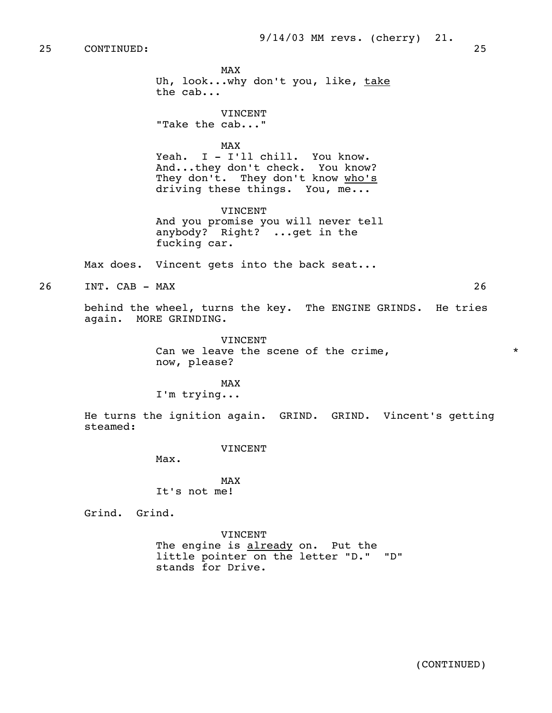MAX and the state of the state of the state of the state of the state of the state of the state of the state of the state of the state of the state of the state of the state of the state of the state of the state of the st Uh, look...why don't you, like, take the cab... VINCENT "Take the cab..." MAX and the state of the state of the state of the state of the state of the state of the state of the state of the state of the state of the state of the state of the state of the state of the state of the state of the st Yeah. I - I'll chill. You know. And...they don't check. You know?

They don't. They don't know who's driving these things. You, me...

 VINCENT And you promise you will never tell anybody? Right? ...get in the fucking car.

Max does. Vincent gets into the back seat...

26 INT. CAB - MAX 26

 behind the wheel, turns the key. The ENGINE GRINDS. He tries again. MORE GRINDING.

> VINCENT Can we leave the scene of the crime,  $*$ now, please?

MAX and the state of the state of the state of the state of the state of the state of the state of the state of the state of the state of the state of the state of the state of the state of the state of the state of the st I'm trying...

> He turns the ignition again. GRIND. GRIND. Vincent's getting steamed:

> > VINCENT

Max.

MAX and the state of the state of the state of the state of the state of the state of the state of the state of the state of the state of the state of the state of the state of the state of the state of the state of the st It's not me!

Grind. Grind.

 VINCENT The engine is already on. Put the little pointer on the letter "D." "D" stands for Drive.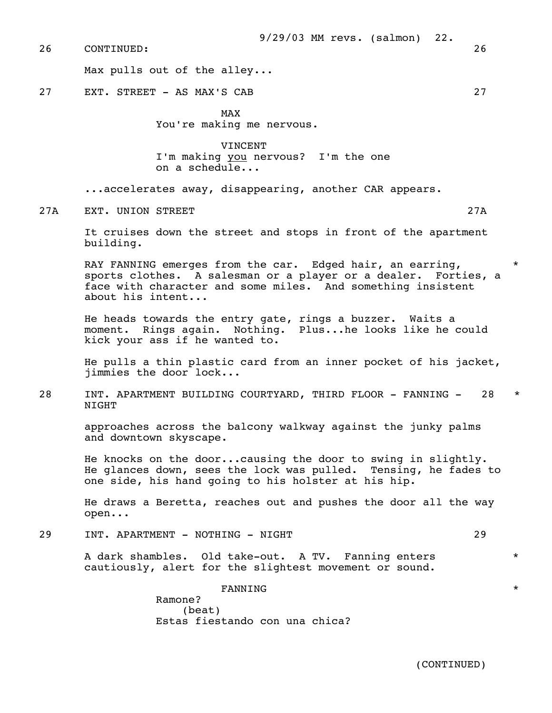Max pulls out of the alley...

27 EXT. STREET - AS MAX'S CAB 27

MAX and the state of the state of the state of the state of the state of the state of the state of the state of the state of the state of the state of the state of the state of the state of the state of the state of the st

You're making me nervous.

 VINCENT I'm making you nervous? I'm the one on a schedule...

...accelerates away, disappearing, another CAR appears.

27A EXT. UNION STREET 27A

 It cruises down the street and stops in front of the apartment building.

RAY FANNING emerges from the car. Edged hair, an earring, sports clothes. A salesman or a player or a dealer. Forties, a face with character and some miles. And something insistent about his intent...

 He heads towards the entry gate, rings a buzzer. Waits a moment. Rings again. Nothing. Plus...he looks like he could kick your ass if he wanted to.

 He pulls a thin plastic card from an inner pocket of his jacket, jimmies the door lock...

28 INT. APARTMENT BUILDING COURTYARD, THIRD FLOOR - FANNING - 28 \* NIGHT

 approaches across the balcony walkway against the junky palms and downtown skyscape.

 He knocks on the door...causing the door to swing in slightly. He glances down, sees the lock was pulled. Tensing, he fades to one side, his hand going to his holster at his hip.

 He draws a Beretta, reaches out and pushes the door all the way open...

29 INT. APARTMENT - NOTHING - NIGHT 29

 A dark shambles. Old take-out. A TV. Fanning enters \* cautiously, alert for the slightest movement or sound.

 $\tt{FANNING}$  \* Ramone? (beat) Estas fiestando con una chica?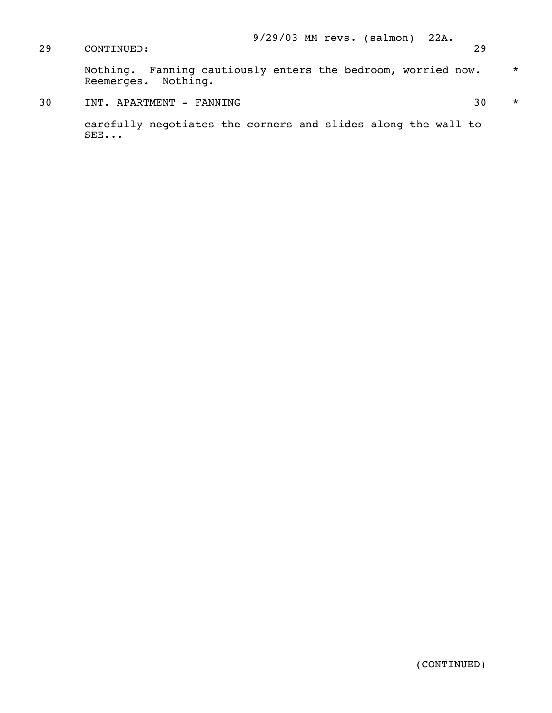Nothing. Fanning cautiously enters the bedroom, worried now.  $\quad$  \* Reemerges. Nothing.

30 INT. APARTMENT - FANNING 30 \*

 carefully negotiates the corners and slides along the wall to SEE...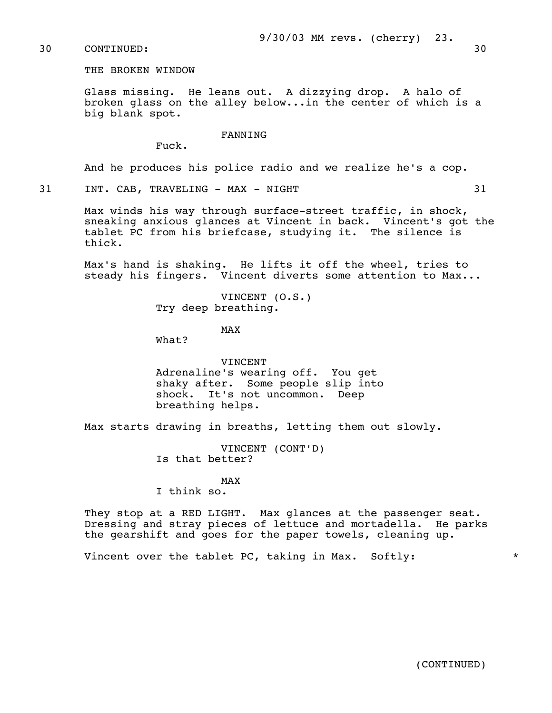## 30 CONTINUED: 30

THE BROKEN WINDOW

 Glass missing. He leans out. A dizzying drop. A halo of broken glass on the alley below...in the center of which is a big blank spot.

#### FANNING

Fuck.

And he produces his police radio and we realize he's a cop.

31 INT. CAB, TRAVELING - MAX - NIGHT 31

 Max winds his way through surface-street traffic, in shock, sneaking anxious glances at Vincent in back. Vincent's got the tablet PC from his briefcase, studying it. The silence is thick.

 Max's hand is shaking. He lifts it off the wheel, tries to steady his fingers. Vincent diverts some attention to Max...

> VINCENT (O.S.) Try deep breathing.

# MAX and the state of the state of the state of the state of the state of the state of the state of the state of the state of the state of the state of the state of the state of the state of the state of the state of the st

What?

 VINCENT Adrenaline's wearing off. You get shaky after. Some people slip into shock. It's not uncommon. Deep breathing helps.

Max starts drawing in breaths, letting them out slowly.

 VINCENT (CONT'D) Is that better?

MAX and the state of the state of the state of the state of the state of the state of the state of the state of the state of the state of the state of the state of the state of the state of the state of the state of the st

I think so.

 They stop at a RED LIGHT. Max glances at the passenger seat. Dressing and stray pieces of lettuce and mortadella. He parks the gearshift and goes for the paper towels, cleaning up.

Vincent over the tablet PC, taking in Max. Softly: \* \* \*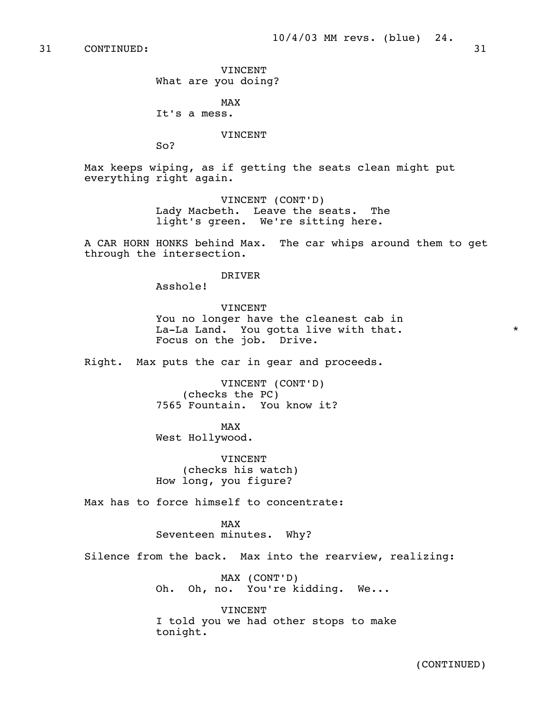31 CONTINUED: 31

 VINCENT What are you doing?

MAX and the state of the state of the state of the state of the state of the state of the state of the state of the state of the state of the state of the state of the state of the state of the state of the state of the st It's a mess.

VINCENT

So?

 Max keeps wiping, as if getting the seats clean might put everything right again.

> VINCENT (CONT'D) Lady Macbeth. Leave the seats. The light's green. We're sitting here.

 A CAR HORN HONKS behind Max. The car whips around them to get through the intersection.

#### DRIVER

Asshole!

 VINCENT You no longer have the cleanest cab in La-La Land. You gotta live with that.  $*$ Focus on the job. Drive.

Right. Max puts the car in gear and proceeds.

 VINCENT (CONT'D) (checks the PC) 7565 Fountain. You know it?

MAX and the state of the state of the state of the state of the state of the state of the state of the state of the state of the state of the state of the state of the state of the state of the state of the state of the st West Hollywood.

> **VINCENT**  (checks his watch) How long, you figure?

Max has to force himself to concentrate:

MAX and the state of the state of the state of the state of the state of the state of the state of the state of the state of the state of the state of the state of the state of the state of the state of the state of the st Seventeen minutes. Why?

Silence from the back. Max into the rearview, realizing:

 MAX (CONT'D) Oh. Oh, no. You're kidding. We...

 VINCENT I told you we had other stops to make tonight.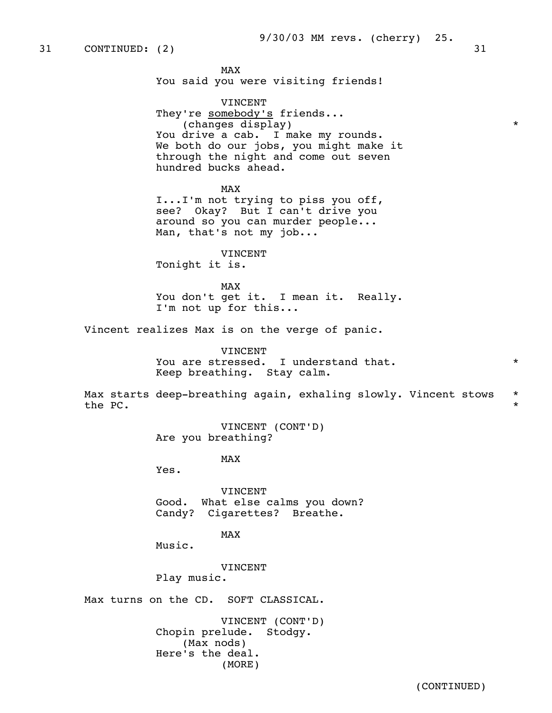MAX and the state of the state of the state of the state of the state of the state of the state of the state of the state of the state of the state of the state of the state of the state of the state of the state of the st You said you were visiting friends!

 VINCENT They're somebody's friends... (changes display) \* You drive a cab. I make my rounds. We both do our jobs, you might make it through the night and come out seven hundred bucks ahead.

MAX and the state of the state of the state of the state of the state of the state of the state of the state of the state of the state of the state of the state of the state of the state of the state of the state of the st I...I'm not trying to piss you off, see? Okay? But I can't drive you around so you can murder people... Man, that's not my job...

> VINCENT Tonight it is.

MAX and the state of the state of the state of the state of the state of the state of the state of the state of the state of the state of the state of the state of the state of the state of the state of the state of the st You don't get it. I mean it. Really. I'm not up for this...

Vincent realizes Max is on the verge of panic.

 VINCENT You are stressed. I understand that.  $*$ Keep breathing. Stay calm.

Max starts deep-breathing again, exhaling slowly. Vincent stows \* the PC.  $\qquad \qquad \star$ 

> VINCENT (CONT'D) Are you breathing?

MAX and the state of the state of the state of the state of the state of the state of the state of the state of the state of the state of the state of the state of the state of the state of the state of the state of the st

Yes.

 VINCENT Good. What else calms you down? Candy? Cigarettes? Breathe.

MAX and the state of the state of the state of the state of the state of the state of the state of the state of the state of the state of the state of the state of the state of the state of the state of the state of the st

Music.

VINCENT

Play music.

Max turns on the CD. SOFT CLASSICAL.

 VINCENT (CONT'D) Chopin prelude. Stodgy. (Max nods) Here's the deal. (MORE)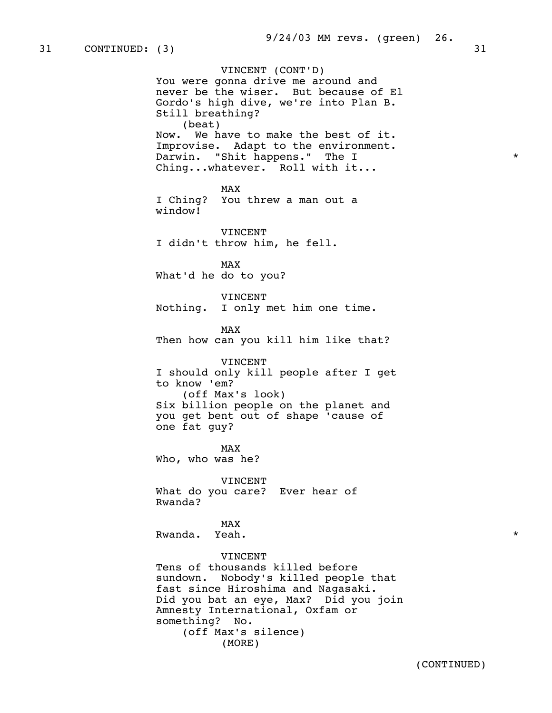VINCENT (CONT'D) You were gonna drive me around and never be the wiser. But because of El Gordo's high dive, we're into Plan B. Still breathing? (beat) Now. We have to make the best of it. Improvise. Adapt to the environment. Darwin. "Shit happens." The I \* Ching...whatever. Roll with it... MAX and the state of the state of the state of the state of the state of the state of the state of the state of the state of the state of the state of the state of the state of the state of the state of the state of the st I Ching? You threw a man out a window! VINCENT I didn't throw him, he fell. MAX and the state of the state of the state of the state of the state of the state of the state of the state of the state of the state of the state of the state of the state of the state of the state of the state of the st What'd he do to you? VINCENT Nothing. I only met him one time. MAX and the state of the state of the state of the state of the state of the state of the state of the state of the state of the state of the state of the state of the state of the state of the state of the state of the st Then how can you kill him like that? VINCENT I should only kill people after I get to know 'em? (off Max's look) Six billion people on the planet and you get bent out of shape 'cause of one fat guy? MAX and the state of the state of the state of the state of the state of the state of the state of the state of the state of the state of the state of the state of the state of the state of the state of the state of the st Who, who was he? VINCENT What do you care? Ever hear of Rwanda? MAX and the state of the state of the state of the state of the state of the state of the state of the state of the state of the state of the state of the state of the state of the state of the state of the state of the st Rwanda. Yeah. \* **VINCENT**  Tens of thousands killed before sundown. Nobody's killed people that fast since Hiroshima and Nagasaki. Did you bat an eye, Max? Did you join Amnesty International, Oxfam or something? No. (off Max's silence) (MORE)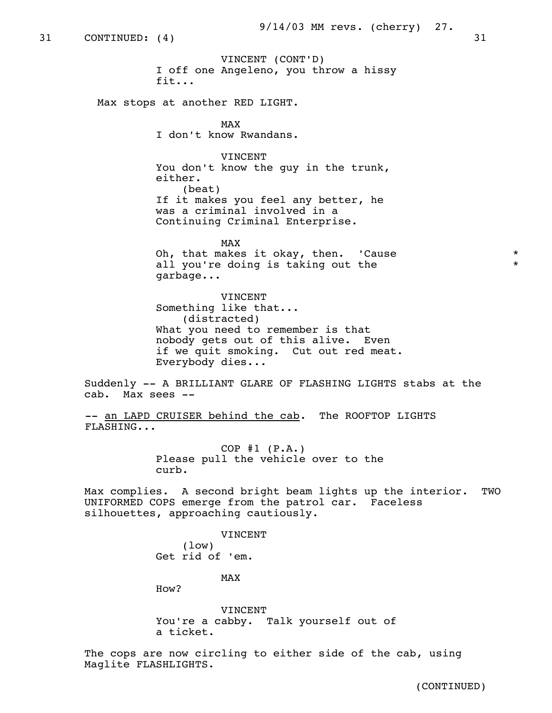VINCENT (CONT'D) I off one Angeleno, you throw a hissy fit...

Max stops at another RED LIGHT.

MAX and the state of the state of the state of the state of the state of the state of the state of the state of the state of the state of the state of the state of the state of the state of the state of the state of the st I don't know Rwandans.

> VINCENT You don't know the guy in the trunk, either. (beat) If it makes you feel any better, he was a criminal involved in a Continuing Criminal Enterprise.

MAX and the state of the state of the state of the state of the state of the state of the state of the state of the state of the state of the state of the state of the state of the state of the state of the state of the st Oh, that makes it okay, then. 'Cause \* all you're doing is taking out the  $*$ garbage...

> VINCENT Something like that... (distracted) What you need to remember is that nobody gets out of this alive. Even if we quit smoking. Cut out red meat. Everybody dies...

 Suddenly -- A BRILLIANT GLARE OF FLASHING LIGHTS stabs at the cab. Max sees --

-- an LAPD CRUISER behind the cab. The ROOFTOP LIGHTS FLASHING...

> $COP$  #1 ( $P.A.$ ) Please pull the vehicle over to the curb.

 Max complies. A second bright beam lights up the interior. TWO UNIFORMED COPS emerge from the patrol car. Faceless silhouettes, approaching cautiously.

> VINCENT (low) Get rid of 'em.

MAX and the state of the state of the state of the state of the state of the state of the state of the state of the state of the state of the state of the state of the state of the state of the state of the state of the st

How?

 VINCENT You're a cabby. Talk yourself out of a ticket.

 The cops are now circling to either side of the cab, using Maglite FLASHLIGHTS.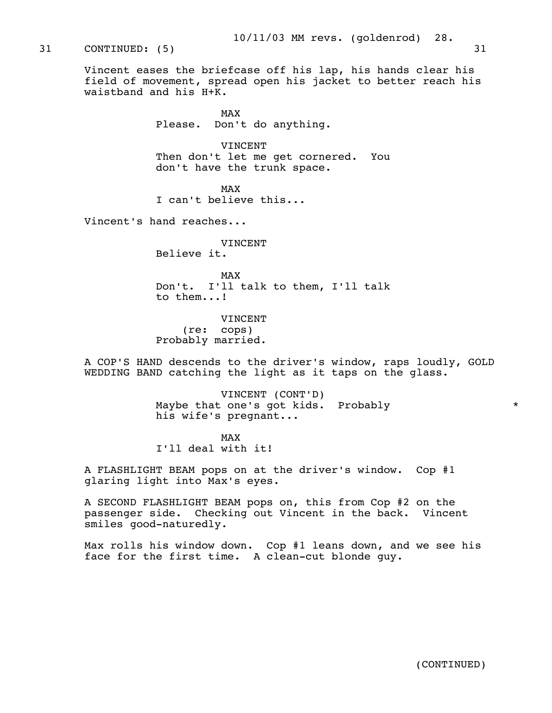# 31 CONTINUED: (5) 31

 Vincent eases the briefcase off his lap, his hands clear his field of movement, spread open his jacket to better reach his waistband and his  $H+\overline{K}$ .

MAX and the state of the state of the state of the state of the state of the state of the state of the state of the state of the state of the state of the state of the state of the state of the state of the state of the st Please. Don't do anything.

> VINCENT Then don't let me get cornered. You don't have the trunk space.

MAX and the state of the state of the state of the state of the state of the state of the state of the state of the state of the state of the state of the state of the state of the state of the state of the state of the st I can't believe this...

Vincent's hand reaches...

 VINCENT Believe it.

MAX and the state of the state of the state of the state of the state of the state of the state of the state of the state of the state of the state of the state of the state of the state of the state of the state of the st Don't. I'll talk to them, I'll talk to them...!

> VINCENT (re: cops) Probably married.

 A COP'S HAND descends to the driver's window, raps loudly, GOLD WEDDING BAND catching the light as it taps on the glass.

> VINCENT (CONT'D) Maybe that one's got kids. Probably \* his wife's pregnant...

MAX and the state of the state of the state of the state of the state of the state of the state of the state of the state of the state of the state of the state of the state of the state of the state of the state of the st I'll deal with it!

> A FLASHLIGHT BEAM pops on at the driver's window. Cop #1 glaring light into Max's eyes.

 A SECOND FLASHLIGHT BEAM pops on, this from Cop #2 on the passenger side. Checking out Vincent in the back. Vincent smiles good-naturedly.

 Max rolls his window down. Cop #1 leans down, and we see his face for the first time. A clean-cut blonde guy.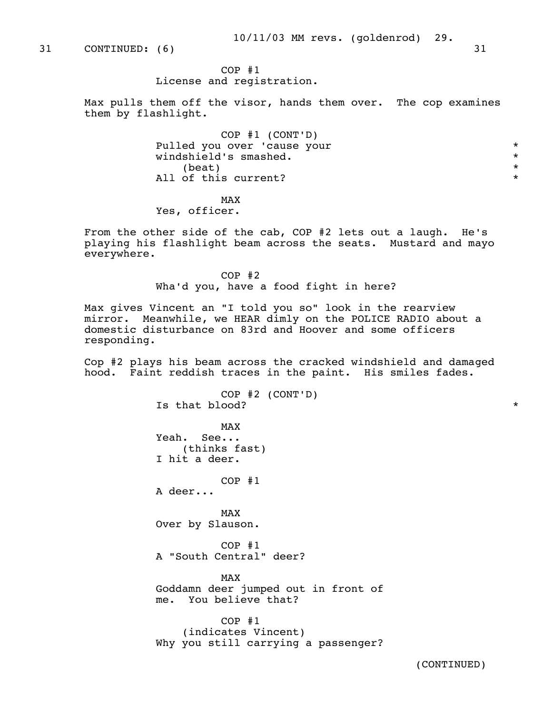31 CONTINUED: (6) 31

# COP #1

License and registration.

 Max pulls them off the visor, hands them over. The cop examines them by flashlight.

 COP #1 (CONT'D) Pulled you over 'cause your \* windshield's smashed. \*  $\star$ All of this current?  $*$ 

MAX and the state of the state of the state of the state of the state of the state of the state of the state of the state of the state of the state of the state of the state of the state of the state of the state of the st Yes, officer.

> From the other side of the cab, COP #2 lets out a laugh. He's playing his flashlight beam across the seats. Mustard and mayo everywhere.

> > COP #2 Wha'd you, have a food fight in here?

 Max gives Vincent an "I told you so" look in the rearview mirror. Meanwhile, we HEAR dimly on the POLICE RADIO about a domestic disturbance on 83rd and Hoover and some officers responding.

 Cop #2 plays his beam across the cracked windshield and damaged hood. Faint reddish traces in the paint. His smiles fades.

 COP #2 (CONT'D) Is that blood?  $*$ MAX and the state of the state of the state of the state of the state of the state of the state of the state of the state of the state of the state of the state of the state of the state of the state of the state of the st Yeah. See... (thinks fast) I hit a deer. COP #1 A deer... MAX and the state of the state of the state of the state of the state of the state of the state of the state of the state of the state of the state of the state of the state of the state of the state of the state of the st Over by Slauson. COP #1 A "South Central" deer? MAX and the state of the state of the state of the state of the state of the state of the state of the state of the state of the state of the state of the state of the state of the state of the state of the state of the st Goddamn deer jumped out in front of me. You believe that? COP #1 (indicates Vincent) Why you still carrying a passenger?

(CONTINUED)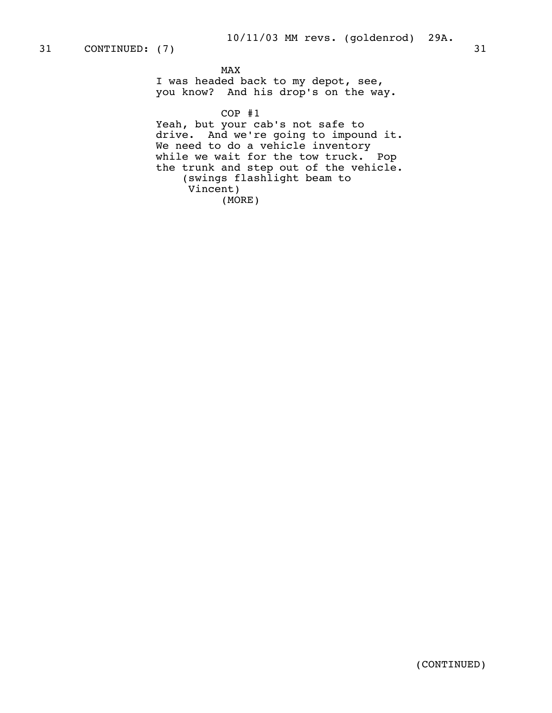# MAX and the state of the state of the state of the state of the state of the state of the state of the state of the state of the state of the state of the state of the state of the state of the state of the state of the st

 I was headed back to my depot, see, you know? And his drop's on the way.

COP #1

 Yeah, but your cab's not safe to drive. And we're going to impound it. We need to do a vehicle inventory while we wait for the tow truck. Pop the trunk and step out of the vehicle. (swings flashlight beam to Vincent) (MORE)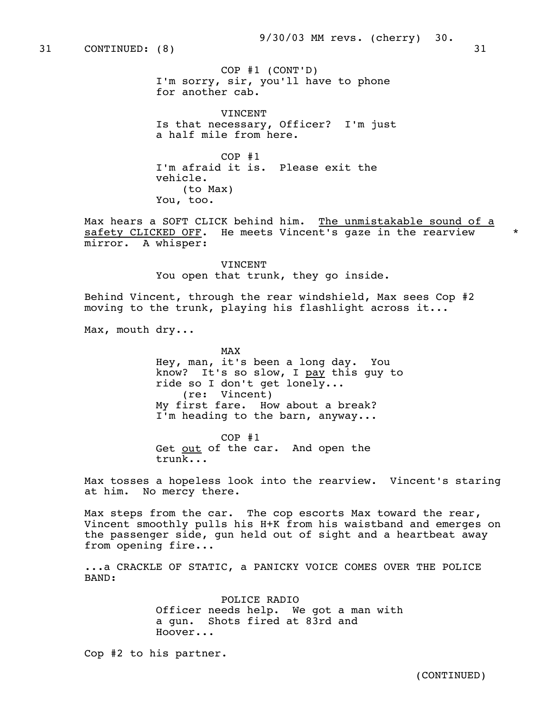COP #1 (CONT'D) I'm sorry, sir, you'll have to phone for another cab.

 VINCENT Is that necessary, Officer? I'm just a half mile from here.

 COP #1 I'm afraid it is. Please exit the vehicle. (to Max) You, too.

Max hears a SOFT CLICK behind him. The unmistakable sound of a safety CLICKED OFF. He meets Vincent's gaze in the rearview \* mirror. A whisper:

> VINCENT You open that trunk, they go inside.

 Behind Vincent, through the rear windshield, Max sees Cop #2 moving to the trunk, playing his flashlight across it...

Max, mouth dry...

MAX and the state of the state of the state of the state of the state of the state of the state of the state of the state of the state of the state of the state of the state of the state of the state of the state of the st Hey, man, it's been a long day. You know? It's so slow, I pay this guy to ride so I don't get lonely... (re: Vincent) My first fare. How about a break? I'm heading to the barn, anyway...

> COP #1 Get out of the car. And open the trunk...

 Max tosses a hopeless look into the rearview. Vincent's staring at him. No mercy there.

 Max steps from the car. The cop escorts Max toward the rear, Vincent smoothly pulls his H+K from his waistband and emerges on the passenger side, gun held out of sight and a heartbeat away from opening fire...

 ...a CRACKLE OF STATIC, a PANICKY VOICE COMES OVER THE POLICE BAND:

> POLICE RADIO Officer needs help. We got a man with a gun. Shots fired at 83rd and Hoover...

Cop #2 to his partner.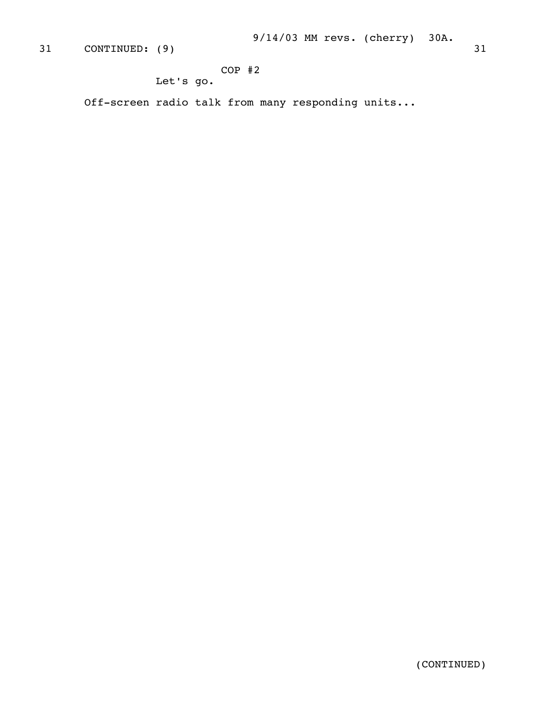# COP #2

Let's go.

Off-screen radio talk from many responding units...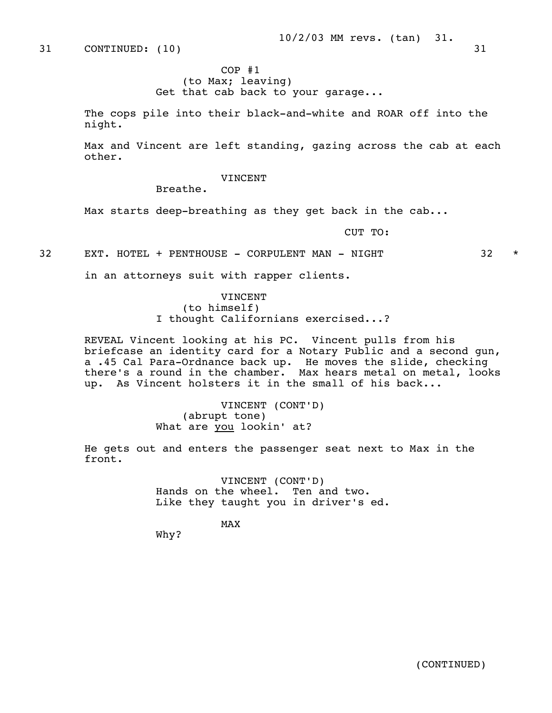31 CONTINUED: (10) 31

 COP #1 (to Max; leaving) Get that cab back to your garage...

 The cops pile into their black-and-white and ROAR off into the night.

 Max and Vincent are left standing, gazing across the cab at each other.

VINCENT

Breathe.

Max starts deep-breathing as they get back in the cab...

CUT TO:

32 EXT. HOTEL + PENTHOUSE - CORPULENT MAN - NIGHT 32 \*

in an attorneys suit with rapper clients.

 VINCENT (to himself) I thought Californians exercised...?

 REVEAL Vincent looking at his PC. Vincent pulls from his briefcase an identity card for a Notary Public and a second gun, a .45 Cal Para-Ordnance back up. He moves the slide, checking there's a round in the chamber. Max hears metal on metal, looks up. As Vincent holsters it in the small of his back...

> VINCENT (CONT'D) (abrupt tone) What are you lookin' at?

 He gets out and enters the passenger seat next to Max in the front.

> VINCENT (CONT'D) Hands on the wheel. Ten and two. Like they taught you in driver's ed.

MAX and the state of the state of the state of the state of the state of the state of the state of the state of the state of the state of the state of the state of the state of the state of the state of the state of the st

Why?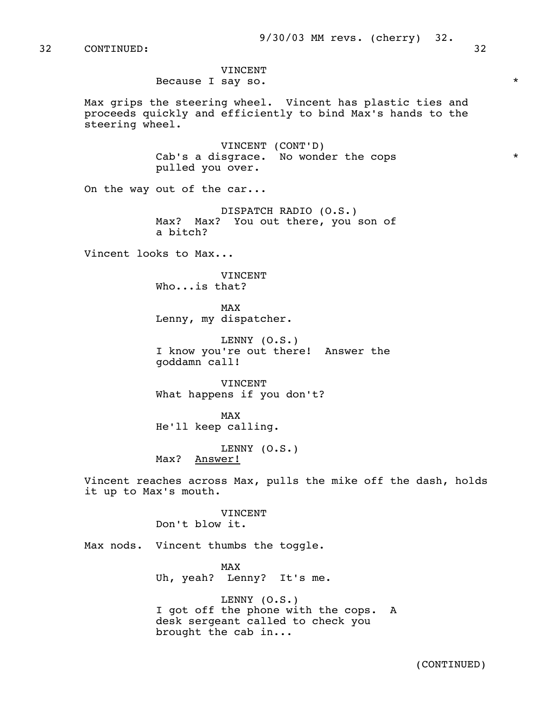9/30/03 MM revs. (cherry) 32.

32 CONTINUED: 32

 VINCENT Because I say so.  $*$ 

 Max grips the steering wheel. Vincent has plastic ties and proceeds quickly and efficiently to bind Max's hands to the steering wheel.

> VINCENT (CONT'D) Cab's a disgrace. No wonder the cops  $*$ pulled you over.

On the way out of the car...

 DISPATCH RADIO (O.S.) Max? Max? You out there, you son of a bitch?

Vincent looks to Max...

 VINCENT Who...is that?

MAX and the state of the state of the state of the state of the state of the state of the state of the state of the state of the state of the state of the state of the state of the state of the state of the state of the st Lenny, my dispatcher.

> LENNY (O.S.) I know you're out there! Answer the goddamn call!

**VINCENT** What happens if you don't?

MAX and the state of the state of the state of the state of the state of the state of the state of the state of the state of the state of the state of the state of the state of the state of the state of the state of the st He'll keep calling.

> LENNY (O.S.) Max? Answer!

 Vincent reaches across Max, pulls the mike off the dash, holds it up to Max's mouth.

> VINCENT Don't blow it.

Max nods. Vincent thumbs the toggle.

MAX and the state of the state of the state of the state of the state of the state of the state of the state of the state of the state of the state of the state of the state of the state of the state of the state of the st Uh, yeah? Lenny? It's me.

> LENNY (O.S.) I got off the phone with the cops. A desk sergeant called to check you brought the cab in...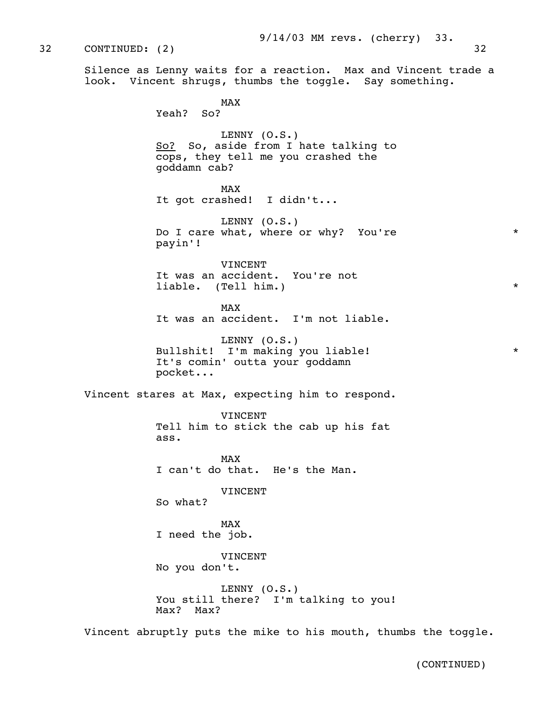32 CONTINUED: (2) 32

 Silence as Lenny waits for a reaction. Max and Vincent trade a look. Vincent shrugs, thumbs the toggle. Say something.

MAX and the state of the state of the state of the state of the state of the state of the state of the state of the state of the state of the state of the state of the state of the state of the state of the state of the st Yeah? So? LENNY (O.S.) So? So, aside from I hate talking to cops, they tell me you crashed the goddamn cab? MAX and the state of the state of the state of the state of the state of the state of the state of the state of the state of the state of the state of the state of the state of the state of the state of the state of the st It got crashed! I didn't... LENNY (O.S.) Do I care what, where or why? You're \*\* payin'! **VINCENT**  It was an accident. You're not liable. (Tell him.) \* MAX and the state of the state of the state of the state of the state of the state of the state of the state of the state of the state of the state of the state of the state of the state of the state of the state of the st It was an accident. I'm not liable. LENNY (O.S.) Bullshit! I'm making you liable! \* \* It's comin' outta your goddamn pocket... Vincent stares at Max, expecting him to respond. VINCENT Tell him to stick the cab up his fat ass. MAX and the state of the state of the state of the state of the state of the state of the state of the state of the state of the state of the state of the state of the state of the state of the state of the state of the st I can't do that. He's the Man. VINCENT So what? MAX and the state of the state of the state of the state of the state of the state of the state of the state of the state of the state of the state of the state of the state of the state of the state of the state of the st I need the job. VINCENT No you don't. LENNY (O.S.) You still there? I'm talking to you! Max? Max?

Vincent abruptly puts the mike to his mouth, thumbs the toggle.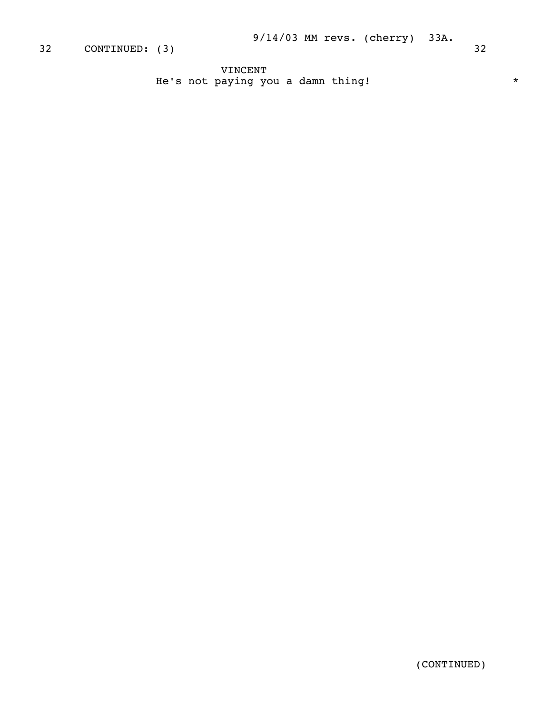VINCENT He's not paying you a damn thing!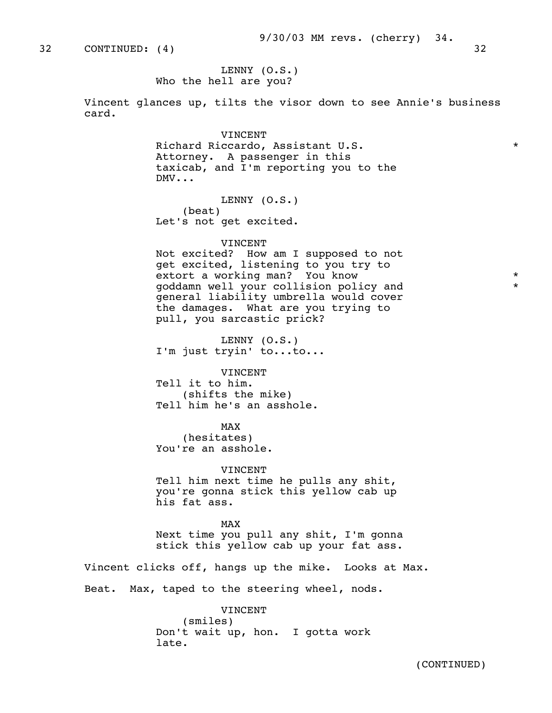32 CONTINUED: (4) 32

 LENNY (O.S.) Who the hell are you?

 Vincent glances up, tilts the visor down to see Annie's business card.

> VINCENT Richard Riccardo, Assistant U.S. \* Attorney. A passenger in this taxicab, and I'm reporting you to the DMV...

LENNY (O.S.) (beat) Let's not get excited.

#### VINCENT

 Not excited? How am I supposed to not get excited, listening to you try to extort a working man? You know  $*$  goddamn well your collision policy and \* general liability umbrella would cover the damages. What are you trying to pull, you sarcastic prick?

 LENNY (O.S.) I'm just tryin' to...to...

VINCENT

 Tell it to him. (shifts the mike) Tell him he's an asshole.

MAX and the state of the state of the state of the state of the state of the state of the state of the state of the state of the state of the state of the state of the state of the state of the state of the state of the st (hesitates) You're an asshole.

> VINCENT Tell him next time he pulls any shit, you're gonna stick this yellow cab up his fat ass.

MAX and the state of the state of the state of the state of the state of the state of the state of the state of the state of the state of the state of the state of the state of the state of the state of the state of the st Next time you pull any shit, I'm gonna stick this yellow cab up your fat ass.

> Vincent clicks off, hangs up the mike. Looks at Max. Beat. Max, taped to the steering wheel, nods.

> > VINCENT (smiles) Don't wait up, hon. I gotta work late.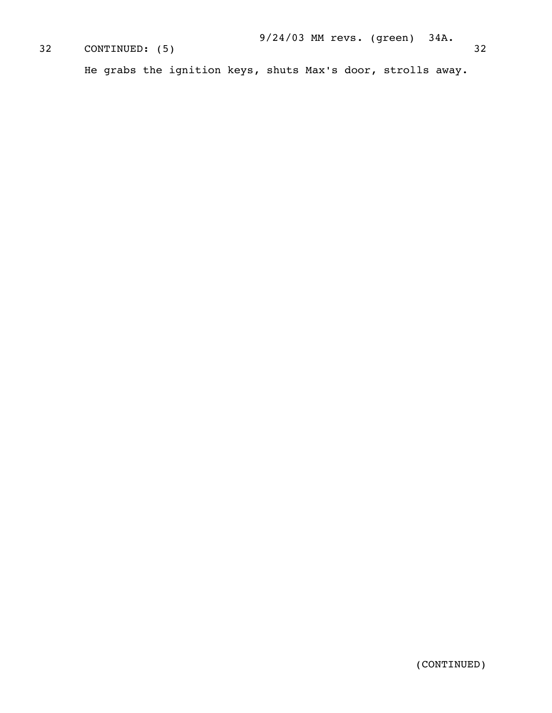# 9/24/03 MM revs. (green) 34A. CONTINUED: (5) 32 He grabs the ignition keys, shuts Max's door, strolls away.

(CONTINUED)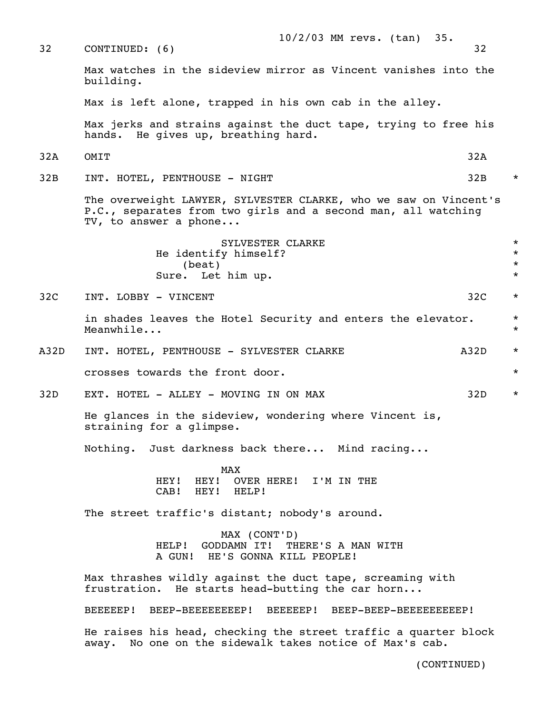| 32   | $10/2/03$ MM revs. (tan)<br>35.<br>CONTINUED: (6)                                                                                                          | 32   |                                          |
|------|------------------------------------------------------------------------------------------------------------------------------------------------------------|------|------------------------------------------|
|      | Max watches in the sideview mirror as Vincent vanishes into the<br>building.                                                                               |      |                                          |
|      | Max is left alone, trapped in his own cab in the alley.                                                                                                    |      |                                          |
|      | Max jerks and strains against the duct tape, trying to free his<br>hands. He gives up, breathing hard.                                                     |      |                                          |
| 32A  | OMIT                                                                                                                                                       | 32A  |                                          |
| 32B  | INT. HOTEL, PENTHOUSE - NIGHT                                                                                                                              | 32B  | $\star$                                  |
|      | The overweight LAWYER, SYLVESTER CLARKE, who we saw on Vincent's<br>P.C., separates from two girls and a second man, all watching<br>TV, to answer a phone |      |                                          |
|      | SYLVESTER CLARKE<br>He identify himself?<br>(beat)<br>Sure. Let him up.                                                                                    |      | $\star$<br>$\star$<br>$\star$<br>$\star$ |
| 32C  | INT. LOBBY - VINCENT                                                                                                                                       | 32C  | $\star$                                  |
|      | in shades leaves the Hotel Security and enters the elevator.<br>$\star$<br>Meanwhile<br>$\star$                                                            |      |                                          |
| A32D | INT. HOTEL, PENTHOUSE - SYLVESTER CLARKE                                                                                                                   | A32D | $\star$                                  |
|      | crosses towards the front door.                                                                                                                            |      | $\star$                                  |
| 32D  | EXT. HOTEL - ALLEY - MOVING IN ON MAX                                                                                                                      | 32D  | $\star$                                  |
|      | He glances in the sideview, wondering where Vincent is,<br>straining for a glimpse.                                                                        |      |                                          |
|      | Nothing. Just darkness back there Mind racing                                                                                                              |      |                                          |
|      | MAX<br>HEY! HEY! OVER HERE! I'M IN THE<br>CAB! HEY! HELP!                                                                                                  |      |                                          |
|      | The street traffic's distant; nobody's around.                                                                                                             |      |                                          |
|      | MAX (CONT'D)<br>HELP! GODDAMN IT! THERE'S A MAN WITH<br>A GUN! HE'S GONNA KILL PEOPLE!                                                                     |      |                                          |
|      | Max thrashes wildly against the duct tape, screaming with<br>frustration. He starts head-butting the car horn                                              |      |                                          |
|      | BEEEEEP! BEEP-BEEEEEEEEP! BEEEEEP! BEEP-BEEP-BEEEEEEEEEP!                                                                                                  |      |                                          |
|      | He raises his head, checking the street traffic a quarter block<br>away. No one on the sidewalk takes notice of Max's cab.                                 |      |                                          |

(CONTINUED)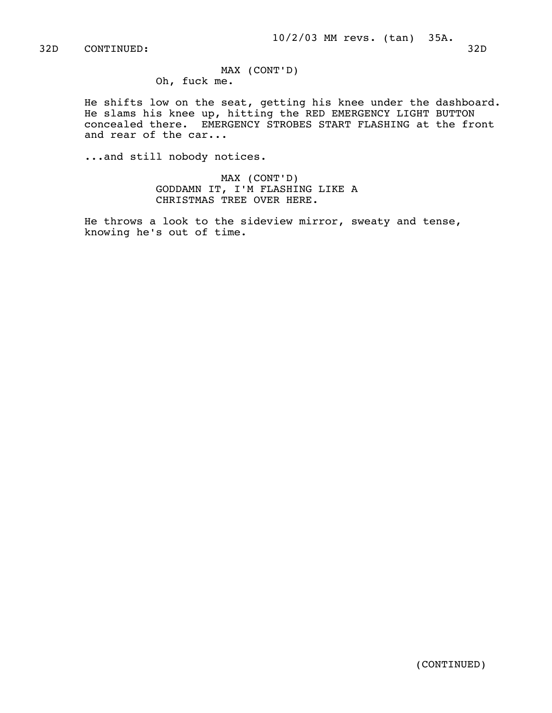MAX (CONT'D) Oh, fuck me.

 He shifts low on the seat, getting his knee under the dashboard. He slams his knee up, hitting the RED EMERGENCY LIGHT BUTTON concealed there. EMERGENCY STROBES START FLASHING at the front and rear of the car...

...and still nobody notices.

 MAX (CONT'D) GODDAMN IT, I'M FLASHING LIKE A CHRISTMAS TREE OVER HERE.

 He throws a look to the sideview mirror, sweaty and tense, knowing he's out of time.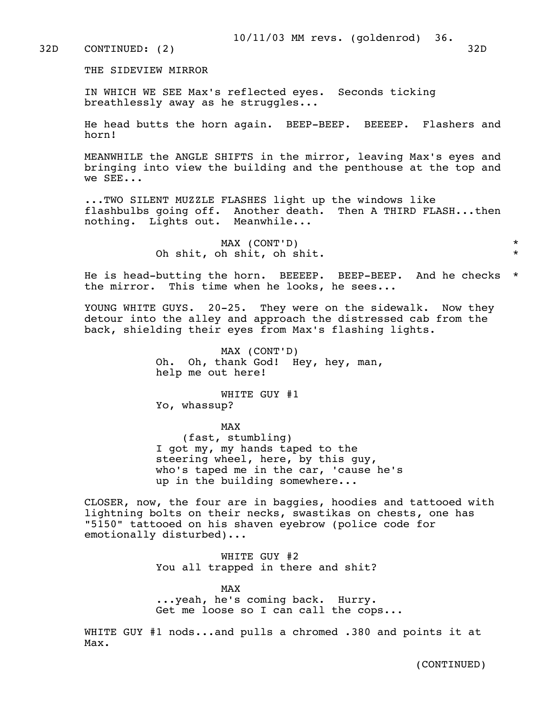THE SIDEVIEW MIRROR

 IN WHICH WE SEE Max's reflected eyes. Seconds ticking breathlessly away as he struggles...

 He head butts the horn again. BEEP-BEEP. BEEEEP. Flashers and horn!

 MEANWHILE the ANGLE SHIFTS in the mirror, leaving Max's eyes and bringing into view the building and the penthouse at the top and we SEE...

 ...TWO SILENT MUZZLE FLASHES light up the windows like flashbulbs going off. Another death. Then A THIRD FLASH...then nothing. Lights out. Meanwhile...

> MAX (CONT'D) \* Oh shit, oh shit, oh shit. \*

 He is head-butting the horn. BEEEEP. BEEP-BEEP. And he checks \* the mirror. This time when he looks, he sees...

YOUNG WHITE GUYS. 20-25. They were on the sidewalk. Now they detour into the alley and approach the distressed cab from the back, shielding their eyes from Max's flashing lights.

> MAX (CONT'D) Oh. Oh, thank God! Hey, hey, man, help me out here!

 WHITE GUY #1 Yo, whassup?

MAX and the state of the state of the state of the state of the state of the state of the state of the state of the state of the state of the state of the state of the state of the state of the state of the state of the st (fast, stumbling) I got my, my hands taped to the steering wheel, here, by this guy, who's taped me in the car, 'cause he's up in the building somewhere...

> CLOSER, now, the four are in baggies, hoodies and tattooed with lightning bolts on their necks, swastikas on chests, one has "5150" tattooed on his shaven eyebrow (police code for emotionally disturbed)...

> > WHITE GUY #2 You all trapped in there and shit?

MAX and the state of the state of the state of the state of the state of the state of the state of the state of the state of the state of the state of the state of the state of the state of the state of the state of the st ...yeah, he's coming back. Hurry. Get me loose so I can call the cops...

> WHITE GUY #1 nods...and pulls a chromed .380 and points it at Max.

> > (CONTINUED)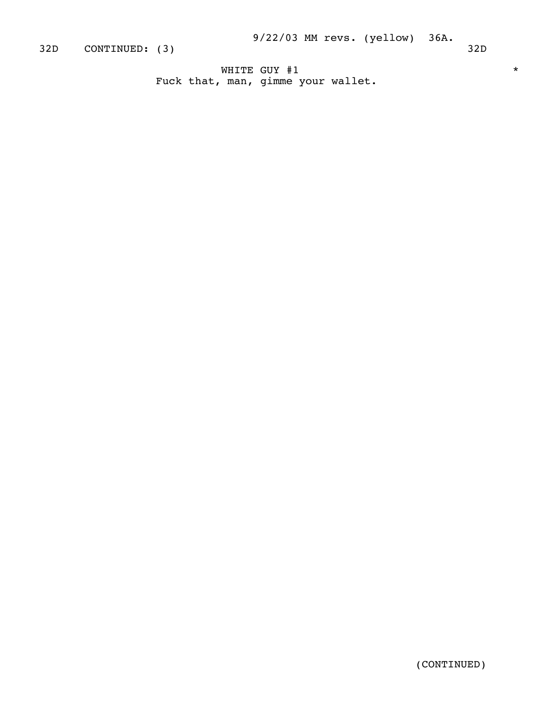WHITE GUY #1  $\star$ Fuck that, man, gimme your wallet.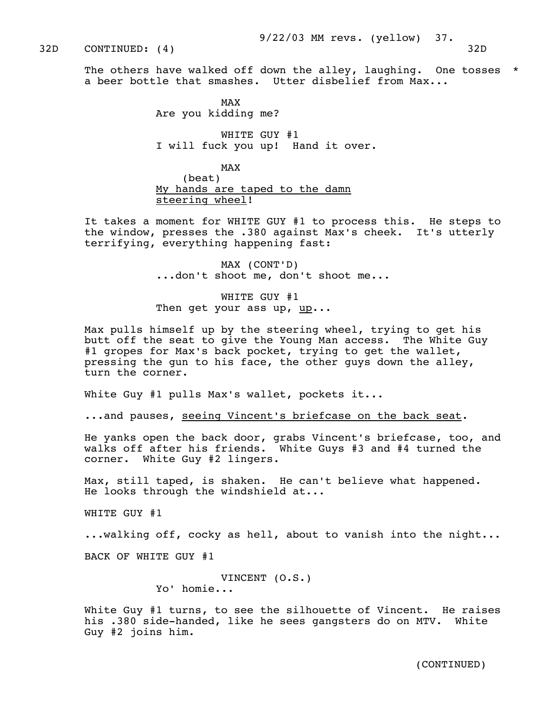32D CONTINUED: (4) 32D

MAX and the state of the state of the state of the state of the state of the state of the state of the state of the state of the state of the state of the state of the state of the state of the state of the state of the st Are you kidding me?

> WHITE GUY #1 I will fuck you up! Hand it over.

MAX and the state of the state of the state of the state of the state of the state of the state of the state of the state of the state of the state of the state of the state of the state of the state of the state of the st (beat) My hands are taped to the damn steering wheel!

> It takes a moment for WHITE GUY #1 to process this. He steps to the window, presses the .380 against Max's cheek. It's utterly terrifying, everything happening fast:

> > MAX (CONT'D) ...don't shoot me, don't shoot me...

 WHITE GUY #1 Then get your ass up,  $\mathbf{u}\mathbf{p} \cdot \mathbf{p}$ ...

 Max pulls himself up by the steering wheel, trying to get his butt off the seat to give the Young Man access. The White Guy #1 gropes for Max's back pocket, trying to get the wallet, pressing the gun to his face, the other guys down the alley, turn the corner.

White Guy #1 pulls Max's wallet, pockets it...

...and pauses, seeing Vincent's briefcase on the back seat.

 He yanks open the back door, grabs Vincent's briefcase, too, and walks off after his friends. White Guys #3 and #4 turned the corner. White Guy #2 lingers.

 Max, still taped, is shaken. He can't believe what happened. He looks through the windshield at...

WHITE GUY #1

...walking off, cocky as hell, about to vanish into the night...

BACK OF WHITE GUY #1

 VINCENT (O.S.) Yo' homie...

White Guy #1 turns, to see the silhouette of Vincent. He raises his .380 side-handed, like he sees gangsters do on MTV. White Guy #2 joins him.

(CONTINUED)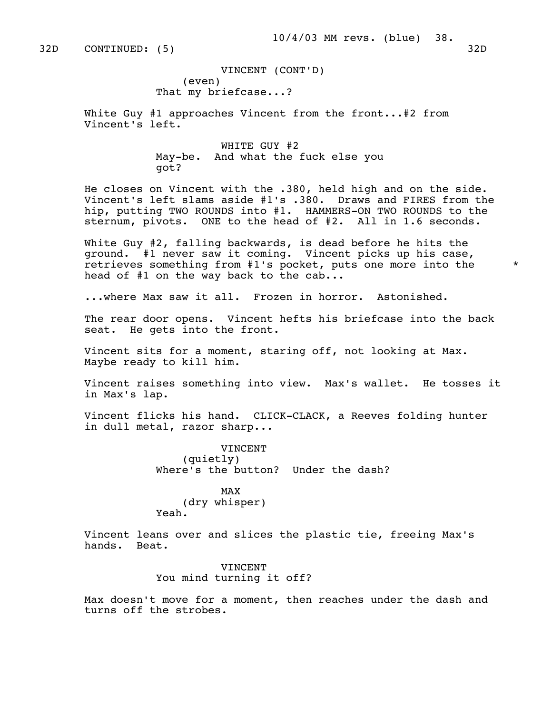VINCENT (CONT'D) (even) That my briefcase...?

White Guy #1 approaches Vincent from the front...#2 from Vincent's left.

> WHITE GUY #2 May-be. And what the fuck else you got?

 He closes on Vincent with the .380, held high and on the side. Vincent's left slams aside #1's .380. Draws and FIRES from the hip, putting TWO ROUNDS into #1. HAMMERS-ON TWO ROUNDS to the sternum, pivots. ONE to the head of #2. All in 1.6 seconds.

 White Guy #2, falling backwards, is dead before he hits the ground. #1 never saw it coming. Vincent picks up his case, retrieves something from #1's pocket, puts one more into the \* head of  $#1$  on the way back to the cab...

...where Max saw it all. Frozen in horror. Astonished.

 The rear door opens. Vincent hefts his briefcase into the back seat. He gets into the front.

 Vincent sits for a moment, staring off, not looking at Max. Maybe ready to kill him.

 Vincent raises something into view. Max's wallet. He tosses it in Max's lap.

 Vincent flicks his hand. CLICK-CLACK, a Reeves folding hunter in dull metal, razor sharp...

> VINCENT (quietly) Where's the button? Under the dash?

MAX and the state of the state of the state of the state of the state of the state of the state of the state of the state of the state of the state of the state of the state of the state of the state of the state of the st (dry whisper) Yeah.

> Vincent leans over and slices the plastic tie, freeing Max's hands. Beat.

> > VINCENT You mind turning it off?

 Max doesn't move for a moment, then reaches under the dash and turns off the strobes.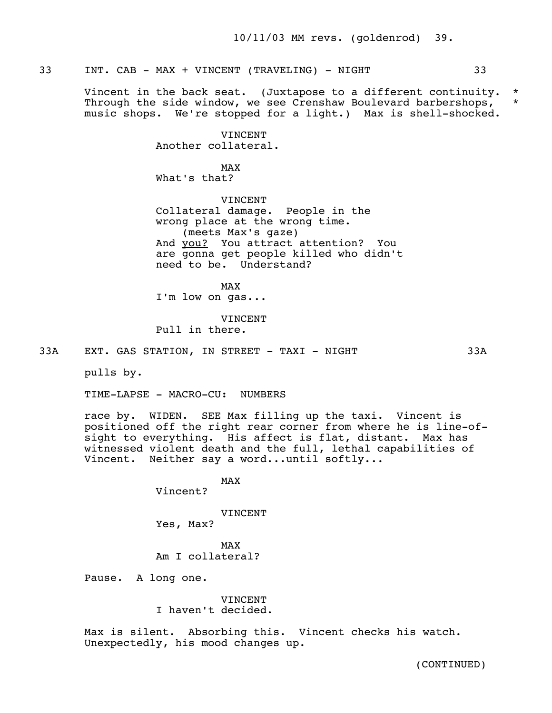# 33 INT. CAB - MAX + VINCENT (TRAVELING) - NIGHT 33

 Vincent in the back seat. (Juxtapose to a different continuity. \* Through the side window, we see Crenshaw Boulevard barbershops, \* music shops. We're stopped for a light.) Max is shell-shocked.

> VINCENT Another collateral.

MAX and the state of the state of the state of the state of the state of the state of the state of the state of the state of the state of the state of the state of the state of the state of the state of the state of the st What's that?

> **VINCENT**  Collateral damage. People in the wrong place at the wrong time. (meets Max's gaze) And you? You attract attention? You are gonna get people killed who didn't need to be. Understand?

MAX and the state of the state of the state of the state of the state of the state of the state of the state of the state of the state of the state of the state of the state of the state of the state of the state of the st I'm low on gas...

> **VINCENT** Pull in there.

33A EXT. GAS STATION, IN STREET - TAXI - NIGHT 33A

pulls by.

TIME-LAPSE - MACRO-CU: NUMBERS

 race by. WIDEN. SEE Max filling up the taxi. Vincent is positioned off the right rear corner from where he is line-of sight to everything. His affect is flat, distant. Max has witnessed violent death and the full, lethal capabilities of Vincent. Neither say a word...until softly...

MAX and the state of the state of the state of the state of the state of the state of the state of the state of the state of the state of the state of the state of the state of the state of the state of the state of the st Vincent?

VINCENT

Yes, Max?

MAX and the state of the state of the state of the state of the state of the state of the state of the state of the state of the state of the state of the state of the state of the state of the state of the state of the st Am I collateral?

Pause. A long one.

 VINCENT I haven't decided.

 Max is silent. Absorbing this. Vincent checks his watch. Unexpectedly, his mood changes up.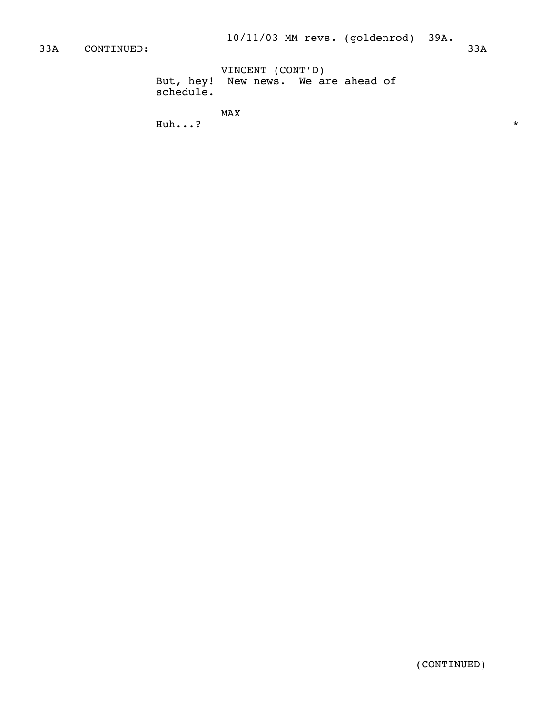VINCENT (CONT'D) But, hey! New news. We are ahead of schedule.

MAX<br>Huh...?  $\mathbf{Huh...?}$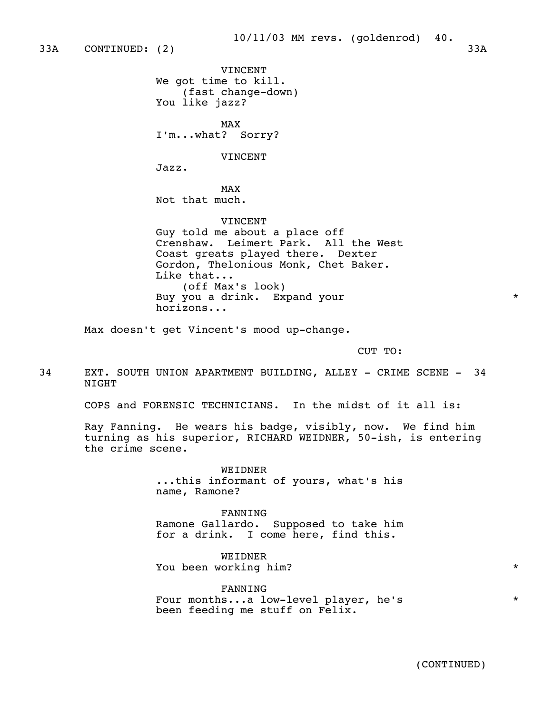# 10/11/03 MM revs. (goldenrod) 40.

 VINCENT We got time to kill. (fast change-down) You like jazz?

MAX and the state of the state of the state of the state of the state of the state of the state of the state of the state of the state of the state of the state of the state of the state of the state of the state of the st I'm...what? Sorry?

VINCENT

Jazz.

MAX and the state of the state of the state of the state of the state of the state of the state of the state of the state of the state of the state of the state of the state of the state of the state of the state of the st Not that much.

VINCENT

 Guy told me about a place off Crenshaw. Leimert Park. All the West Coast greats played there. Dexter Gordon, Thelonious Monk, Chet Baker. Like that... (off Max's look) Buy you a drink. Expand your  $*$ horizons...

Max doesn't get Vincent's mood up-change.

CUT TO:

34 EXT. SOUTH UNION APARTMENT BUILDING, ALLEY - CRIME SCENE - 34 **NTGHT** 

COPS and FORENSIC TECHNICIANS. In the midst of it all is:

 Ray Fanning. He wears his badge, visibly, now. We find him turning as his superior, RICHARD WEIDNER, 50-ish, is entering the crime scene.

> WEIDNER ...this informant of yours, what's his name, Ramone?

> FANNING Ramone Gallardo. Supposed to take him for a drink. I come here, find this.

**WEIDNER** You been working him? \*

 FANNING Four months...a low-level player, he's \* been feeding me stuff on Felix.

(CONTINUED)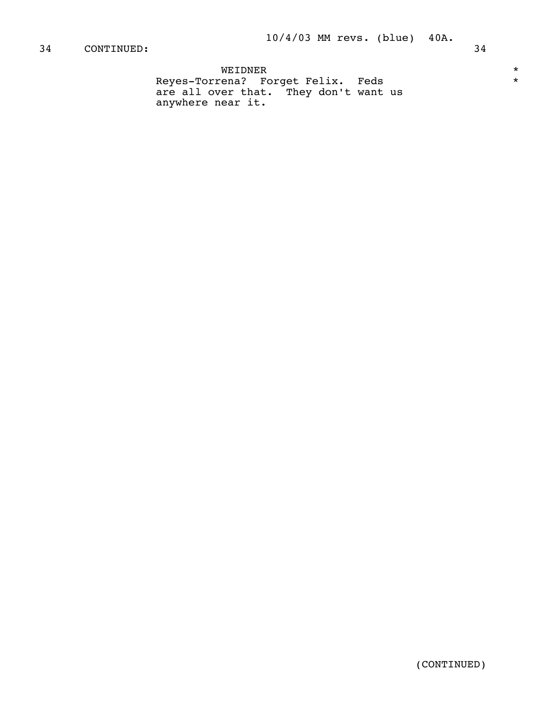WEIDNER \* Reyes-Torrena? Forget Felix. Feds \* \* \* are all over that. They don't want us anywhere near it.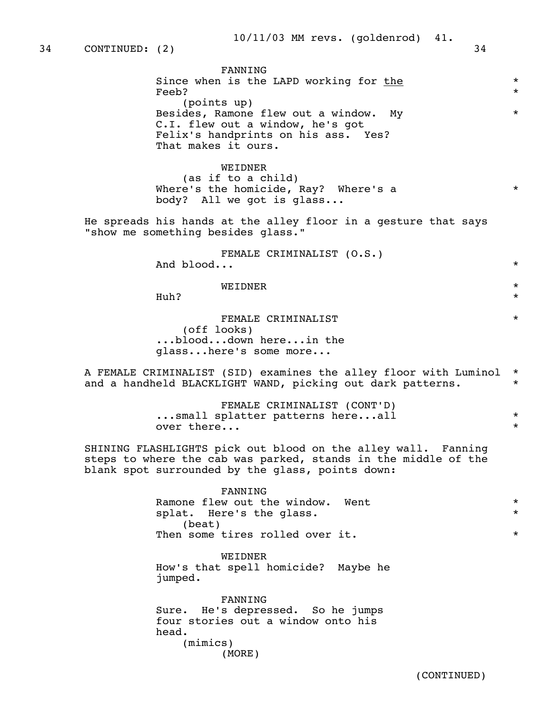| FANNING                                |         |
|----------------------------------------|---------|
| Since when is the LAPD working for the | $\star$ |
| Feeb?                                  | $\star$ |
| (points up)                            |         |
| Besides, Ramone flew out a window. My  | $\star$ |
| C.I. flew out a window, he's got       |         |
| Felix's handprints on his ass. Yes?    |         |
| That makes it ours.                    |         |
|                                        |         |

WEIDNER

 (as if to a child) Where's the homicide, Ray? Where's a \* body? All we got is glass...

 He spreads his hands at the alley floor in a gesture that says "show me something besides glass."

> FEMALE CRIMINALIST (O.S.) And blood...  $\star$

WEIDNER \*

 $\mathbf{Huh?}$ 

FEMALE CRIMINALIST  $*$  (off looks) ...blood...down here...in the glass...here's some more...

 A FEMALE CRIMINALIST (SID) examines the alley floor with Luminol \* and a handheld BLACKLIGHT WAND, picking out dark patterns. \*

> FEMALE CRIMINALIST (CONT'D) ...small splatter patterns here...all \* over there...

 SHINING FLASHLIGHTS pick out blood on the alley wall. Fanning steps to where the cab was parked, stands in the middle of the blank spot surrounded by the glass, points down:

> FANNING Ramone flew out the window. Went  $*$ splat. Here's the glass.  $*$  (beat) Then some tires rolled over it.  $*$

**WEIDNER**  How's that spell homicide? Maybe he jumped.

 FANNING Sure. He's depressed. So he jumps four stories out a window onto his head. (mimics) (MORE)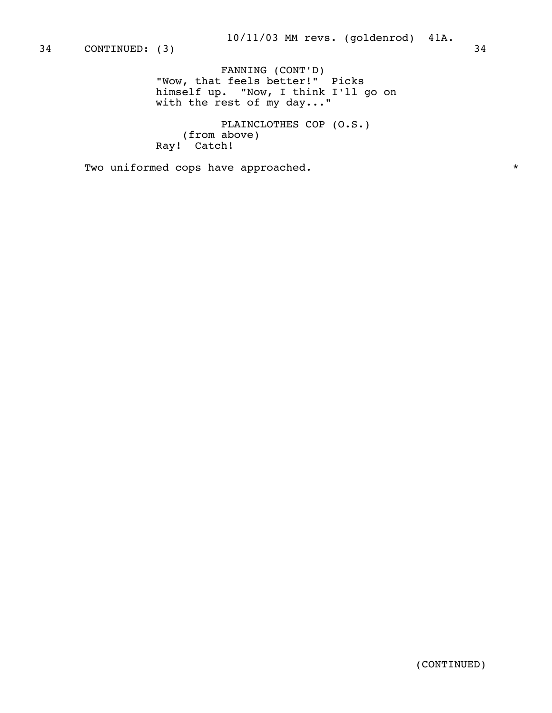FANNING (CONT'D) "Wow, that feels better!" Picks himself up. "Now, I think I'll go on with the rest of my day..."

> PLAINCLOTHES COP (O.S.) (from above) Ray! Catch!

Two uniformed cops have approached.  $*$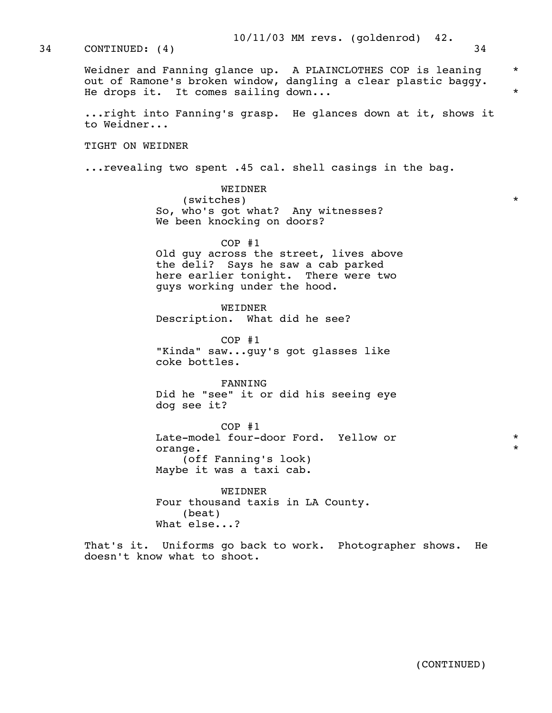Weidner and Fanning glance up. A PLAINCLOTHES COP is leaning  $\quad$  \* out of Ramone's broken window, dangling a clear plastic baggy. He drops it. It comes sailing down...

> ...right into Fanning's grasp. He glances down at it, shows it to Weidner...

TIGHT ON WEIDNER

...revealing two spent .45 cal. shell casings in the bag.

 WEIDNER (switches) \* So, who's got what? Any witnesses? We been knocking on doors?

 COP #1 Old guy across the street, lives above the deli? Says he saw a cab parked here earlier tonight. There were two guys working under the hood.

 WEIDNER Description. What did he see?

 COP #1 "Kinda" saw...guy's got glasses like coke bottles.

 FANNING Did he "see" it or did his seeing eye dog see it?

 COP #1 Late-model four-door Ford. Yellow or \* orange.  $\star$  (off Fanning's look) Maybe it was a taxi cab.

> WEIDNER Four thousand taxis in LA County. (beat) What else...?

 That's it. Uniforms go back to work. Photographer shows. He doesn't know what to shoot.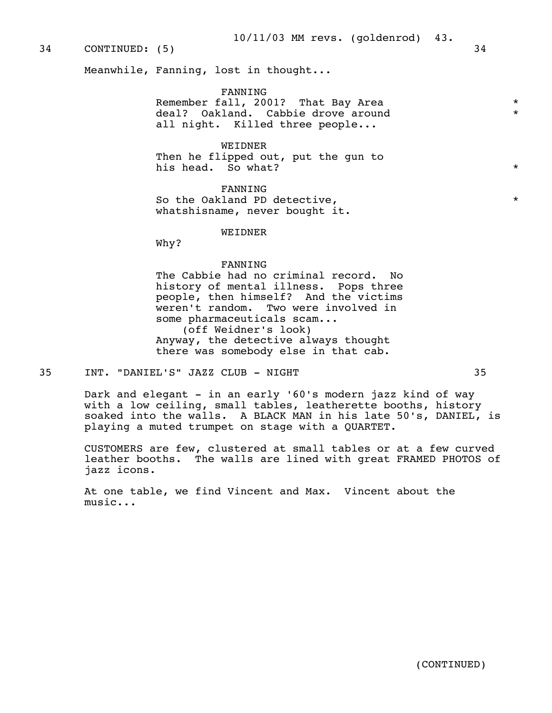# 34 CONTINUED: (5) 34

Meanwhile, Fanning, lost in thought...

FANNING

Remember fall, 2001? That Bay Area  $\star$ <br>deal? Oakland Cabbio drove around  $\star$ deal? Oakland. Cabbie drove around all night. Killed three people...

## WEIDNER

 Then he flipped out, put the gun to his head. So what?  $*$ 

FANNING

So the Oakland PD detective,  $\star$ whatshisname, never bought it.

#### WEIDNER

Why?

#### FANNING

 The Cabbie had no criminal record. No history of mental illness. Pops three people, then himself? And the victims weren't random. Two were involved in some pharmaceuticals scam... (off Weidner's look) Anyway, the detective always thought there was somebody else in that cab.

#### 35 INT. "DANIEL'S" JAZZ CLUB - NIGHT 35

 Dark and elegant - in an early '60's modern jazz kind of way with a low ceiling, small tables, leatherette booths, history soaked into the walls. A BLACK MAN in his late 50's, DANIEL, is playing a muted trumpet on stage with a QUARTET.

 CUSTOMERS are few, clustered at small tables or at a few curved leather booths. The walls are lined with great FRAMED PHOTOS of jazz icons.

 At one table, we find Vincent and Max. Vincent about the music...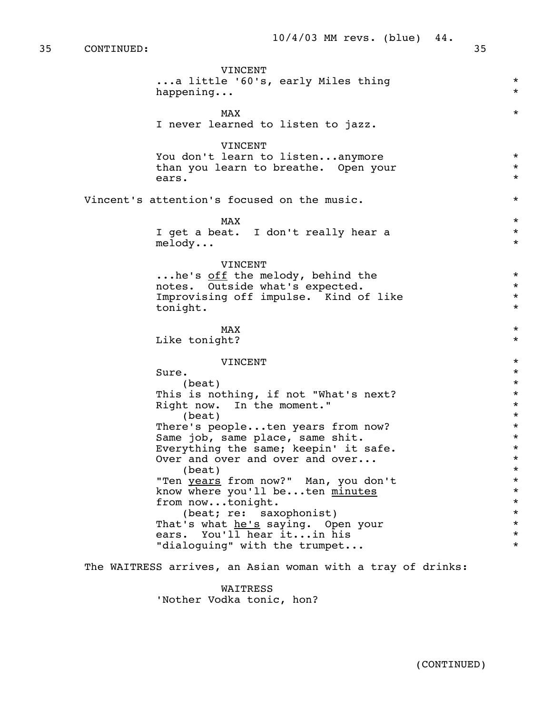35 CONTINUED: 35

 VINCENT ...a little '60's, early Miles thing \* happening...  $\star$  $MAX$  \* I never learned to listen to jazz. **VINCENT**  You don't learn to listen...anymore \* than you learn to breathe. Open your  $*$ ears.  $*$ Vincent's attention's focused on the music.  $*$  $MAX$  \* I get a beat. I don't really hear a \* melody... \* VINCENT ...he's off the melody, behind the \* notes. Outside what's expected.  $\star$ <br>Improvising off impulse. Kind of like  $\star$ Improvising off impulse. Kind of like  $\qquad \qquad *$ <br>tonight \* tonight.  $\star$  $MAX$  \* Like tonight?  $\star$  VINCENT \*  $Sure.$  $\star$ This is nothing, if not "What's next?<br>Right now. In the moment." Right now. In the moment."<br>(beat) \*  $\star$ There's people...ten years from now?<br>Same iob, same place, same shit. \* \* \* \* \* \* \* Same job, same place, same shit.  $*$ <br>Everything the same: keepin' it safe.  $*$ Everything the same; keepin' it safe.  $*$ <br>Over and over and over and over... Over and over and over and over...  $\star$ <br>(beat)  $\star$  "Ten years from now?" Man, you don't \* know where you'll be...ten minutes \* from now...tonight. \* (beat; re: saxophonist) \* That's what <u>he's</u> saying. Open your  $*$ <br>ears. You'll hear it...in his ears. You'll hear it...in his \* "dialoguing" with the trumpet... The WAITRESS arrives, an Asian woman with a tray of drinks:

> WAITRESS 'Nother Vodka tonic, hon?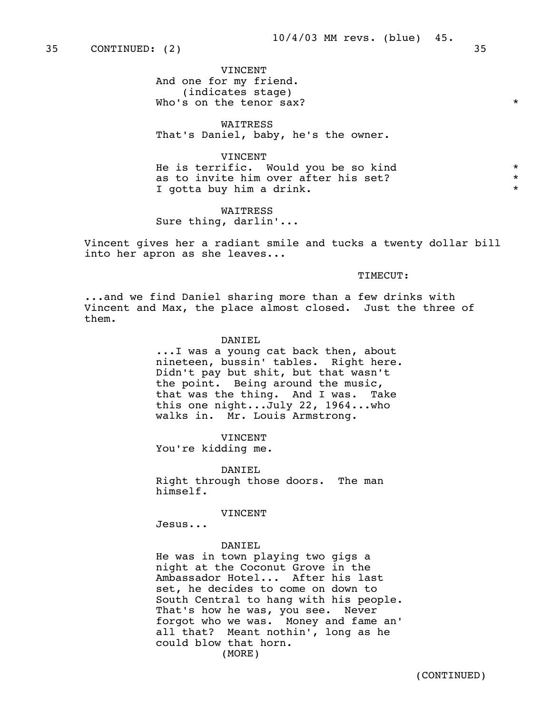VINCENT And one for my friend. (indicates stage) Who's on the tenor sax?  $*$ 

 WAITRESS That's Daniel, baby, he's the owner.

 VINCENT He is terrific. Would you be so kind  $*$ <br>as to invite him over after his set? as to invite him over after his set? \* I gotta buy him a drink.

 WAITRESS Sure thing, darlin'...

 Vincent gives her a radiant smile and tucks a twenty dollar bill into her apron as she leaves...

# TIMECUT:

 ...and we find Daniel sharing more than a few drinks with Vincent and Max, the place almost closed. Just the three of them.

#### DANIEL

 ...I was a young cat back then, about nineteen, bussin' tables. Right here. Didn't pay but shit, but that wasn't the point. Being around the music, that was the thing. And I was. Take this one night...July 22, 1964...who walks in. Mr. Louis Armstrong.

**VINCENT** You're kidding me.

 DANIEL Right through those doors. The man himself.

VINCENT

Jesus...

#### DANIEL

 He was in town playing two gigs a night at the Coconut Grove in the Ambassador Hotel... After his last set, he decides to come on down to South Central to hang with his people. That's how he was, you see. Never forgot who we was. Money and fame an' all that? Meant nothin', long as he could blow that horn. (MORE)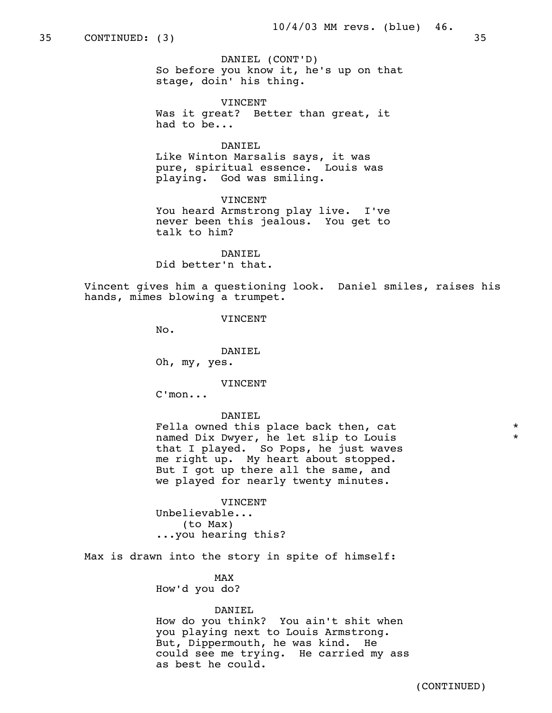## 35 CONTINUED: (3) 35

 DANIEL (CONT'D) So before you know it, he's up on that stage, doin' his thing.

 VINCENT Was it great? Better than great, it had to be...

## DANIEL

 Like Winton Marsalis says, it was pure, spiritual essence. Louis was playing. God was smiling.

**VINCENT**  You heard Armstrong play live. I've never been this jealous. You get to talk to him?

 DANIEL Did better'n that.

 Vincent gives him a questioning look. Daniel smiles, raises his hands, mimes blowing a trumpet.

**VINCENT** 

No.

DANIEL

Oh, my, yes.

**VINCENT** 

C'mon...

#### DANIEL

Fella owned this place back then, cat  $*$ named Dix Dwyer, he let slip to Louis \* that I played. So Pops, he just waves me right up. My heart about stopped. But I got up there all the same, and we played for nearly twenty minutes.

**VINCENT**  Unbelievable... (to Max) ...you hearing this?

Max is drawn into the story in spite of himself:

MAX and the state of the state of the state of the state of the state of the state of the state of the state o How'd you do?

#### DANIEL

 How do you think? You ain't shit when you playing next to Louis Armstrong. But, Dippermouth, he was kind. He could see me trying. He carried my ass as best he could.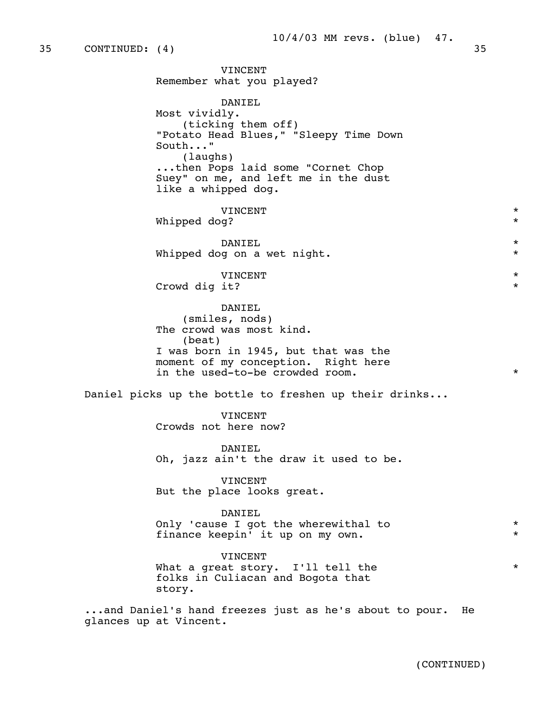VINCENT Remember what you played? DANIEL Most vividly. (ticking them off) "Potato Head Blues," "Sleepy Time Down South..." (laughs) ...then Pops laid some "Cornet Chop Suey" on me, and left me in the dust like a whipped dog. VINCENT \* Whipped dog?  $*$  DANIEL \* Whipped dog on a wet night.  $*$  VINCENT \* Crowd dig it? \* DANIEL (smiles, nods) The crowd was most kind. (beat) I was born in 1945, but that was the moment of my conception. Right here in the used-to-be crowded room. \* Daniel picks up the bottle to freshen up their drinks... VINCENT Crowds not here now? DANIEL Oh, jazz ain't the draw it used to be. VINCENT But the place looks great. DANIEL Only 'cause I got the wherewithal to  $*$ finance keepin' it up on my own.  $*$  VINCENT What a great story. I'll tell the  $*$  folks in Culiacan and Bogota that story. ...and Daniel's hand freezes just as he's about to pour. He glances up at Vincent.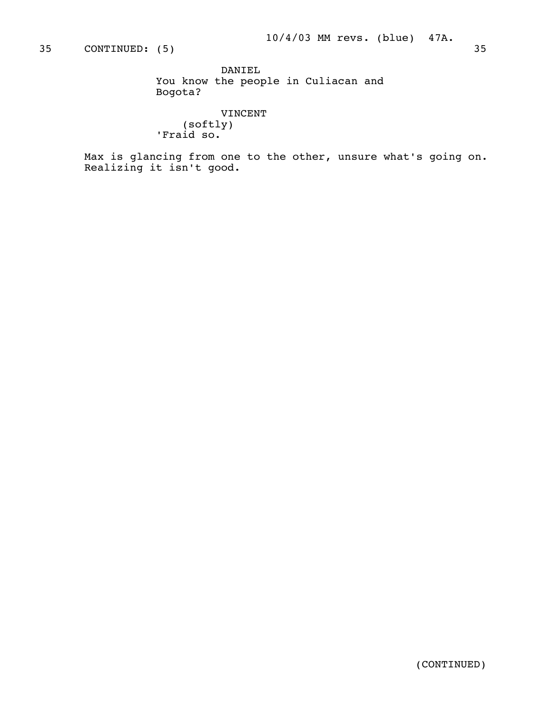DANIEL You know the people in Culiacan and Bogota?

 VINCENT (softly) 'Fraid so.

 Max is glancing from one to the other, unsure what's going on. Realizing it isn't good.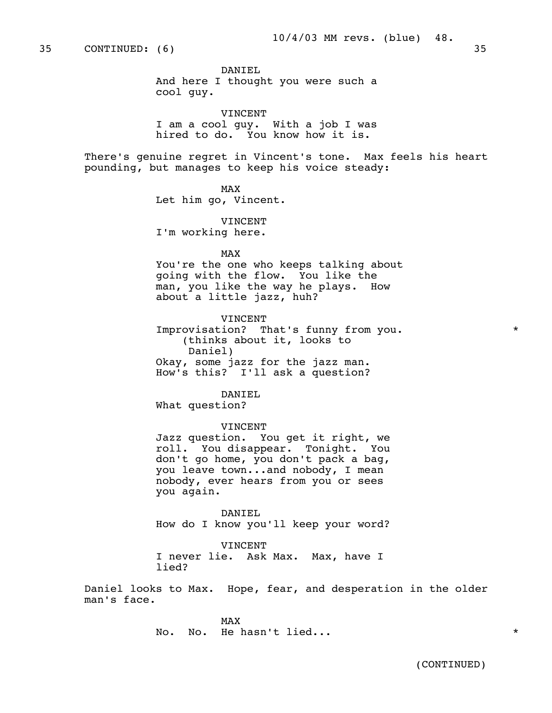DANIEL And here I thought you were such a cool guy.

 VINCENT I am a cool guy. With a job I was hired to do. You know how it is.

 There's genuine regret in Vincent's tone. Max feels his heart pounding, but manages to keep his voice steady:

MAX and the state of the state of the state of the state of the state of the state of the state of the state of the state of the state of the state of the state of the state of the state of the state of the state of the st Let him go, Vincent.

> VINCENT I'm working here.

MAX and the state of the state of the state of the state of the state of the state of the state of the state of the state of the state of the state of the state of the state of the state of the state of the state of the st

 You're the one who keeps talking about going with the flow. You like the man, you like the way he plays. How about a little jazz, huh?

 VINCENT Improvisation? That's funny from you.  $*$  (thinks about it, looks to Daniel) Okay, some jazz for the jazz man. How's this? I'll ask a question?

 DANIEL What question?

VINCENT

 Jazz question. You get it right, we roll. You disappear. Tonight. You don't go home, you don't pack a bag, you leave town...and nobody, I mean nobody, ever hears from you or sees you again.

 DANIEL How do I know you'll keep your word?

 VINCENT I never lie. Ask Max. Max, have I lied?

 Daniel looks to Max. Hope, fear, and desperation in the older man's face.

MAX and the state of the state of the state of the state of the state of the state of the state of the state of the state of the state of the state of the state of the state of the state of the state of the state of the st No. No. He hasn't lied...  $\star$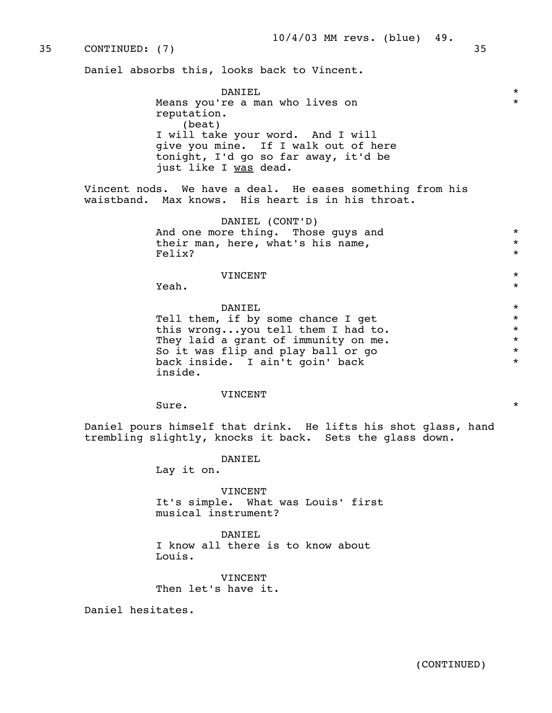### 35 CONTINUED: (7) 35

Daniel absorbs this, looks back to Vincent.

 DANIEL \* Means you're a man who lives on  $*$  reputation. (beat) I will take your word. And I will give you mine. If I walk out of here tonight, I'd go so far away, it'd be just like I was dead.

> Vincent nods. We have a deal. He eases something from his waistband. Max knows. His heart is in his throat.

 DANIEL (CONT'D) And one more thing. Those guys and  $*$ <br>their man, here, what's his name. their man, here, what's his name,  $Felix?$ Felix?  $\star$ 

## VINCENT \*

 $\mathbf{Y}$ eah.  $\star$ 

 DANIEL \* Tell them, if by some chance I get<br>this wrong,,,you tell them I had to. this wrong...you tell them I had to. \* They laid a grant of immunity on me.<br>So it was flip and play ball or go  $\star$ So it was flip and play ball or go  $*$ <br>back inside. I ain't goin' back  $*$  back inside. I ain't goin' back \* inside.

#### VINCENT

 $Sure.$ 

 Daniel pours himself that drink. He lifts his shot glass, hand trembling slightly, knocks it back. Sets the glass down.

DANIEL

Lay it on.

 VINCENT It's simple. What was Louis' first musical instrument?

 DANIEL I know all there is to know about Louis.

 VINCENT Then let's have it.

Daniel hesitates.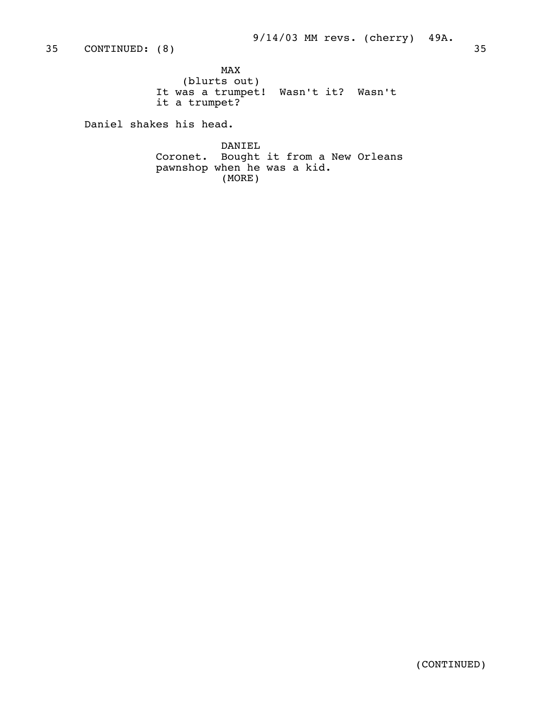MAX and the state of the state of the state of the state of the state of the state of the state of the state of the state of the state of the state of the state of the state of the state of the state of the state of the st (blurts out) It was a trumpet! Wasn't it? Wasn't it a trumpet?

Daniel shakes his head.

 DANIEL Coronet. Bought it from a New Orleans pawnshop when he was a kid. (MORE)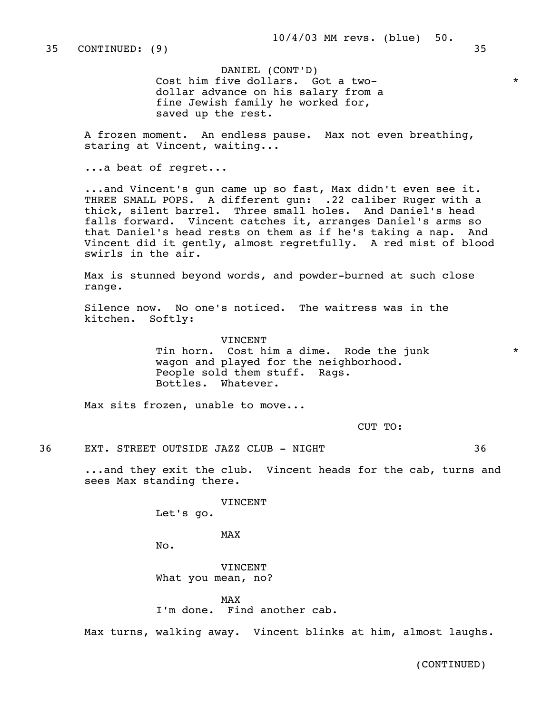DANIEL (CONT'D) Cost him five dollars. Got a two dollar advance on his salary from a fine Jewish family he worked for, saved up the rest.

 A frozen moment. An endless pause. Max not even breathing, staring at Vincent, waiting...

...a beat of regret...

 ...and Vincent's gun came up so fast, Max didn't even see it. THREE SMALL POPS. A different gun: .22 caliber Ruger with a thick, silent barrel. Three small holes. And Daniel's head falls forward. Vincent catches it, arranges Daniel's arms so that Daniel's head rests on them as if he's taking a nap. And Vincent did it gently, almost regretfully. A red mist of blood swirls in the air.

 Max is stunned beyond words, and powder-burned at such close range.

 Silence now. No one's noticed. The waitress was in the kitchen. Softly:

> VINCENT Tin horn. Cost him a dime. Rode the junk \* wagon and played for the neighborhood. People sold them stuff. Rags. Bottles. Whatever.

Max sits frozen, unable to move...

CUT TO:

36 EXT. STREET OUTSIDE JAZZ CLUB - NIGHT 36

 ...and they exit the club. Vincent heads for the cab, turns and sees Max standing there.

VINCENT

Let's go.

MAX and the state of the state of the state of the state of the state of the state of the state of the state of the state of the state of the state of the state of the state of the state of the state of the state of the st

No.

 VINCENT What you mean, no?

MAX and the state of the state of the state of the state of the state of the state of the state of the state of the state of the state of the state of the state of the state of the state of the state of the state of the st

I'm done. Find another cab.

Max turns, walking away. Vincent blinks at him, almost laughs.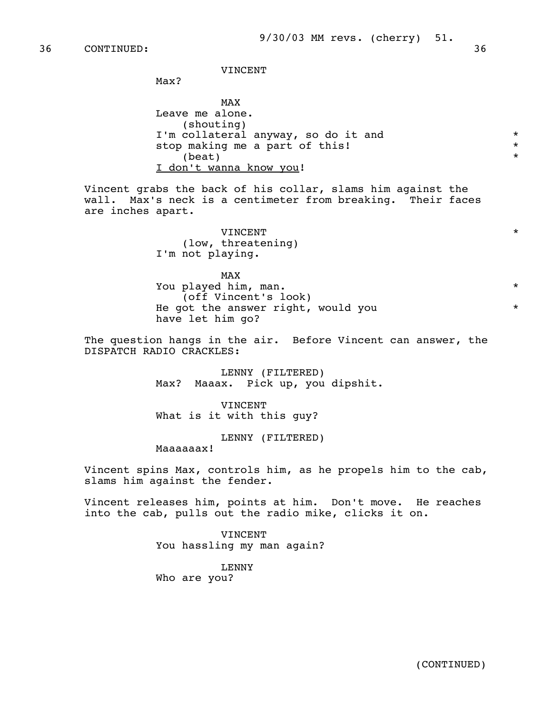VINCENT

Max?

 MAX Leave me alone. (shouting) I'm collateral anyway, so do it and  $*$ <br>stop making me a part of this! stop making me a part of this!<br>(beat)  $\star$ I don't wanna know you!

> Vincent grabs the back of his collar, slams him against the wall. Max's neck is a centimeter from breaking. Their faces are inches apart.

 VINCENT \* (low, threatening) I'm not playing.

MAX and the state of the state of the state of the state of the state of the state of the state of the state of the state of the state of the state of the state of the state of the state of the state of the state of the st You played him, man. \* (off Vincent's look) He got the answer right, would you  $*$ have let him go?

> The question hangs in the air. Before Vincent can answer, the DISPATCH RADIO CRACKLES:

> > LENNY (FILTERED) Max? Maaax. Pick up, you dipshit.

 VINCENT What is it with this guy?

 LENNY (FILTERED) Maaaaaax!

 Vincent spins Max, controls him, as he propels him to the cab, slams him against the fender.

 Vincent releases him, points at him. Don't move. He reaches into the cab, pulls out the radio mike, clicks it on.

> VINCENT You hassling my man again?

 LENNY Who are you?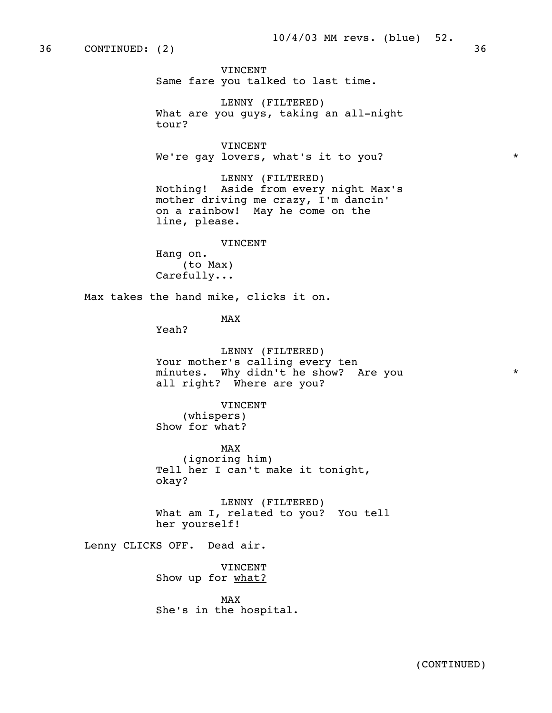36 CONTINUED: (2) 36

 VINCENT Same fare you talked to last time.

 LENNY (FILTERED) What are you guys, taking an all-night tour?

 VINCENT We're gay lovers, what's it to you?  $*$ 

 LENNY (FILTERED) Nothing! Aside from every night Max's mother driving me crazy, I'm dancin' on a rainbow! May he come on the line, please.

VINCENT

 Hang on. (to Max) Carefully...

Max takes the hand mike, clicks it on.

MAX and the state of the state of the state of the state of the state of the state of the state of the state of the state of the state of the state of the state of the state of the state of the state of the state of the st

Yeah?

 LENNY (FILTERED) Your mother's calling every ten minutes. Why didn't he show? Are you \* all right? Where are you?

VINCENT

 (whispers) Show for what?

MAX and the state of the state of the state of the state of the state of the state of the state of the state of the state of the state of the state of the state of the state of the state of the state of the state of the st (ignoring him) Tell her I can't make it tonight, okay?

> LENNY (FILTERED) What am I, related to you? You tell her yourself!

Lenny CLICKS OFF. Dead air.

 VINCENT Show up for what?

MAX and the state of the state of the state of the state of the state of the state of the state of the state of the state of the state of the state of the state of the state of the state of the state of the state of the st She's in the hospital.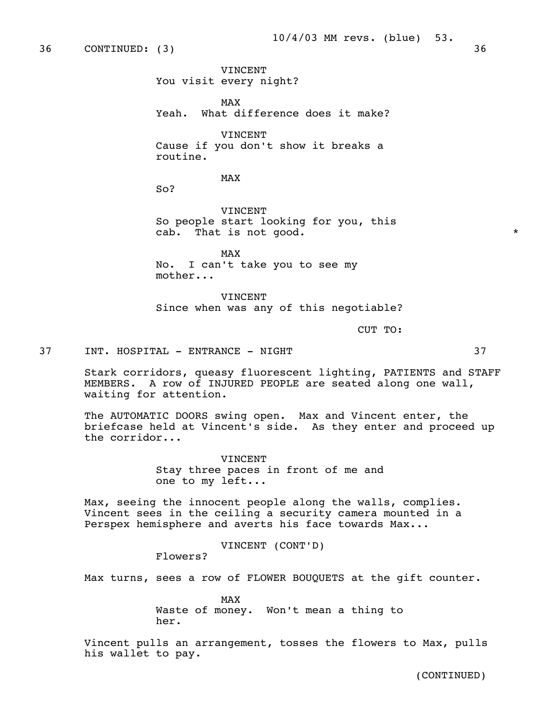36 CONTINUED: (3) 36

 VINCENT You visit every night?

MAX and the state of the state of the state of the state of the state of the state of the state of the state of the state of the state of the state of the state of the state of the state of the state of the state of the st Yeah. What difference does it make?

> VINCENT Cause if you don't show it breaks a routine.

MAX and the state of the state of the state of the state of the state of the state of the state of the state of the state of the state of the state of the state of the state of the state of the state of the state of the st

So?

 VINCENT So people start looking for you, this cab. That is not good.  $*$ 

MAX and the state of the state of the state of the state of the state of the state of the state of the state of the state of the state of the state of the state of the state of the state of the state of the state of the st No. I can't take you to see my mother...

> VINCENT Since when was any of this negotiable?

CUT TO:

37 INT. HOSPITAL - ENTRANCE - NIGHT 37

 Stark corridors, queasy fluorescent lighting, PATIENTS and STAFF MEMBERS. A row of INJURED PEOPLE are seated along one wall, waiting for attention.

 The AUTOMATIC DOORS swing open. Max and Vincent enter, the briefcase held at Vincent's side. As they enter and proceed up the corridor...

> VINCENT Stay three paces in front of me and one to my left...

 Max, seeing the innocent people along the walls, complies. Vincent sees in the ceiling a security camera mounted in a Perspex hemisphere and averts his face towards Max...

VINCENT (CONT'D)

Flowers?

Max turns, sees a row of FLOWER BOUQUETS at the gift counter.

MAX and the state of the state of the state of the state of the state of the state of the state of the state of the state of the state of the state of the state of the state of the state of the state of the state of the st Waste of money. Won't mean a thing to her.

> Vincent pulls an arrangement, tosses the flowers to Max, pulls his wallet to pay.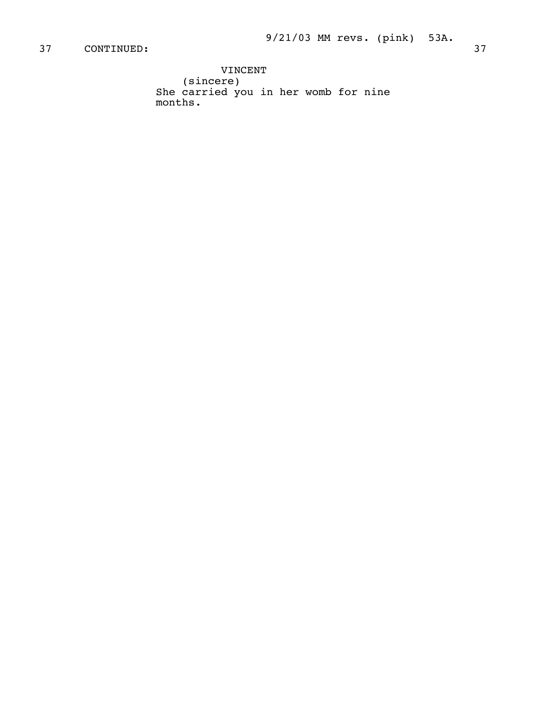VINCENT (sincere) She carried you in her womb for nine months.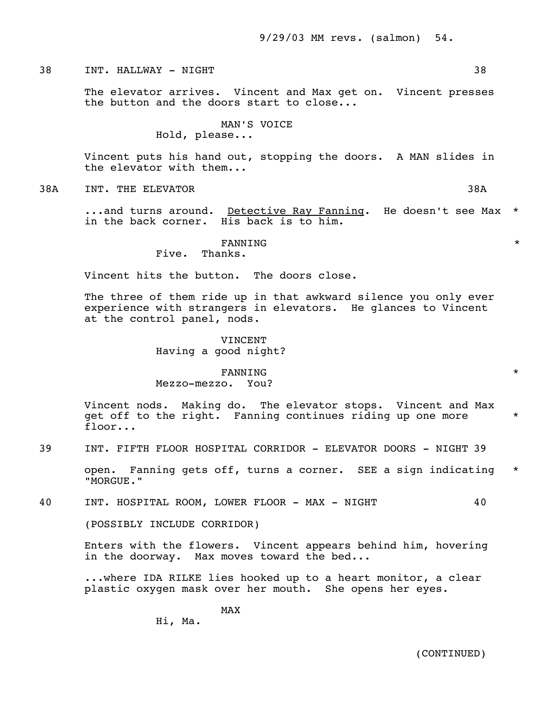38 INT. HALLWAY - NIGHT 38

 The elevator arrives. Vincent and Max get on. Vincent presses the button and the doors start to close...

> MAN'S VOICE Hold, please...

 Vincent puts his hand out, stopping the doors. A MAN slides in the elevator with them...

38A INT. THE ELEVATOR 38A

 ...and turns around. Detective Ray Fanning. He doesn't see Max \* in the back corner. His back is to him.

#### $\tt{FANNING}$  \* Five. Thanks.

Vincent hits the button. The doors close.

 The three of them ride up in that awkward silence you only ever experience with strangers in elevators. He glances to Vincent at the control panel, nods.

> VINCENT Having a good night?

 $\tt{FANNING}$  \* Mezzo-mezzo. You?

> Vincent nods. Making do. The elevator stops. Vincent and Max get off to the right. Fanning continues riding up one more \* floor...

39 INT. FIFTH FLOOR HOSPITAL CORRIDOR - ELEVATOR DOORS - NIGHT 39

 open. Fanning gets off, turns a corner. SEE a sign indicating \* "MORGUE."

40 INT. HOSPITAL ROOM, LOWER FLOOR - MAX - NIGHT 40

(POSSIBLY INCLUDE CORRIDOR)

 Enters with the flowers. Vincent appears behind him, hovering in the doorway. Max moves toward the bed...

 ...where IDA RILKE lies hooked up to a heart monitor, a clear plastic oxygen mask over her mouth. She opens her eyes.

MAX and the state of the state of the state of the state of the state of the state of the state of the state of the state of the state of the state of the state of the state of the state of the state of the state of the st

Hi, Ma.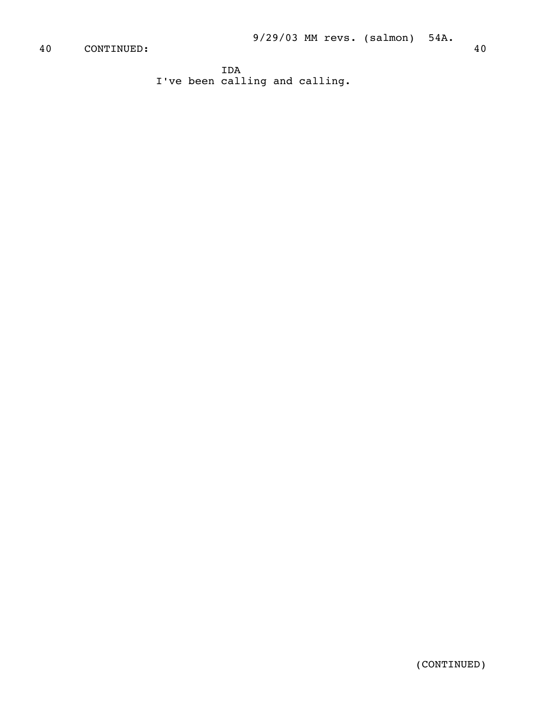IDA I've been calling and calling.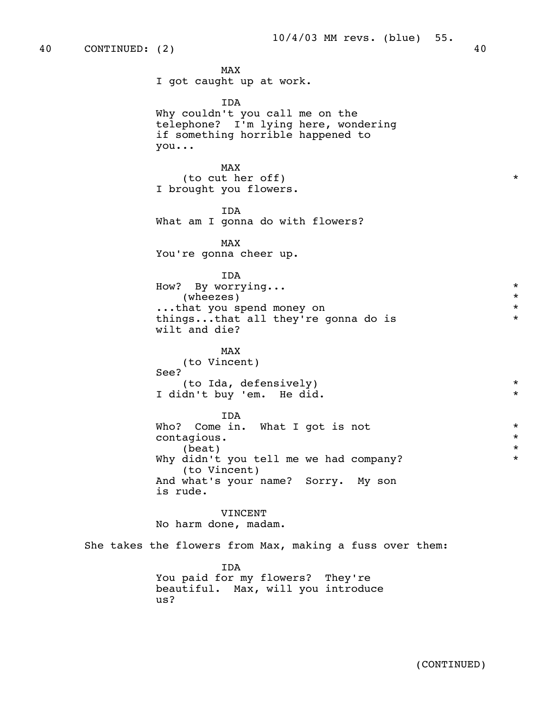40 CONTINUED: (2) 40

MAX and the state of the state of the state of the state of the state of the state of the state of the state of the state of the state of the state of the state of the state of the state of the state of the state of the st I got caught up at work. IDA Why couldn't you call me on the telephone? I'm lying here, wondering if something horrible happened to you... MAX and the state of the state of the state of the state of the state of the state of the state of the state of the state of the state of the state of the state of the state of the state of the state of the state of the st (to cut her off)  $*$  I brought you flowers. IDA What am I gonna do with flowers? MAX and the state of the state of the state of the state of the state of the state of the state of the state of the state of the state of the state of the state of the state of the state of the state of the state of the st You're gonna cheer up. IDA How? By worrying... \* (wheezes) \* ...that you spend money on \* things...that all they're gonna do is \* wilt and die? MAX and the state of the state of the state of the state of the state of the state of the state of the state of the state of the state of the state of the state of the state of the state of the state of the state of the st (to Vincent) See? (to Ida, defensively) \* I didn't buy 'em. He did. \* IDA Who? Come in. What I got is not  $\star$  contagious.  $\star$  contagious. \*  $\star$  Why didn't you tell me we had company? \* (to Vincent) And what's your name? Sorry. My son is rude. VINCENT No harm done, madam. She takes the flowers from Max, making a fuss over them: IDA You paid for my flowers? They're beautiful. Max, will you introduce us?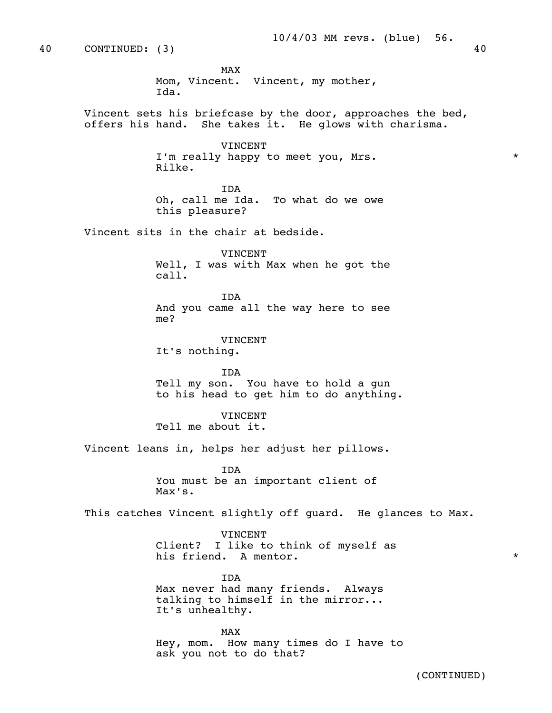40 CONTINUED: (3) 40 MAX and the state of the state of the state of the state of the state of the state of the state of the state of the state of the state of the state of the state of the state of the state of the state of the state of the st Mom, Vincent. Vincent, my mother, Ida. Vincent sets his briefcase by the door, approaches the bed, offers his hand. She takes it. He glows with charisma. **VINCENT**  I'm really happy to meet you, Mrs. \* Rilke. IDA Oh, call me Ida. To what do we owe this pleasure? Vincent sits in the chair at bedside. VINCENT Well, I was with Max when he got the call. IDA And you came all the way here to see me? VINCENT It's nothing. IDA Tell my son. You have to hold a gun to his head to get him to do anything. VINCENT Tell me about it. Vincent leans in, helps her adjust her pillows. IDA You must be an important client of Max's. This catches Vincent slightly off guard. He glances to Max.

> VINCENT Client? I like to think of myself as his friend. A mentor.  $\star$

 IDA Max never had many friends. Always talking to himself in the mirror... It's unhealthy.

MAX and the state of the state of the state of the state of the state of the state of the state of the state of the state of the state of the state of the state of the state of the state of the state of the state of the st Hey, mom. How many times do I have to ask you not to do that?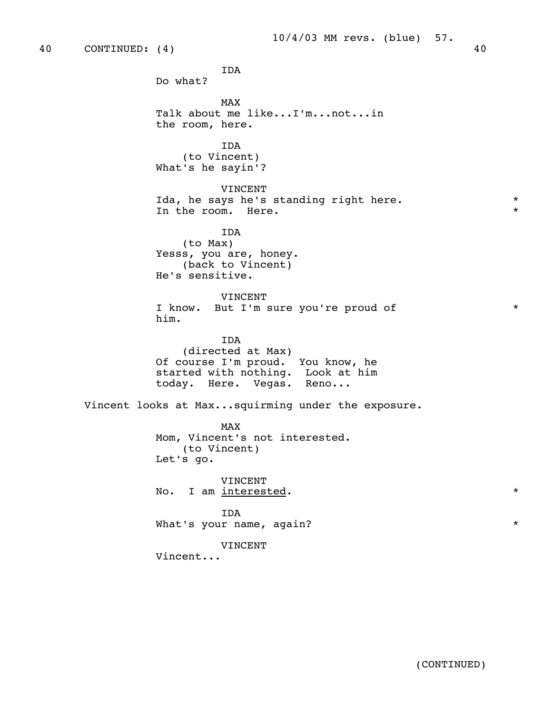IDA Do what? MAX and the state of the state of the state of the state of the state of the state of the state of the state of the state of the state of the state of the state of the state of the state of the state of the state of the st Talk about me like...I'm...not...in the room, here. IDA (to Vincent) What's he sayin'? VINCENT Ida, he says he's standing right here.<br>In the room. Here. In the room. Here. IDA (to Max) Yesss, you are, honey. (back to Vincent) He's sensitive. VINCENT I know. But I'm sure you're proud of \* him. IDA (directed at Max) Of course I'm proud. You know, he started with nothing. Look at him today. Here. Vegas. Reno... Vincent looks at Max...squirming under the exposure. MAX and the state of the state of the state of the state of the state of the state of the state of the state of the state of the state of the state of the state of the state of the state of the state of the state of the st Mom, Vincent's not interested. (to Vincent) Let's go. VINCENT No. I am interested. \* IDA What's your name, again? \* VINCENT Vincent...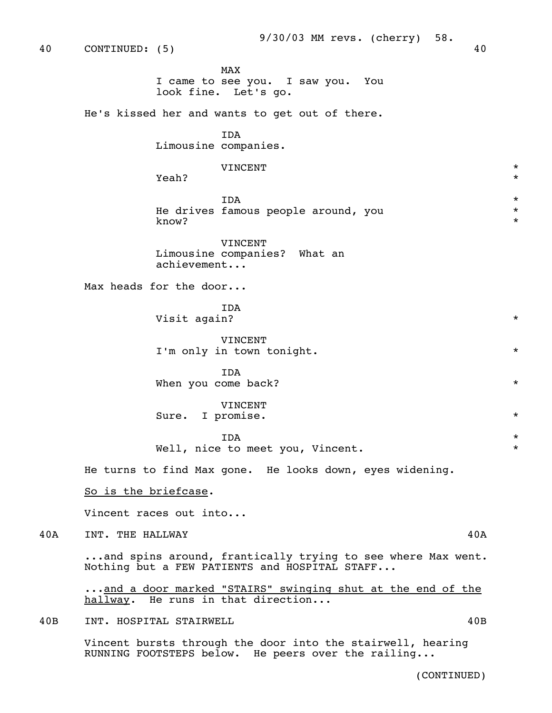MAX and the state of the state of the state of the state of the state of the state of the state of the state of the state of the state of the state of the state of the state of the state of the state of the state of the st I came to see you. I saw you. You look fine. Let's go.

He's kissed her and wants to get out of there.

 IDA Limousine companies.

VINCENT \*

**The Second Second Second Second Second Second Second Second Second Second Second Second Second Second Second Second Second Second Second Second Second Second Second Second Second Second Second Second Second Second Second** 

 IDA \* He drives famous people around, you  $*$ <br>know?  $k$ now?  $\star$ 

> VINCENT Limousine companies? What an achievement...

Max heads for the door...

 IDA Visit again? \*

> VINCENT I'm only in town tonight.  $*$

 IDA When you come back?  $*$ 

> VINCENT Sure. I promise.  $*$

 IDA \* Well, nice to meet you, Vincent.

He turns to find Max gone. He looks down, eyes widening.

So is the briefcase.

Vincent races out into...

40A INT. THE HALLWAY 40A

 ...and spins around, frantically trying to see where Max went. Nothing but a FEW PATIENTS and HOSPITAL STAFF...

...and a door marked "STAIRS" swinging shut at the end of the hallway. He runs in that direction...

40B INT. HOSPITAL STAIRWELL 40B

 Vincent bursts through the door into the stairwell, hearing RUNNING FOOTSTEPS below. He peers over the railing...

(CONTINUED)

40 CONTINUED: (5) 40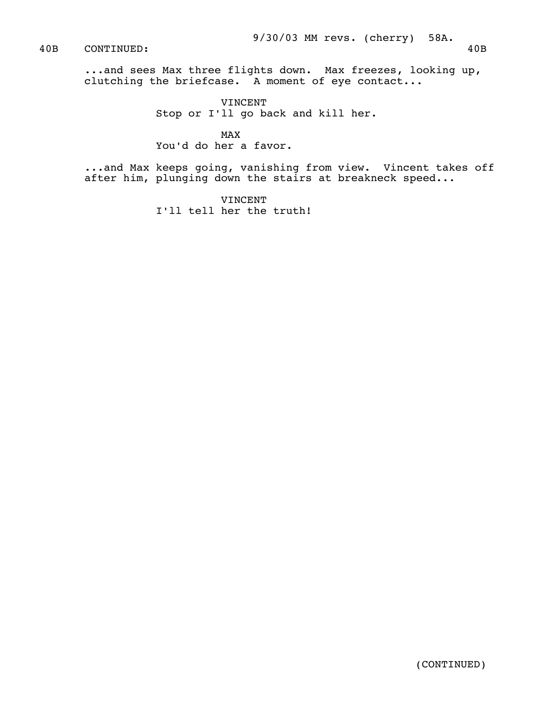### 40B CONTINUED: 40B

 ...and sees Max three flights down. Max freezes, looking up, clutching the briefcase. A moment of eye contact...

> VINCENT Stop or I'll go back and kill her.

MAX and the state of the state of the state of the state of the state of the state of the state of the state of the state of the state of the state of the state of the state of the state of the state of the state of the st You'd do her a favor.

 ...and Max keeps going, vanishing from view. Vincent takes off after him, plunging down the stairs at breakneck speed...

> VINCENT I'll tell her the truth!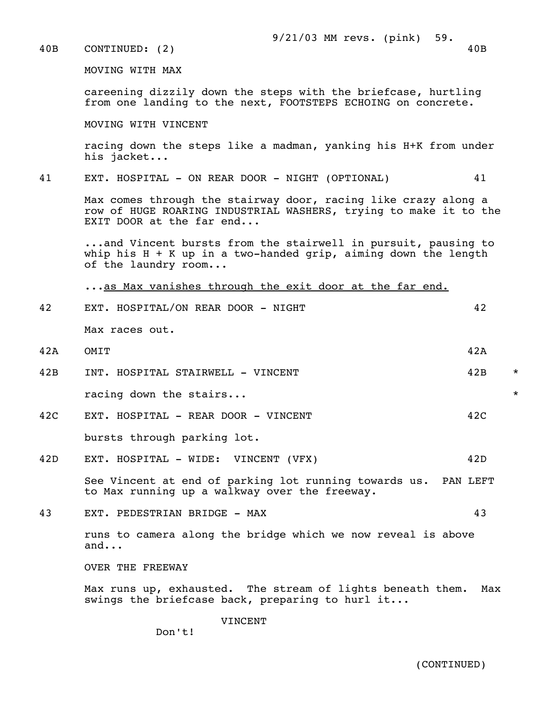40B CONTINUED: (2) 40B

MOVING WITH MAX

 careening dizzily down the steps with the briefcase, hurtling from one landing to the next, FOOTSTEPS ECHOING on concrete.

MOVING WITH VINCENT

 racing down the steps like a madman, yanking his H+K from under his jacket...

41 EXT. HOSPITAL - ON REAR DOOR - NIGHT (OPTIONAL) 41

 Max comes through the stairway door, racing like crazy along a row of HUGE ROARING INDUSTRIAL WASHERS, trying to make it to the EXIT DOOR at the far end...

 ...and Vincent bursts from the stairwell in pursuit, pausing to whip his  $H + K$  up in a two-handed grip, aiming down the length of the laundry room...

...as Max vanishes through the exit door at the far end.

 42 EXT. HOSPITAL/ON REAR DOOR - NIGHT 42 Max races out. 42A OMIT 42A 42B INT. HOSPITAL STAIRWELL - VINCENT 42B \* racing down the stairs...  $*$ 

- 42C EXT. HOSPITAL REAR DOOR VINCENT 42C bursts through parking lot.
- 42D EXT. HOSPITAL WIDE: VINCENT (VFX) 42D

 See Vincent at end of parking lot running towards us. PAN LEFT to Max running up a walkway over the freeway.

43 EXT. PEDESTRIAN BRIDGE - MAX 43

 runs to camera along the bridge which we now reveal is above and...

OVER THE FREEWAY

 Max runs up, exhausted. The stream of lights beneath them. Max swings the briefcase back, preparing to hurl it...

**VINCENT** 

Don't!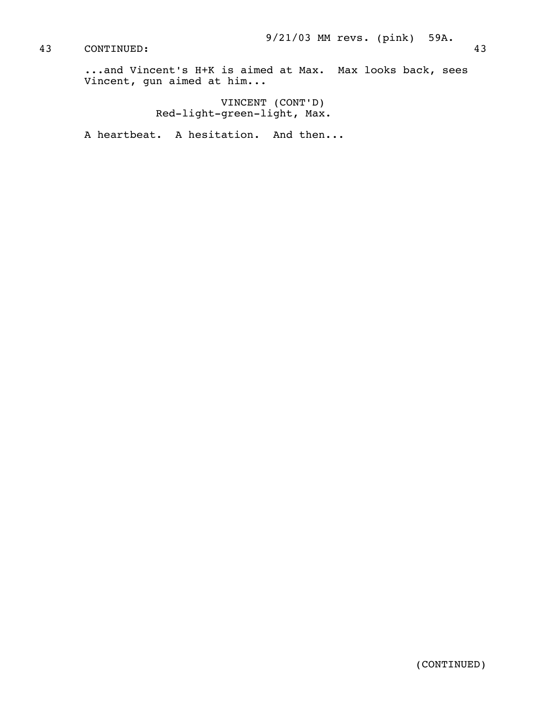43 CONTINUED: 43

 ...and Vincent's H+K is aimed at Max. Max looks back, sees Vincent, gun aimed at him...

 VINCENT (CONT'D) Red-light-green-light, Max.

A heartbeat. A hesitation. And then...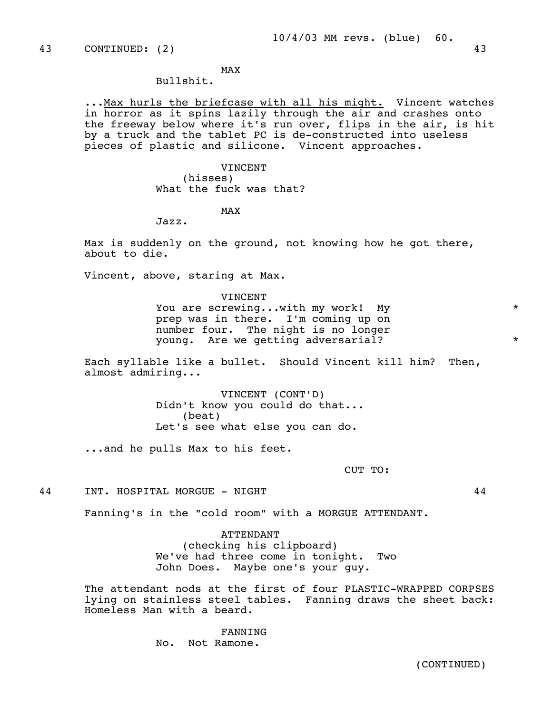# MAX and the state of the state of the state of the state of the state of the state of the state of the state of the state of the state of the state of the state of the state of the state of the state of the state of the st

# Bullshit.

... Max hurls the briefcase with all his might. Vincent watches in horror as it spins lazily through the air and crashes onto the freeway below where it's run over, flips in the air, is hit by a truck and the tablet PC is de-constructed into useless pieces of plastic and silicone. Vincent approaches.

### VINCENT

 (hisses) What the fuck was that?

# MAX and the state of the state of the state of the state of the state of the state of the state of the state of the state of the state of the state of the state of the state of the state of the state of the state of the st

Jazz.

 Max is suddenly on the ground, not knowing how he got there, about to die.

Vincent, above, staring at Max.

 VINCENT You are screwing...with my work! My  $*$  prep was in there. I'm coming up on number four. The night is no longer young. Are we getting adversarial? \*

 Each syllable like a bullet. Should Vincent kill him? Then, almost admiring...

> VINCENT (CONT'D) Didn't know you could do that... (beat) Let's see what else you can do.

...and he pulls Max to his feet.

CUT TO:

44 INT. HOSPITAL MORGUE - NIGHT 44

Fanning's in the "cold room" with a MORGUE ATTENDANT.

 ATTENDANT (checking his clipboard) We've had three come in tonight. Two John Does. Maybe one's your guy.

 The attendant nods at the first of four PLASTIC-WRAPPED CORPSES lying on stainless steel tables. Fanning draws the sheet back: Homeless Man with a beard.

> FANNING No. Not Ramone.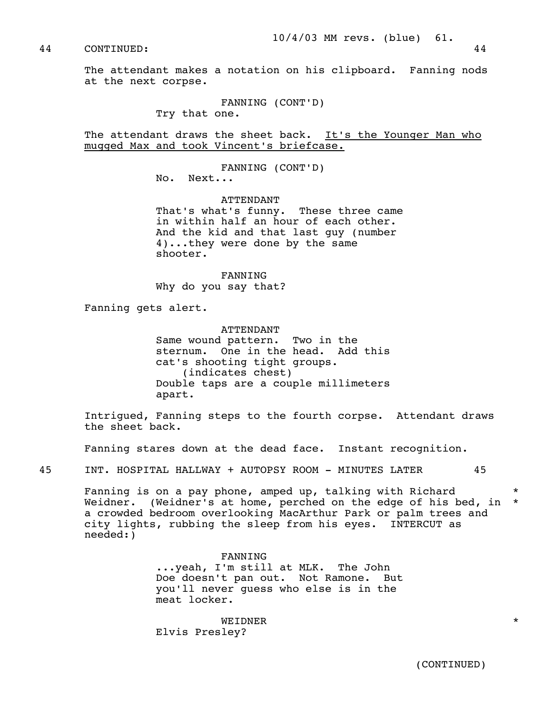10/4/03 MM revs. (blue) 61.

44 CONTINUED: 44

 The attendant makes a notation on his clipboard. Fanning nods at the next corpse.

> FANNING (CONT'D) Try that one.

 The attendant draws the sheet back. It's the Younger Man who mugged Max and took Vincent's briefcase.

FANNING (CONT'D)

No. Next...

 ATTENDANT That's what's funny. These three came in within half an hour of each other. And the kid and that last guy (number 4)...they were done by the same shooter.

 FANNING Why do you say that?

Fanning gets alert.

 ATTENDANT Same wound pattern. Two in the sternum. One in the head. Add this cat's shooting tight groups. (indicates chest) Double taps are a couple millimeters apart.

 Intrigued, Fanning steps to the fourth corpse. Attendant draws the sheet back.

Fanning stares down at the dead face. Instant recognition.

45 INT. HOSPITAL HALLWAY + AUTOPSY ROOM - MINUTES LATER 45

 Fanning is on a pay phone, amped up, talking with Richard \* Weidner. (Weidner's at home, perched on the edge of his bed, in \* a crowded bedroom overlooking MacArthur Park or palm trees and city lights, rubbing the sleep from his eyes. INTERCUT as needed:)

> FANNING ...yeah, I'm still at MLK. The John Doe doesn't pan out. Not Ramone. But you'll never guess who else is in the meat locker.

 WEIDNER \* Elvis Presley?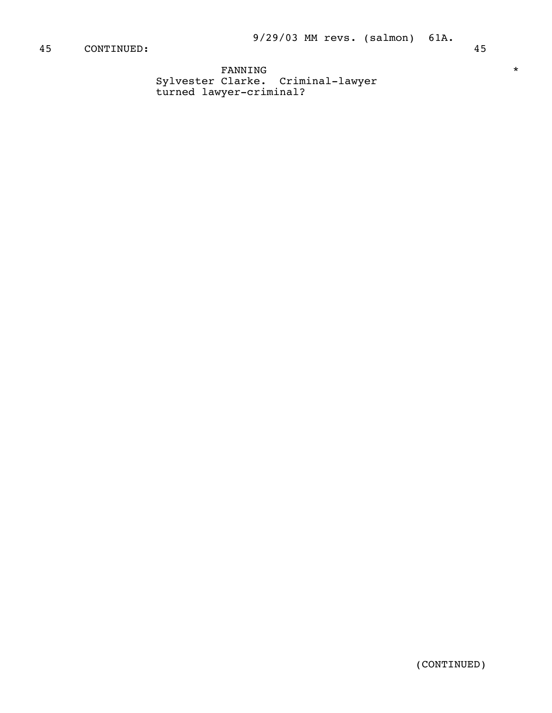```
\tt{FANNING} *
Sylvester Clarke. Criminal-lawyer 
turned lawyer-criminal?
```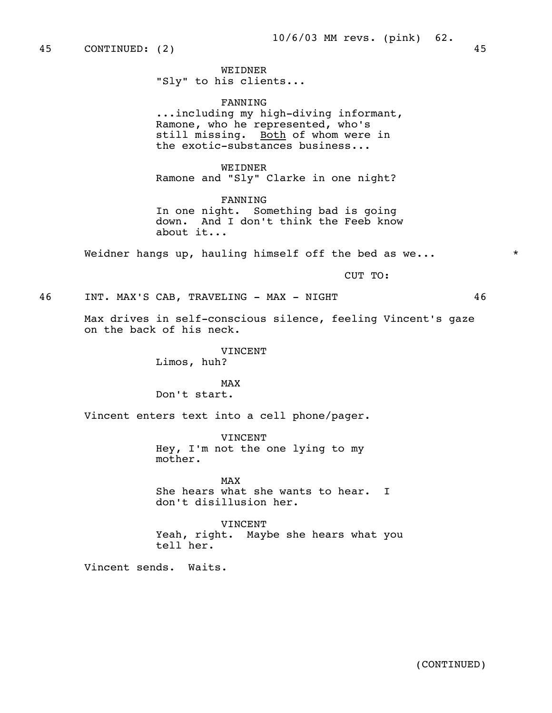45 CONTINUED: (2) 45

 WEIDNER "Sly" to his clients...

 FANNING ...including my high-diving informant, Ramone, who he represented, who's still missing. Both of whom were in the exotic-substances business...

 WEIDNER Ramone and "Sly" Clarke in one night?

 FANNING In one night. Something bad is going down. And I don't think the Feeb know about it...

Weidner hangs up, hauling himself off the bed as we...  $*$ 

CUT TO:

46 INT. MAX'S CAB, TRAVELING - MAX - NIGHT 46

 Max drives in self-conscious silence, feeling Vincent's gaze on the back of his neck.

> VINCENT Limos, huh?

MAX and the state of the state of the state of the state of the state of the state of the state of the state of the state of the state of the state of the state of the state of the state of the state of the state of the st Don't start.

Vincent enters text into a cell phone/pager.

 VINCENT Hey, I'm not the one lying to my mother.

MAX and the state of the state of the state of the state of the state of the state of the state of the state of the state of the state of the state of the state of the state of the state of the state of the state of the st She hears what she wants to hear. I don't disillusion her.

> VINCENT Yeah, right. Maybe she hears what you tell her.

Vincent sends. Waits.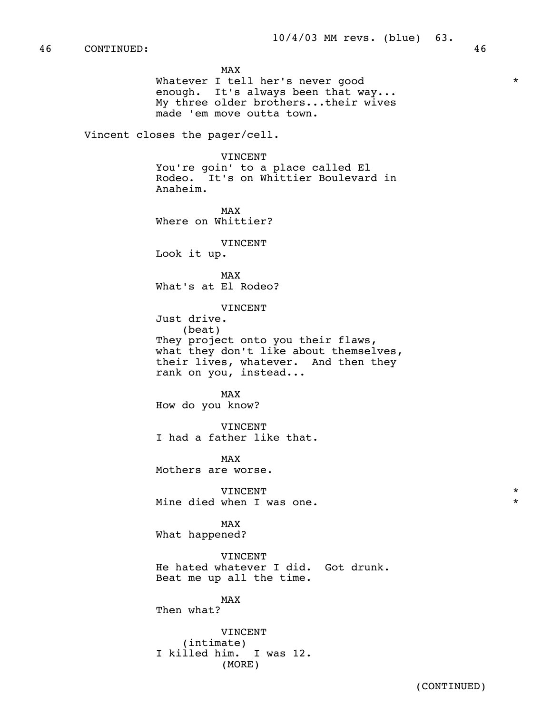MAX and the state of the state of the state of the state of the state of the state of the state of the state of the state of the state of the state of the state of the state of the state of the state of the state of the st Whatever I tell her's never good  $*$  enough. It's always been that way... My three older brothers...their wives made 'em move outta town. Vincent closes the pager/cell.

> VINCENT You're goin' to a place called El Rodeo. It's on Whittier Boulevard in Anaheim.

MAX and the state of the state of the state of the state of the state of the state of the state of the state of the state of the state of the state of the state of the state of the state of the state of the state of the st Where on Whittier?

VINCENT

Look it up.

MAX and the state of the state of the state of the state of the state of the state of the state of the state of the state of the state of the state of the state of the state of the state of the state of the state of the st What's at El Rodeo?

VINCENT

Just drive.

 (beat) They project onto you their flaws, what they don't like about themselves, their lives, whatever. And then they rank on you, instead...

MAX and the state of the state of the state of the state of the state of the state of the state of the state of the state of the state of the state of the state of the state of the state of the state of the state of the st How do you know?

> VINCENT I had a father like that.

MAX and the state of the state of the state of the state of the state of the state of the state of the state of the state of the state of the state of the state of the state of the state of the state of the state of the st Mothers are worse.

 VINCENT \* Mine died when I was one.  $*$ 

MAX and the state of the state of the state of the state of the state of the state of the state of the state of the state of the state of the state of the state of the state of the state of the state of the state of the st What happened?

> **VINCENT**  He hated whatever I did. Got drunk. Beat me up all the time.

MAX and the state of the state of the state of the state of the state of the state of the state of the state of the state of the state of the state of the state of the state of the state of the state of the state of the st Then what?

> VINCENT (intimate) I killed him. I was 12. (MORE)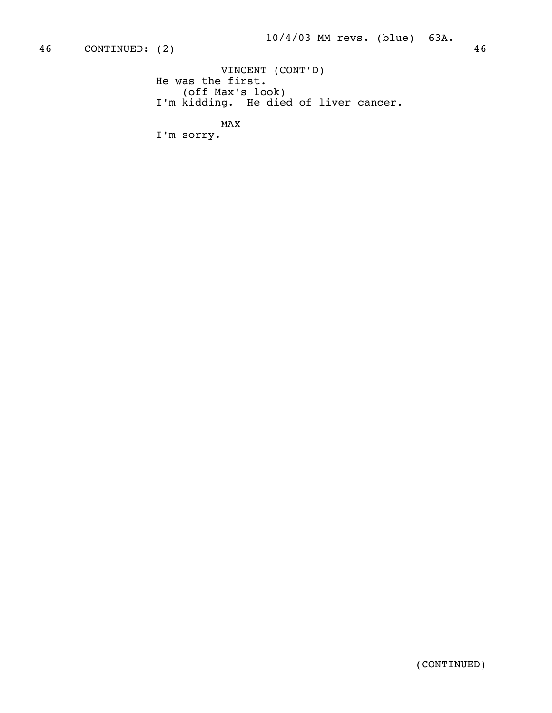```
 VINCENT (CONT'D) 
             He was the first. 
(off Max's look) 
I'm kidding. He died of liver cancer.
```
MAX

I'm sorry.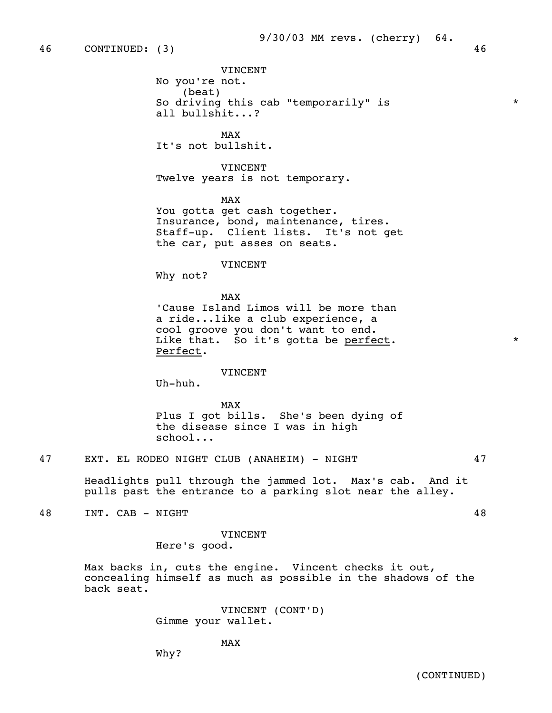VINCENT No you're not. (beat) So driving this cab "temporarily" is  $*$ all bullshit...?

MAX and the state of the state of the state of the state of the state of the state of the state of the state of the state of the state of the state of the state of the state of the state of the state of the state of the st It's not bullshit.

> VINCENT Twelve years is not temporary.

MAX and the state of the state of the state of the state of the state of the state of the state of the state of the state of the state of the state of the state of the state of the state of the state of the state of the st You gotta get cash together. Insurance, bond, maintenance, tires. Staff-up. Client lists. It's not get the car, put asses on seats.

#### VINCENT

Why not?

MAX and the state of the state of the state of the state of the state of the state of the state of the state of the state of the state of the state of the state of the state of the state of the state of the state of the st 'Cause Island Limos will be more than a ride...like a club experience, a cool groove you don't want to end. Like that. So it's gotta be <u>perfect</u>.  $*$ Perfect.

#### VINCENT

Uh-huh.

MAX and the state of the state of the state of the state of the state of the state of the state of the state of the state of the state of the state of the state of the state of the state of the state of the state of the st Plus I got bills. She's been dying of the disease since I was in high school...

 Headlights pull through the jammed lot. Max's cab. And it pulls past the entrance to a parking slot near the alley.

48 INT. CAB - NIGHT 48

 VINCENT Here's good.

 Max backs in, cuts the engine. Vincent checks it out, concealing himself as much as possible in the shadows of the back seat.

> VINCENT (CONT'D) Gimme your wallet.

# MAX and the state of the state of the state of the state of the state of the state of the state of the state of the state of the state of the state of the state of the state of the state of the state of the state of the st

Why?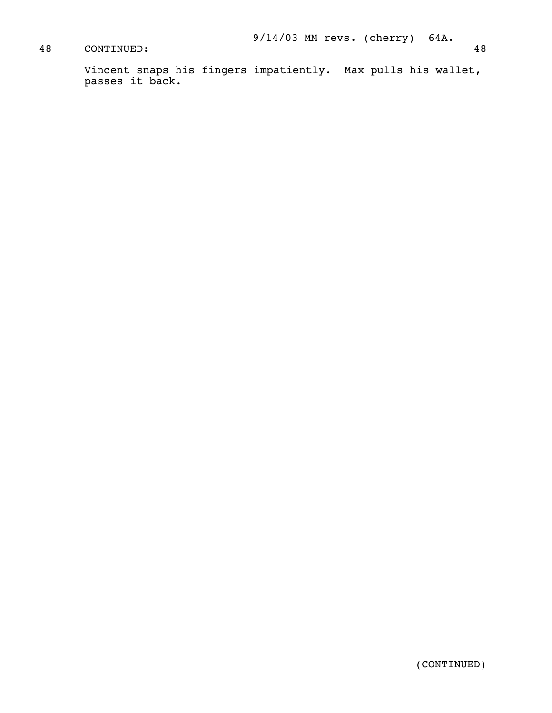# 48 CONTINUED: 48

 Vincent snaps his fingers impatiently. Max pulls his wallet, passes it back.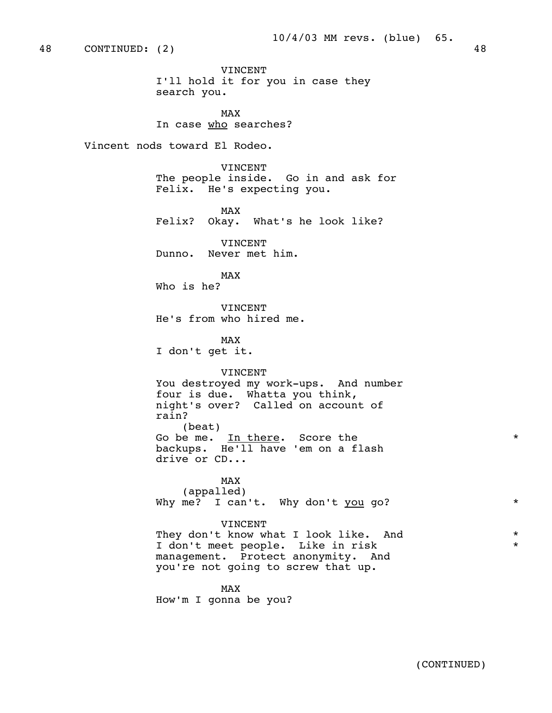VINCENT I'll hold it for you in case they search you.

MAX and the state of the state of the state of the state of the state of the state of the state of the state of the state of the state of the state of the state of the state of the state of the state of the state of the st In case who searches?

Vincent nods toward El Rodeo.

 VINCENT The people inside. Go in and ask for Felix. He's expecting you.

MAX and the state of the state of the state of the state of the state of the state of the state of the state of the state of the state of the state of the state of the state of the state of the state of the state of the st Felix? Okay. What's he look like?

> VINCENT Dunno. Never met him.

MAX and the state of the state of the state of the state of the state of the state of the state of the state of the state of the state of the state of the state of the state of the state of the state of the state of the st Who is he?

> VINCENT He's from who hired me.

MAX and the state of the state of the state of the state of the state of the state of the state of the state of the state of the state of the state of the state of the state of the state of the state of the state of the st I don't get it.

### VINCENT

 You destroyed my work-ups. And number four is due. Whatta you think, night's over? Called on account of rain? (beat) Go be me. In there. Score the  $*$  backups. He'll have 'em on a flash drive or CD...

MAX and the state of the state of the state of the state of the state of the state of the state of the state of the state of the state of the state of the state of the state of the state of the state of the state of the st (appalled) Why me? I can't. Why don't you go? \*\*

### VINCENT

They don't know what I look like. And \* I don't meet people. Like in risk \* management. Protect anonymity. And you're not going to screw that up.

MAX and the state of the state of the state of the state of the state of the state of the state of the state of the state of the state of the state of the state of the state of the state of the state of the state of the st

How'm I gonna be you?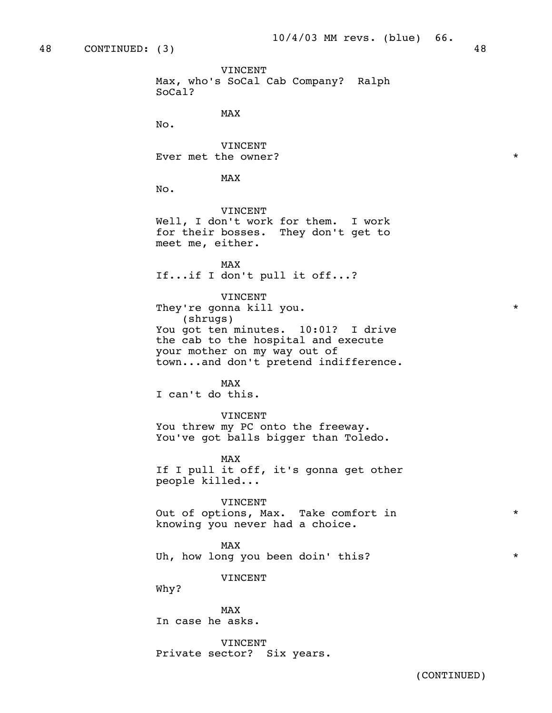48 CONTINUED: (3) 48 VINCENT Max, who's SoCal Cab Company? Ralph SoCal? MAX and the state of the state of the state of the state of the state of the state of the state of the state of the state of the state of the state of the state of the state of the state of the state of the state of the st No. VINCENT Ever met the owner?  $\star$ MAX and the state of the state of the state of the state of the state of the state of the state of the state of the state of the state of the state of the state of the state of the state of the state of the state of the st No. VINCENT Well, I don't work for them. I work for their bosses. They don't get to meet me, either. MAX and the state of the state of the state of the state of the state of the state of the state of the state of the state of the state of the state of the state of the state of the state of the state of the state of the st If...if I don't pull it off...? VINCENT They're gonna kill you.  $\star$  (shrugs) You got ten minutes. 10:01? I drive the cab to the hospital and execute your mother on my way out of town...and don't pretend indifference. MAX and the state of the state of the state of the state of the state of the state of the state of the state of the state of the state of the state of the state of the state of the state of the state of the state of the st I can't do this. VINCENT You threw my PC onto the freeway. You've got balls bigger than Toledo. MAX and the state of the state of the state of the state of the state of the state of the state of the state of the state of the state of the state of the state of the state of the state of the state of the state of the st If I pull it off, it's gonna get other people killed... VINCENT Out of options, Max. Take comfort in  $*$  knowing you never had a choice. MAX and the state of the state of the state of the state of the state of the state of the state of the state of the state of the state of the state of the state of the state of the state of the state of the state of the st Uh, how long you been doin' this?  $*$  VINCENT Why?

MAX and the state of the state of the state of the state of the state of the state of the state of the state of the state of the state of the state of the state of the state of the state of the state of the state of the st In case he asks.

> VINCENT Private sector? Six years.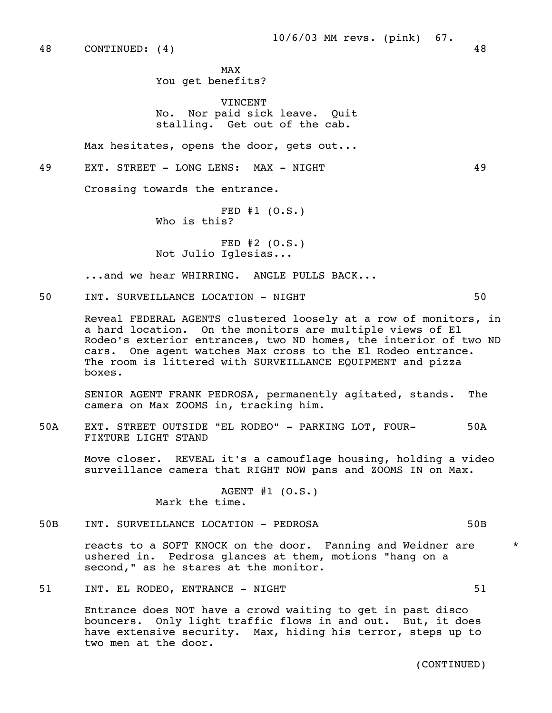MAX and the state of the state of the state of the state of the state of the state of the state of the state of the state of the state of the state of the state of the state of the state of the state of the state of the st You get benefits?

> VINCENT No. Nor paid sick leave. Quit stalling. Get out of the cab.

Max hesitates, opens the door, gets out...

49 EXT. STREET - LONG LENS: MAX - NIGHT 49

Crossing towards the entrance.

 FED #1 (O.S.) Who is this?

 FED #2 (O.S.) Not Julio Iglesias...

...and we hear WHIRRING. ANGLE PULLS BACK...

50 INT. SURVEILLANCE LOCATION - NIGHT 50

 Reveal FEDERAL AGENTS clustered loosely at a row of monitors, in a hard location. On the monitors are multiple views of El Rodeo's exterior entrances, two ND homes, the interior of two ND cars. One agent watches Max cross to the El Rodeo entrance. The room is littered with SURVEILLANCE EQUIPMENT and pizza boxes.

 SENIOR AGENT FRANK PEDROSA, permanently agitated, stands. The camera on Max ZOOMS in, tracking him.

 50A EXT. STREET OUTSIDE "EL RODEO" - PARKING LOT, FOUR- 50A FIXTURE LIGHT STAND

 Move closer. REVEAL it's a camouflage housing, holding a video surveillance camera that RIGHT NOW pans and ZOOMS IN on Max.

> AGENT #1 (O.S.) Mark the time.

50B INT. SURVEILLANCE LOCATION - PEDROSA 50B

reacts to a SOFT KNOCK on the door. Fanning and Weidner are  $*$  ushered in. Pedrosa glances at them, motions "hang on a second," as he stares at the monitor.

51 INT. EL RODEO, ENTRANCE - NIGHT 61

 Entrance does NOT have a crowd waiting to get in past disco bouncers. Only light traffic flows in and out. But, it does have extensive security. Max, hiding his terror, steps up to two men at the door.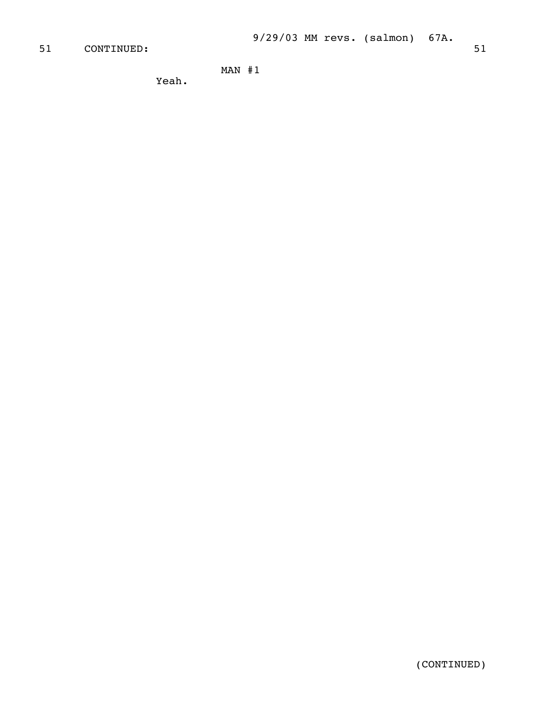# 51 CONTINUED: 51 51

MAN #1

Yeah.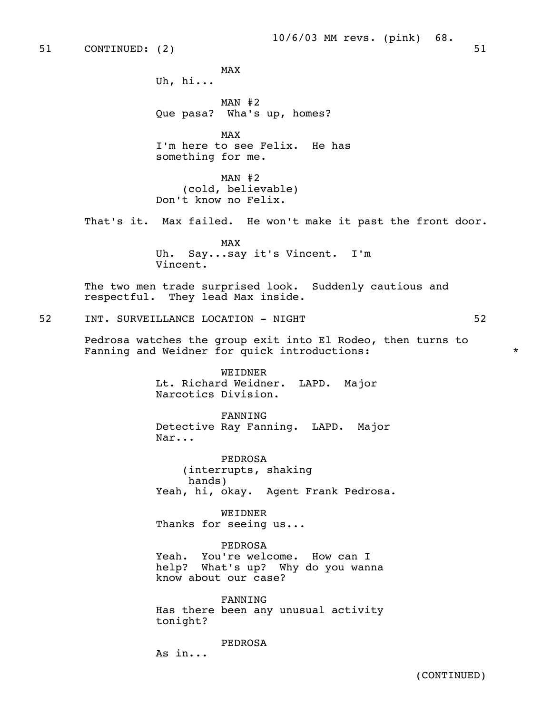### 10/6/03 MM revs. (pink) 68.

MAX and the state of the state of the state of the state of the state of the state of the state of the state of the state of the state of the state of the state of the state of the state of the state of the state of the st Uh, hi... MAN #2 Que pasa? Wha's up, homes? MAX and the state of the state of the state of the state of the state of the state of the state of the state of the state of the state of the state of the state of the state of the state of the state of the state of the st I'm here to see Felix. He has something for me. MAN #2 (cold, believable) Don't know no Felix. That's it. Max failed. He won't make it past the front door. MAX and the state of the state of the state of the state of the state of the state of the state of the state of the state of the state of the state of the state of the state of the state of the state of the state of the st Uh. Say...say it's Vincent. I'm Vincent. The two men trade surprised look. Suddenly cautious and respectful. They lead Max inside. 52 INT. SURVEILLANCE LOCATION - NIGHT 62 Pedrosa watches the group exit into El Rodeo, then turns to Fanning and Weidner for quick introductions: WEIDNER Lt. Richard Weidner. LAPD. Major Narcotics Division. FANNING Detective Ray Fanning. LAPD. Major Nar... PEDROSA (interrupts, shaking hands) Yeah, hi, okay. Agent Frank Pedrosa. WEIDNER Thanks for seeing us... PEDROSA Yeah. You're welcome. How can I help? What's up? Why do you wanna know about our case? FANNING Has there been any unusual activity tonight? PEDROSA

As in...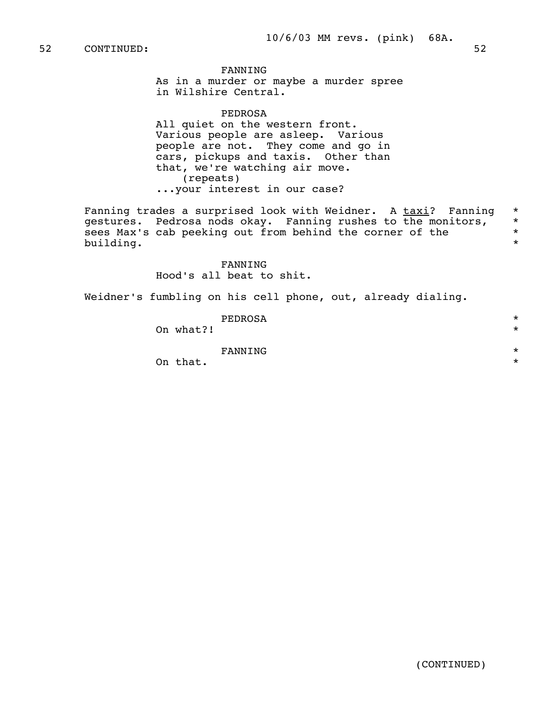### FANNING

 As in a murder or maybe a murder spree in Wilshire Central.

PEDROSA

 All quiet on the western front. Various people are asleep. Various people are not. They come and go in cars, pickups and taxis. Other than that, we're watching air move. (repeats) ...your interest in our case?

Fanning trades a surprised look with Weidner. A taxi? Fanning \* gestures. Pedrosa nods okay. Fanning rushes to the monitors, \*<br>sees Max's cab peeking out from behind the corner of the sees Max's cab peeking out from behind the corner of the  $*$ building. \*

> FANNING Hood's all beat to shit.

Weidner's fumbling on his cell phone, out, already dialing.

| PEDROSA   | $\star$ |
|-----------|---------|
| On what?! | $\star$ |
|           |         |
| FANNING   | $\star$ |
| On that.  | $\star$ |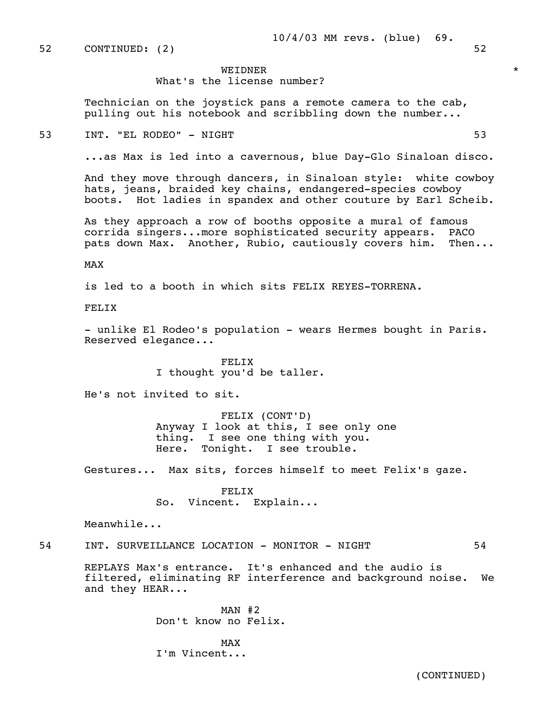52 CONTINUED: (2) 52

## WEIDNER \*

What's the license number?

 Technician on the joystick pans a remote camera to the cab, pulling out his notebook and scribbling down the number...

53 INT. "EL RODEO" - NIGHT 53

...as Max is led into a cavernous, blue Day-Glo Sinaloan disco.

 And they move through dancers, in Sinaloan style: white cowboy hats, jeans, braided key chains, endangered-species cowboy boots. Hot ladies in spandex and other couture by Earl Scheib.

 As they approach a row of booths opposite a mural of famous corrida singers...more sophisticated security appears. PACO pats down Max. Another, Rubio, cautiously covers him. Then...

MAX

is led to a booth in which sits FELIX REYES-TORRENA.

FELIX

- unlike El Rodeo's population - wears Hermes bought in Paris. Reserved elegance...

> FELIX I thought you'd be taller.

He's not invited to sit.

 FELIX (CONT'D) Anyway I look at this, I see only one thing. I see one thing with you. Here. Tonight. I see trouble.

Gestures... Max sits, forces himself to meet Felix's gaze.

 FELIX So. Vincent. Explain...

Meanwhile...

### 54 INT. SURVEILLANCE LOCATION - MONITOR - NIGHT 64

 REPLAYS Max's entrance. It's enhanced and the audio is filtered, eliminating RF interference and background noise. We and they HEAR...

> MAN #2 Don't know no Felix.

MAX and the state of the state of the state of the state of the state of the state of the state of the state of the state of the state of the state of the state of the state of the state of the state of the state of the st I'm Vincent...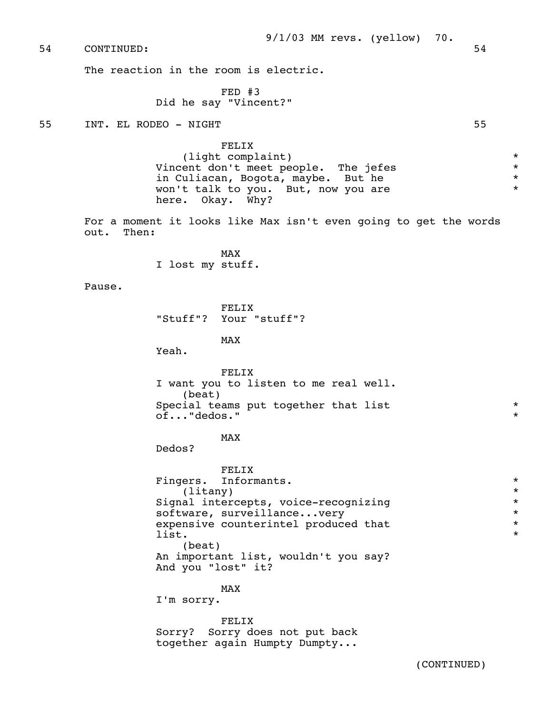54 CONTINUED: 54

The reaction in the room is electric.

 FED #3 Did he say "Vincent?"

55 INT. EL RODEO - NIGHT 55

FELIX

 (light complaint) \* Vincent don't meet people. The jefes \* in Culiacan, Bogota, maybe. But he  $\star$ <br>won't talk to you auto now you are  $\star$ won't talk to you. But, now you are here. Okay. Why?

 For a moment it looks like Max isn't even going to get the words out. Then:

MAX and the state of the state of the state of the state of the state of the state of the state of the state of the state of the state of the state of the state of the state of the state of the state of the state of the st I lost my stuff.

Pause.

 FELIX "Stuff"? Your "stuff"?

MAX and the state of the state of the state of the state of the state of the state of the state of the state of the state of the state of the state of the state of the state of the state of the state of the state of the st

Yeah.

 FELIX I want you to listen to me real well. (beat) Special teams put together that list  $*$ of..."dedos." \*

MAX and the state of the state of the state of the state of the state of the state of the state of the state of the state of the state of the state of the state of the state of the state of the state of the state of the st

Dedos?

 FELIX Fingers. Informants.  $\star$  (litany)  $\star$  (litany) \* Signal intercepts, voice-recognizing<br>software, surveillance, very \* \* \* \* software, surveillance...very<br>expensive counterintel produced that  $*$ expensive counterintel produced that  $\qquad \qquad \ast$  $\frac{1}{1}$  ist. (beat) An important list, wouldn't you say? And you "lost" it?

MAX and the state of the state of the state of the state of the state of the state of the state of the state of the state of the state of the state of the state of the state of the state of the state of the state of the st

I'm sorry.

 FELIX Sorry? Sorry does not put back together again Humpty Dumpty...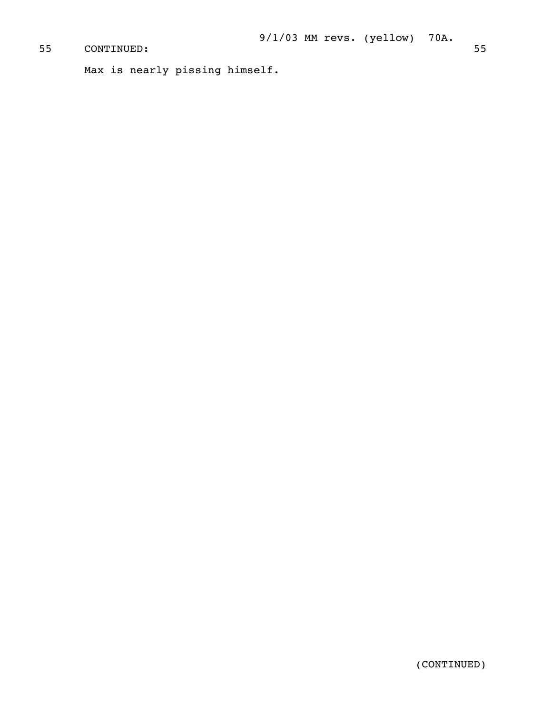# CONTINUED: 55

```
 Max is nearly pissing himself.
```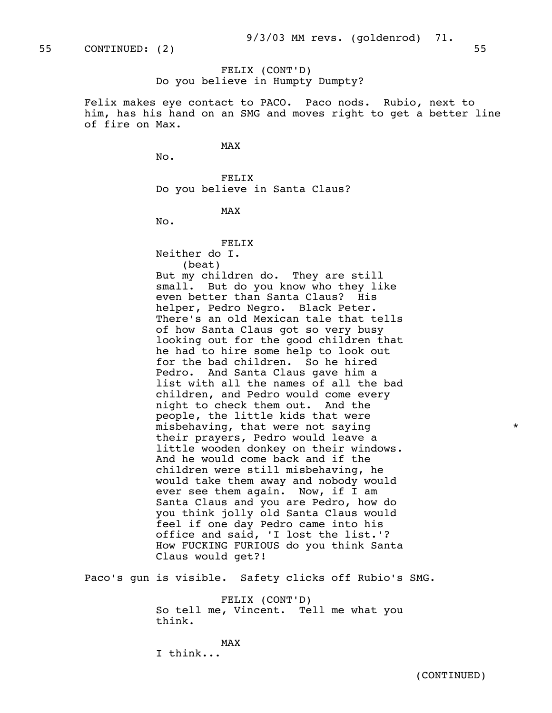# FELIX (CONT'D) Do you believe in Humpty Dumpty?

 Felix makes eye contact to PACO. Paco nods. Rubio, next to him, has his hand on an SMG and moves right to get a better line of fire on Max.

MAX and the state of the state of the state of the state of the state of the state of the state of the state of the state of the state of the state of the state of the state of the state of the state of the state of the st

No.

 FELIX Do you believe in Santa Claus?

MAX and the state of the state of the state of the state of the state of the state of the state of the state of the state of the state of the state of the state of the state of the state of the state of the state of the st

No.

#### FELIX Neither do I.

(beat)

 But my children do. They are still small. But do you know who they like even better than Santa Claus? His helper, Pedro Negro. Black Peter. There's an old Mexican tale that tells of how Santa Claus got so very busy looking out for the good children that he had to hire some help to look out for the bad children. So he hired Pedro. And Santa Claus gave him a list with all the names of all the bad children, and Pedro would come every night to check them out. And the people, the little kids that were misbehaving, that were not saying  $*$  their prayers, Pedro would leave a little wooden donkey on their windows. And he would come back and if the children were still misbehaving, he would take them away and nobody would ever see them again. Now, if I am Santa Claus and you are Pedro, how do you think jolly old Santa Claus would feel if one day Pedro came into his office and said, 'I lost the list.'? How FUCKING FURIOUS do you think Santa Claus would get?!

Paco's gun is visible. Safety clicks off Rubio's SMG.

 FELIX (CONT'D) So tell me, Vincent. Tell me what you think.

MAX and the state of the state of the state of the state of the state of the state of the state of the state of the state of the state of the state of the state of the state of the state of the state of the state of the st I think...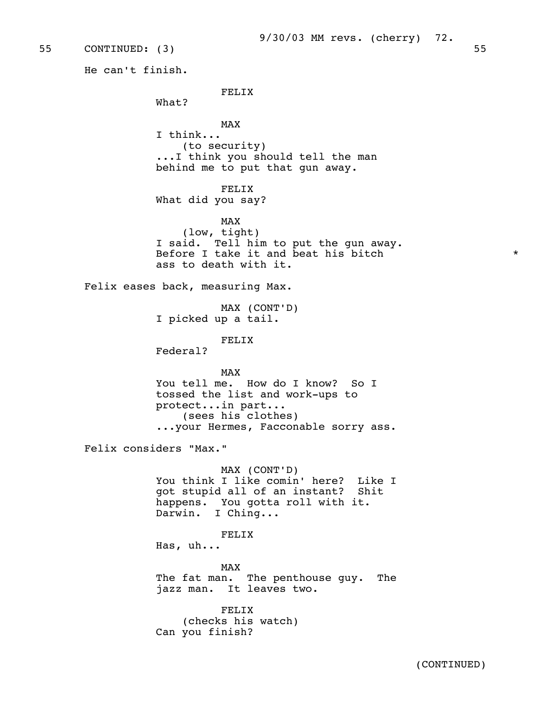9/30/03 MM revs. (cherry) 72.

55 CONTINUED: (3) 55

He can't finish.

FELIX

What?

MAX and the state of the state of the state of the state of the state of the state of the state of the state of the state of the state of the state of the state of the state of the state of the state of the state of the st I think... (to security) ...I think you should tell the man behind me to put that gun away.

> FELIX What did you say?

MAX and the state of the state of the state of the state of the state of the state of the state of the state of the state of the state of the state of the state of the state of the state of the state of the state of the st (low, tight) I said. Tell him to put the gun away. Before I take it and beat his bitch  $*$ ass to death with it.

Felix eases back, measuring Max.

 MAX (CONT'D) I picked up a tail.

FELIX

Federal?

MAX and the state of the state of the state of the state of the state of the state of the state of the state of the state of the state of the state of the state of the state of the state of the state of the state of the st You tell me. How do I know? So I tossed the list and work-ups to protect...in part... (sees his clothes) ...your Hermes, Facconable sorry ass.

Felix considers "Max."

 MAX (CONT'D) You think I like comin' here? Like I got stupid all of an instant? Shit happens. You gotta roll with it. Darwin. I Ching...

FELIX

Has, uh...

MAX and the state of the state of the state of the state of the state of the state of the state of the state of the state of the state of the state of the state of the state of the state of the state of the state of the st The fat man. The penthouse guy. The jazz man. It leaves two.

> FELIX (checks his watch) Can you finish?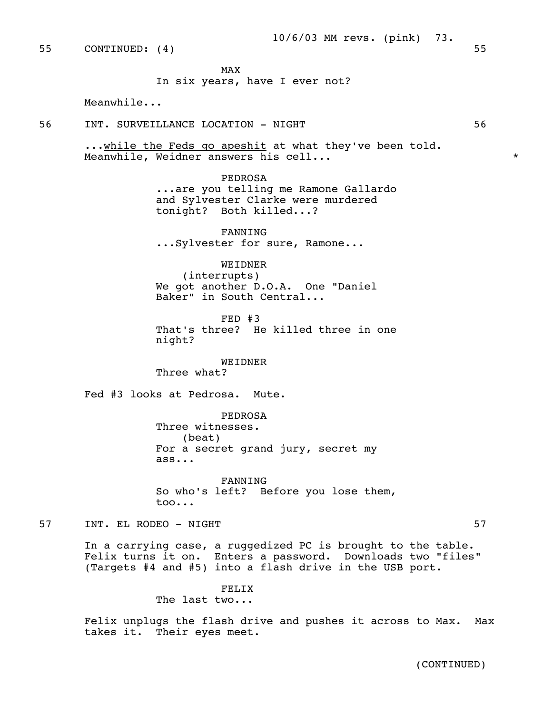55 CONTINUED: (4) 55

MAX and the state of the state of the state of the state of the state of the state of the state of the state of the state of the state of the state of the state of the state of the state of the state of the state of the st

In six years, have I ever not?

Meanwhile...

56 INT. SURVEILLANCE LOCATION - NIGHT 56

...while the Feds go apeshit at what they've been told. Meanwhile, Weidner answers his cell... \*

> PEDROSA ...are you telling me Ramone Gallardo and Sylvester Clarke were murdered tonight? Both killed...?

 FANNING ...Sylvester for sure, Ramone...

WEIDNER

 (interrupts) We got another D.O.A. One "Daniel Baker" in South Central...

 FED #3 That's three? He killed three in one night?

 WEIDNER Three what?

Fed #3 looks at Pedrosa. Mute.

 PEDROSA Three witnesses. (beat) For a secret grand jury, secret my ass...

 FANNING So who's left? Before you lose them, too...

57 INT. EL RODEO – NIGHT

 In a carrying case, a ruggedized PC is brought to the table. Felix turns it on. Enters a password. Downloads two "files" (Targets #4 and #5) into a flash drive in the USB port.

FELIX

The last two...

 Felix unplugs the flash drive and pushes it across to Max. Max takes it. Their eyes meet.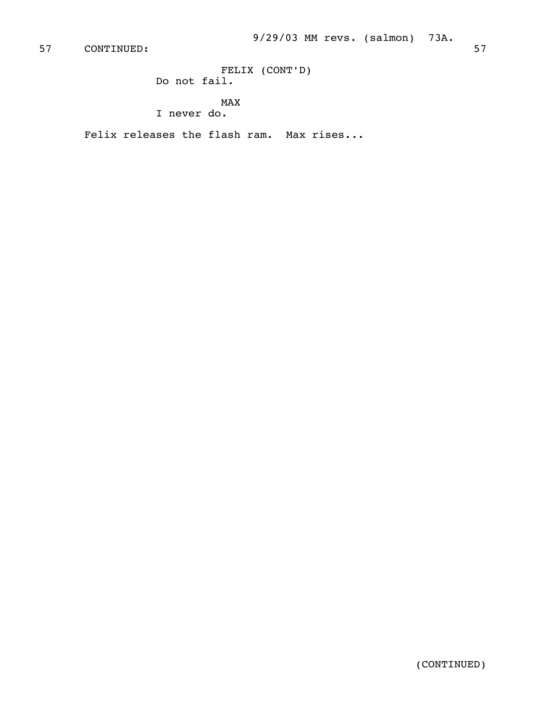57 CONTINUED: 57

 FELIX (CONT'D) Do not fail.

> MAX I never do.

Felix releases the flash ram. Max rises...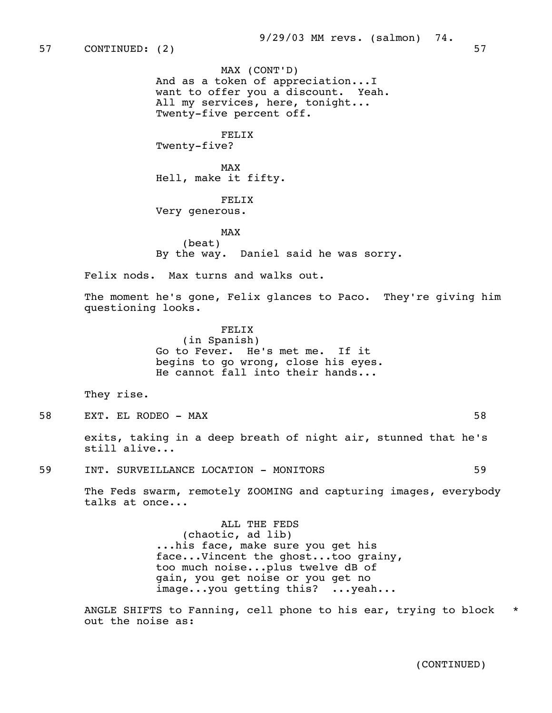MAX (CONT'D) And as a token of appreciation...I want to offer you a discount. Yeah. All my services, here, tonight... Twenty-five percent off.

 FELIX Twenty-five?

MAX and the state of the state of the state of the state of the state of the state of the state of the state of the state of the state of the state of the state of the state of the state of the state of the state of the st Hell, make it fifty.

> FELIX Very generous.

MAX and the state of the state of the state of the state of the state of the state of the state of the state of the state of the state of the state of the state of the state of the state of the state of the state of the st (beat) By the way. Daniel said he was sorry.

Felix nods. Max turns and walks out.

 The moment he's gone, Felix glances to Paco. They're giving him questioning looks.

> FELIX (in Spanish) Go to Fever. He's met me. If it begins to go wrong, close his eyes. He cannot fall into their hands...

They rise.

58 EXT. EL RODEO - MAX 58

 exits, taking in a deep breath of night air, stunned that he's still alive...

59 INT. SURVEILLANCE LOCATION - MONITORS 59

 The Feds swarm, remotely ZOOMING and capturing images, everybody talks at once...

> ALL THE FEDS (chaotic, ad lib) ...his face, make sure you get his face...Vincent the ghost...too grainy, too much noise...plus twelve dB of gain, you get noise or you get no image...you getting this? ...yeah...

 ANGLE SHIFTS to Fanning, cell phone to his ear, trying to block \* out the noise as: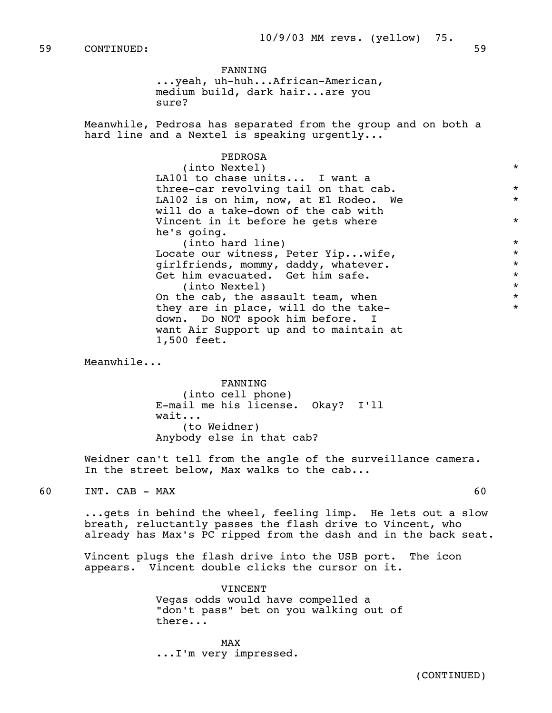FANNING ...yeah, uh-huh...African-American, medium build, dark hair...are you sure?

 Meanwhile, Pedrosa has separated from the group and on both a hard line and a Nextel is speaking urgently...

> PEDROSA (into Nextel) \* LA101 to chase units... I want a three-car revolving tail on that cab.  $*$ LA102 is on him, now, at El Rodeo. We \* will do a take-down of the cab with Vincent in it before he gets where  $*$  he's going. (into hard line)<br>  $\star$ <br>  $\star$  (into hard line)<br>  $\star$  (into hard line) Locate our witness, Peter Yip...wife,  $*$  airlfriends. mommy. daddy. whatever.  $*$ girlfriends, mommy, daddy, whatever.<br>Get him evacuated. Get him safe. Get him evacuated. Get him safe.  $\star$ <br>(into Nextel)  ${\rm (into\ Nextel)}$ <br>he cab, the assault team, when  ${\rm \ *}$  On the cab, the assault team, when \* they are in place, will do the take down. Do NOT spook him before. I want Air Support up and to maintain at 1,500 feet.

Meanwhile...

 FANNING (into cell phone) E-mail me his license. Okay? I'll wait... (to Weidner) Anybody else in that cab?

 Weidner can't tell from the angle of the surveillance camera. In the street below, Max walks to the cab...

60 INT. CAB - MAX 60

 ...gets in behind the wheel, feeling limp. He lets out a slow breath, reluctantly passes the flash drive to Vincent, who already has Max's PC ripped from the dash and in the back seat.

 Vincent plugs the flash drive into the USB port. The icon appears. Vincent double clicks the cursor on it.

> VINCENT Vegas odds would have compelled a "don't pass" bet on you walking out of there...

MAX and the state of the state of the state of the state of the state of the state of the state of the state of the state of the state of the state of the state of the state of the state of the state of the state of the st ...I'm very impressed.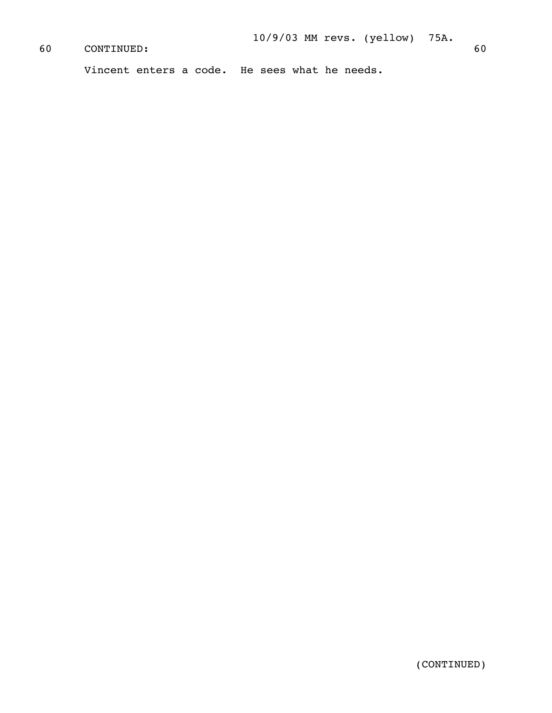# 60 CONTINUED: 60

Vincent enters a code. He sees what he needs.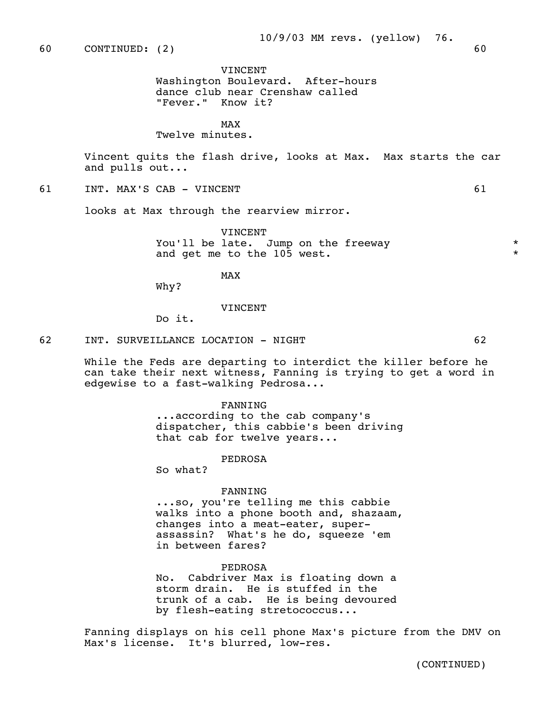#### VINCENT

 Washington Boulevard. After-hours dance club near Crenshaw called "Fever." Know it?

MAX and the state of the state of the state of the state of the state of the state of the state of the state of the state of the state of the state of the state of the state of the state of the state of the state of the st

#### Twelve minutes.

 Vincent quits the flash drive, looks at Max. Max starts the car and pulls out...

## 61 INT. MAX'S CAB - VINCENT 61

looks at Max through the rearview mirror.

 VINCENT You'll be late. Jump on the freeway and get me to the 105 west.  $*$ 

MAX and the state of the state of the state of the state of the state of the state of the state of the state of the state of the state of the state of the state of the state of the state of the state of the state of the st

Why?

#### VINCENT

Do it.

#### 62 INT. SURVEILLANCE LOCATION - NIGHT 62

 While the Feds are departing to interdict the killer before he can take their next witness, Fanning is trying to get a word in edgewise to a fast-walking Pedrosa...

#### FANNING

 ...according to the cab company's dispatcher, this cabbie's been driving that cab for twelve years...

#### PEDROSA

So what?

#### FANNING

 ...so, you're telling me this cabbie walks into a phone booth and, shazaam, changes into a meat-eater, super assassin? What's he do, squeeze 'em in between fares?

#### PEDROSA

 No. Cabdriver Max is floating down a storm drain. He is stuffed in the trunk of a cab. He is being devoured by flesh-eating stretococcus...

 Fanning displays on his cell phone Max's picture from the DMV on Max's license. It's blurred, low-res.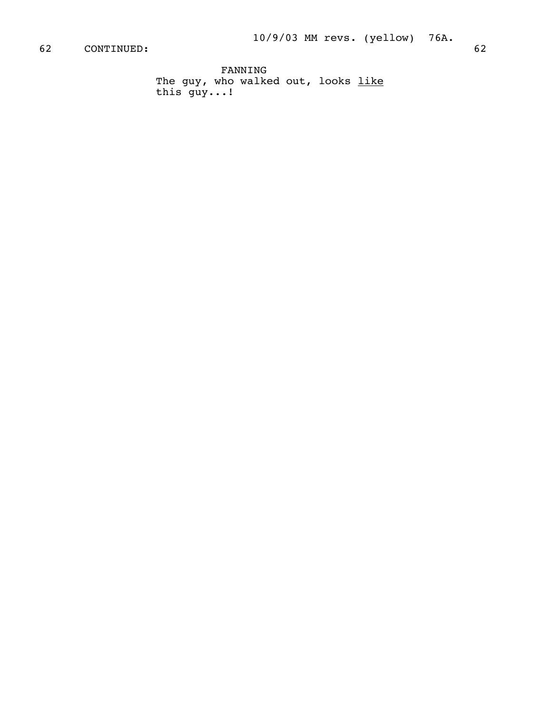FANNING The guy, who walked out, looks <u>like</u> this guy...!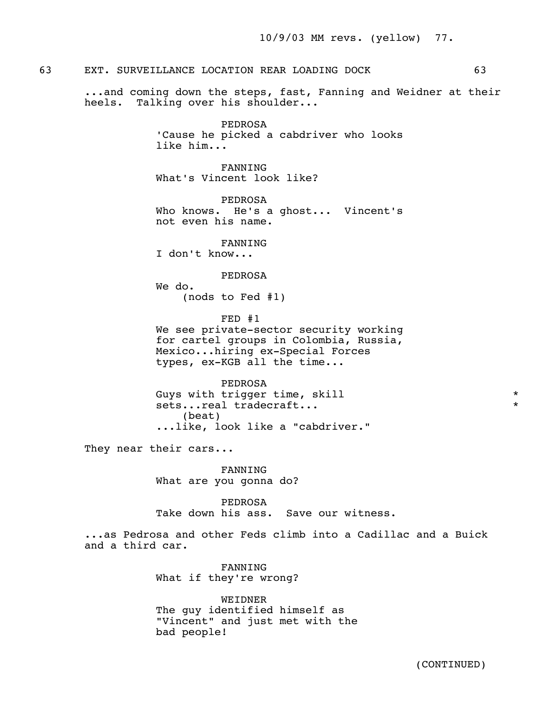## 63 EXT. SURVEILLANCE LOCATION REAR LOADING DOCK 63

 ...and coming down the steps, fast, Fanning and Weidner at their heels. Talking over his shoulder...

> PEDROSA 'Cause he picked a cabdriver who looks like him...

 FANNING What's Vincent look like?

 PEDROSA Who knows. He's a ghost... Vincent's not even his name.

 FANNING I don't know...

PEDROSA

 We do. (nods to Fed #1)

 FED #1 We see private-sector security working for cartel groups in Colombia, Russia, Mexico...hiring ex-Special Forces types, ex-KGB all the time...

 PEDROSA Guys with trigger time, skill  $*$ sets...real tradecraft... (beat) ...like, look like a "cabdriver."

They near their cars...

 FANNING What are you gonna do?

 PEDROSA Take down his ass. Save our witness.

 ...as Pedrosa and other Feds climb into a Cadillac and a Buick and a third car.

> FANNING What if they're wrong?

 WEIDNER The guy identified himself as "Vincent" and just met with the bad people!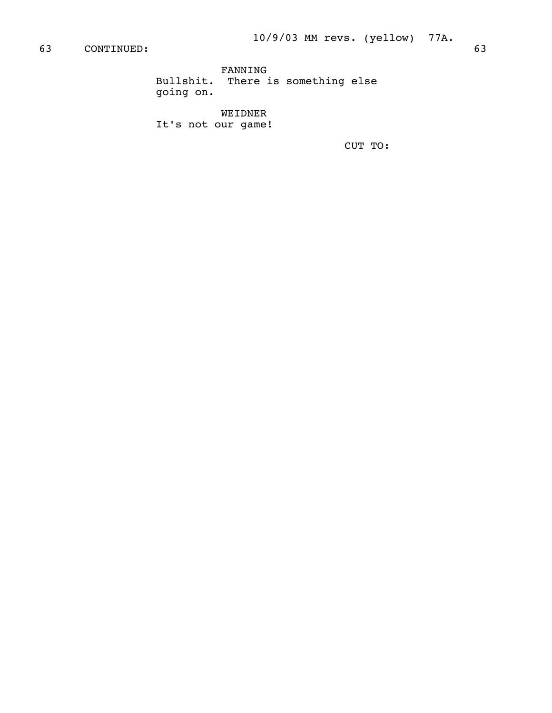FANNING Bullshit. There is something else going on.

 WEIDNER It's not our game!

CUT TO: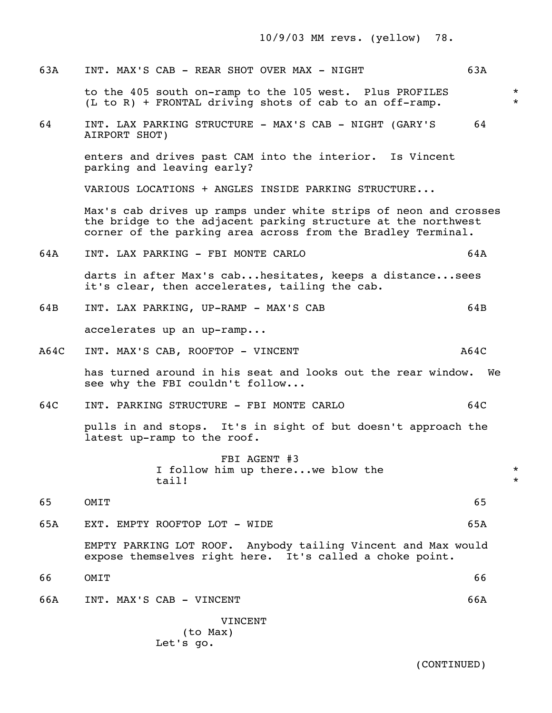10/9/03 MM revs. (yellow) 78.

| 63A  | INT. MAX'S CAB - REAR SHOT OVER MAX - NIGHT                                                                                                                                                       | 63A  |                    |
|------|---------------------------------------------------------------------------------------------------------------------------------------------------------------------------------------------------|------|--------------------|
|      | to the 405 south on-ramp to the 105 west. Plus PROFILES<br>(L to R) + FRONTAL driving shots of cab to an off-ramp.                                                                                |      | $\star$<br>$\star$ |
| 64   | INT. LAX PARKING STRUCTURE - MAX'S CAB - NIGHT (GARY'S<br>AIRPORT SHOT)                                                                                                                           | 64   |                    |
|      | enters and drives past CAM into the interior. Is Vincent<br>parking and leaving early?                                                                                                            |      |                    |
|      | VARIOUS LOCATIONS + ANGLES INSIDE PARKING STRUCTURE                                                                                                                                               |      |                    |
|      | Max's cab drives up ramps under white strips of neon and crosses<br>the bridge to the adjacent parking structure at the northwest<br>corner of the parking area across from the Bradley Terminal. |      |                    |
| 64A  | INT. LAX PARKING - FBI MONTE CARLO                                                                                                                                                                | 64A  |                    |
|      | darts in after Max's cabhesitates, keeps a distancesees<br>it's clear, then accelerates, tailing the cab.                                                                                         |      |                    |
| 64B  | INT. LAX PARKING, UP-RAMP - MAX'S CAB                                                                                                                                                             | 64B  |                    |
|      | accelerates up an up-ramp                                                                                                                                                                         |      |                    |
| A64C | INT. MAX'S CAB, ROOFTOP - VINCENT                                                                                                                                                                 | A64C |                    |
|      | has turned around in his seat and looks out the rear window. We<br>see why the FBI couldn't follow                                                                                                |      |                    |
| 64C  | INT. PARKING STRUCTURE - FBI MONTE CARLO                                                                                                                                                          | 64C  |                    |
|      | pulls in and stops. It's in sight of but doesn't approach the<br>latest up-ramp to the roof.                                                                                                      |      |                    |
|      | FBI AGENT #3<br>I follow him up therewe blow the<br>tail!                                                                                                                                         |      | $\star$<br>$\star$ |
| 65   | OMIT                                                                                                                                                                                              | 65   |                    |
| 65A  | EXT. EMPTY ROOFTOP LOT - WIDE                                                                                                                                                                     | 65A  |                    |
|      | EMPTY PARKING LOT ROOF. Anybody tailing Vincent and Max would<br>expose themselves right here. It's called a choke point.                                                                         |      |                    |
| 66   | OMIT                                                                                                                                                                                              | 66   |                    |
| 66A  | INT. MAX'S CAB - VINCENT                                                                                                                                                                          | 66A  |                    |
|      | VINCENT<br>(to Max)                                                                                                                                                                               |      |                    |

Let's go.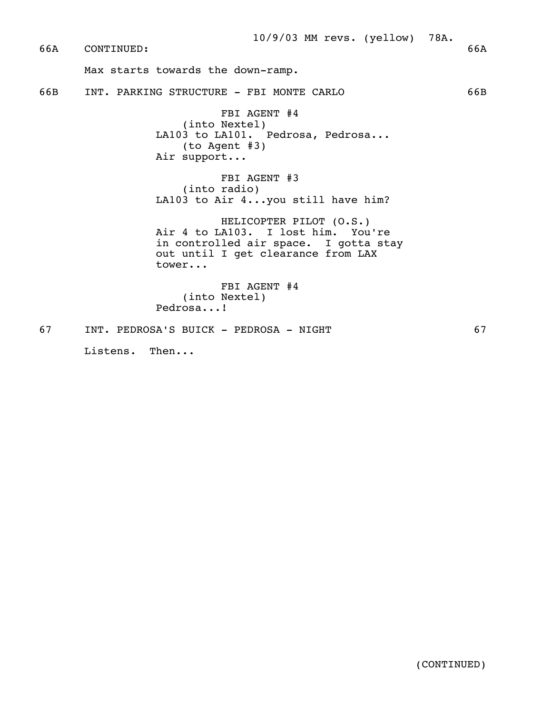66A CONTINUED: 66A

Max starts towards the down-ramp.

66B INT. PARKING STRUCTURE - FBI MONTE CARLO 66B

 FBI AGENT #4 (into Nextel) LA103 to LA101. Pedrosa, Pedrosa... (to Agent #3) Air support...

 FBI AGENT #3 (into radio) LA103 to Air 4...you still have him?

 HELICOPTER PILOT (O.S.) Air 4 to LA103. I lost him. You're in controlled air space. I gotta stay out until I get clearance from LAX tower...

 FBI AGENT #4 (into Nextel) Pedrosa...!

67 INT. PEDROSA'S BUICK - PEDROSA - NIGHT 67

Listens. Then...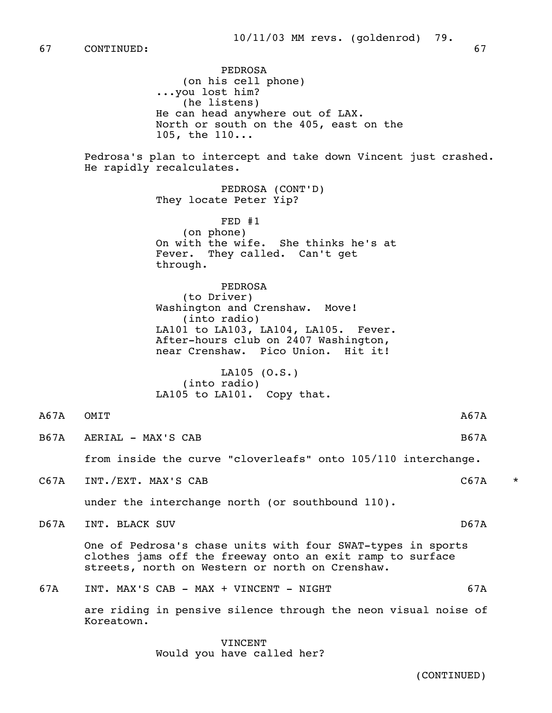PEDROSA (on his cell phone) ...you lost him? (he listens) He can head anywhere out of LAX. North or south on the 405, east on the 105, the 110... Pedrosa's plan to intercept and take down Vincent just crashed. He rapidly recalculates. PEDROSA (CONT'D) They locate Peter Yip? FED #1 (on phone) On with the wife. She thinks he's at Fever. They called. Can't get through. PEDROSA (to Driver) Washington and Crenshaw. Move! (into radio) LA101 to LA103, LA104, LA105. Fever. After-hours club on 2407 Washington, near Crenshaw. Pico Union. Hit it! LA105 (O.S.) (into radio) LA105 to LA101. Copy that. A67A OMIT B67A AERIAL – MAX'S CAB B67A from inside the curve "cloverleafs" onto 105/110 interchange. C67A INT./EXT. MAX'S CAB C67A \* under the interchange north (or southbound 110). D67A INT. BLACK SUV and the set of the set of the set of the set of the set of the set of the set of the set o One of Pedrosa's chase units with four SWAT-types in sports clothes jams off the freeway onto an exit ramp to surface streets, north on Western or north on Crenshaw. 67A INT. MAX'S CAB - MAX + VINCENT - NIGHT 67A are riding in pensive silence through the neon visual noise of Koreatown.

> VINCENT Would you have called her?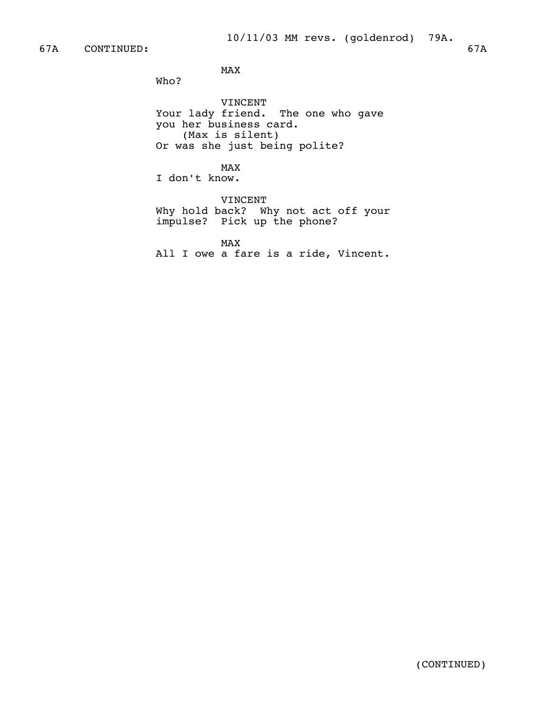MAX and the state of the state of the state of the state of the state of the state of the state of the state of the state of the state of the state of the state of the state of the state of the state of the state of the st

Who?

 VINCENT Your lady friend. The one who gave you her business card. (Max is silent) Or was she just being polite?

MAX and the state of the state of the state of the state of the state of the state of the state of the state of the state of the state of the state of the state of the state of the state of the state of the state of the st

I don't know.

 VINCENT Why hold back? Why not act off your impulse? Pick up the phone?

MAX and the state of the state of the state of the state of the state of the state of the state of the state of the state of the state of the state of the state of the state of the state of the state of the state of the st All I owe a fare is a ride, Vincent.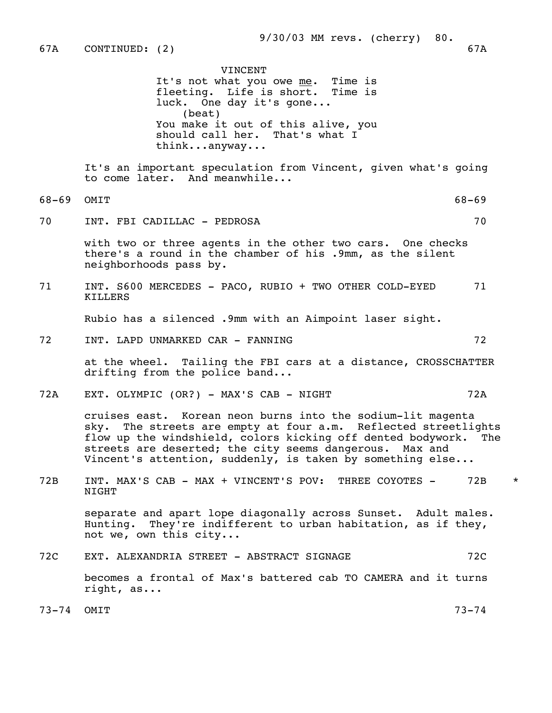|           | VINCENT<br>It's not what you owe me. Time is<br>fleeting. Life is short. Time is<br>luck. One day it's gone<br>(beat)<br>You make it out of this alive, you<br>should call her. That's what I<br>thinkanyway                                                                                                         |           |         |
|-----------|----------------------------------------------------------------------------------------------------------------------------------------------------------------------------------------------------------------------------------------------------------------------------------------------------------------------|-----------|---------|
|           | It's an important speculation from Vincent, given what's going<br>to come later. And meanwhile                                                                                                                                                                                                                       |           |         |
| $68 - 69$ | OMIT                                                                                                                                                                                                                                                                                                                 | $68 - 69$ |         |
| 70        | INT. FBI CADILLAC - PEDROSA                                                                                                                                                                                                                                                                                          | 70        |         |
|           | with two or three agents in the other two cars. One checks<br>there's a round in the chamber of his .9mm, as the silent<br>neighborhoods pass by.                                                                                                                                                                    |           |         |
| 71        | INT. S600 MERCEDES - PACO, RUBIO + TWO OTHER COLD-EYED<br>KILLERS                                                                                                                                                                                                                                                    | 71        |         |
|           | Rubio has a silenced .9mm with an Aimpoint laser sight.                                                                                                                                                                                                                                                              |           |         |
| 72        | INT. LAPD UNMARKED CAR - FANNING                                                                                                                                                                                                                                                                                     | 72        |         |
|           | at the wheel. Tailing the FBI cars at a distance, CROSSCHATTER<br>drifting from the police band                                                                                                                                                                                                                      |           |         |
| 72A       | EXT. OLYMPIC (OR?) - MAX'S CAB - NIGHT                                                                                                                                                                                                                                                                               | 72A       |         |
|           | cruises east. Korean neon burns into the sodium-lit magenta<br>sky. The streets are empty at four a.m. Reflected streetlights<br>flow up the windshield, colors kicking off dented bodywork.<br>streets are deserted; the city seems dangerous. Max and<br>Vincent's attention, suddenly, is taken by something else | The       |         |
| 72B       | INT. MAX'S CAB - MAX + VINCENT'S POV: THREE COYOTES -<br>NIGHT                                                                                                                                                                                                                                                       | 72B       | $\star$ |
|           | separate and apart lope diagonally across Sunset. Adult males.<br>Hunting. They're indifferent to urban habitation, as if they,<br>not we, own this city                                                                                                                                                             |           |         |
| 72C       | EXT. ALEXANDRIA STREET - ABSTRACT SIGNAGE                                                                                                                                                                                                                                                                            | 72C       |         |
|           | becomes a frontal of Max's battered cab TO CAMERA and it turns<br>right, as                                                                                                                                                                                                                                          |           |         |
| $73 - 74$ | OMIT                                                                                                                                                                                                                                                                                                                 | $73 - 74$ |         |
|           |                                                                                                                                                                                                                                                                                                                      |           |         |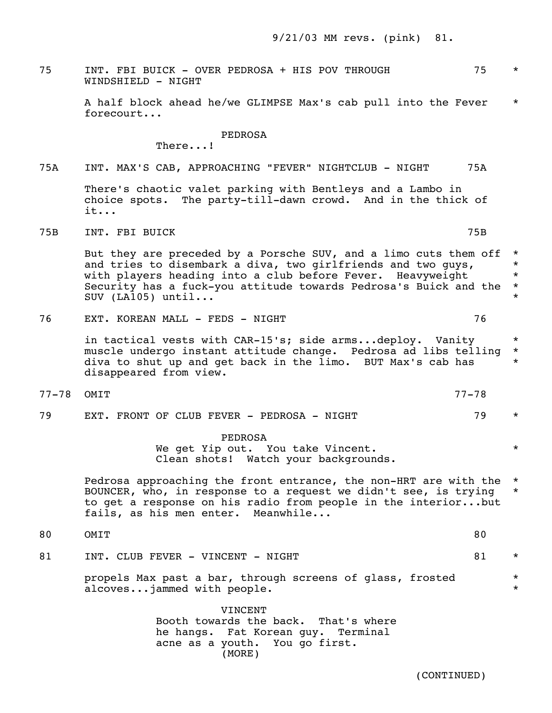75 INT. FBI BUICK - OVER PEDROSA + HIS POV THROUGH 75 \* WINDSHIELD - NIGHT

 A half block ahead he/we GLIMPSE Max's cab pull into the Fever \* forecourt...

PEDROSA

There...!

## 75A INT. MAX'S CAB, APPROACHING "FEVER" NIGHTCLUB - NIGHT 75A

 There's chaotic valet parking with Bentleys and a Lambo in choice spots. The party-till-dawn crowd. And in the thick of it...

THE STRING INT. FOR BUICK THE STRING OF STRING IS A STRING OF STRING OF STRING IS A STRING OF STRING OF STRING OF STRING OF STRING OF STRING OF STRING OF STRING OF STRING OF STRING OF STRING OF STRING OF STRING OF STRING O

But they are preceded by a Porsche SUV, and a limo cuts them off  $*$ and tries to disembark a diva, two girlfriends and two guys,  $*$ with players heading into a club before Fever. Heavyweight \* Security has a fuck-you attitude towards Pedrosa's Buick and the \* SUV (LA105) until...

76 EXT. KOREAN MALL - FEDS - NIGHT 76

in tactical vests with CAR-15's; side arms...deploy. Vanity \* muscle undergo instant attitude change. Pedrosa ad libs telling \* diva to shut up and get back in the limo. BUT Max's cab has \* disappeared from view.

- 77-78 OMIT 77-78
- 79 EXT. FRONT OF CLUB FEVER PEDROSA NIGHT 79 \*

 PEDROSA We get Yip out. You take Vincent.  $*$ Clean shots! Watch your backgrounds.

 Pedrosa approaching the front entrance, the non-HRT are with the \* BOUNCER, who, in response to a request we didn't see, is trying \* to get a response on his radio from people in the interior...but fails, as his men enter. Meanwhile...

- 80 OMIT 80
- 81 INT. CLUB FEVER VINCENT NIGHT SALL MAN AND MAN SALL \*

propels Max past a bar, through screens of glass, frosted \* \* alcoves...jammed with people.

> VINCENT Booth towards the back. That's where he hangs. Fat Korean guy. Terminal acne as a youth. You go first. (MORE)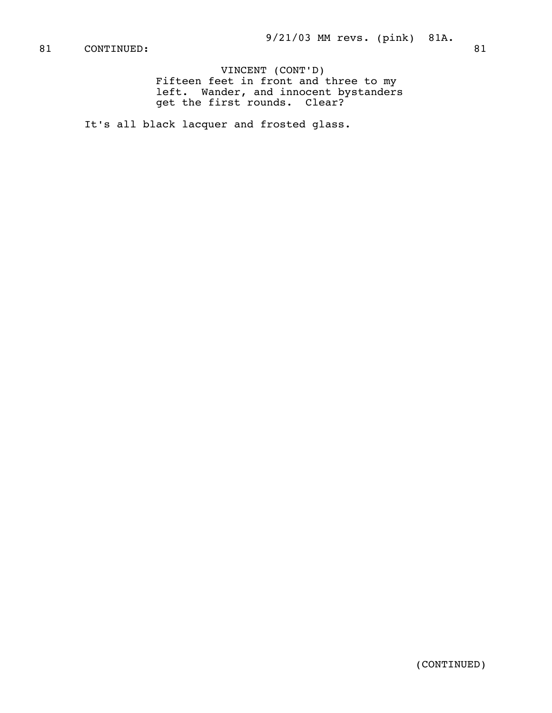VINCENT (CONT'D) Fifteen feet in front and three to my left. Wander, and innocent bystanders get the first rounds. Clear?

It's all black lacquer and frosted glass.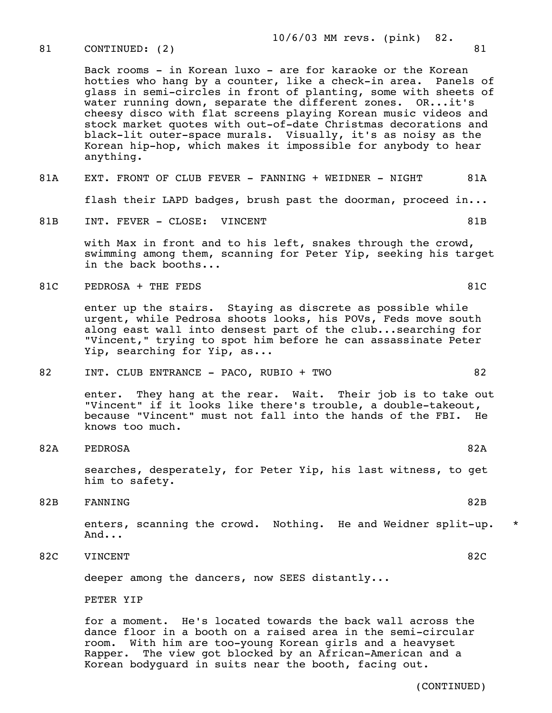82B FANNING 82B

 enters, scanning the crowd. Nothing. He and Weidner split-up. \* And...

 for a moment. He's located towards the back wall across the dance floor in a booth on a raised area in the semi-circular room. With him are too-young Korean girls and a heavyset Rapper. The view got blocked by an African-American and a

82C VINCENT 82C

PETER YIP

deeper among the dancers, now SEES distantly...

- 
- 

82 INT. CLUB ENTRANCE - PACO, RUBIO + TWO 82

 enter. They hang at the rear. Wait. Their job is to take out "Vincent" if it looks like there's trouble, a double-takeout, because "Vincent" must not fall into the hands of the FBI. He knows too much.

82A PEDROSA 82A

- urgent, while Pedrosa shoots looks, his POVs, Feds move south along east wall into densest part of the club...searching for "Vincent," trying to spot him before he can assassinate Peter Yip, searching for Yip, as...
- swimming among them, scanning for Peter Yip, seeking his target in the back booths...
- 

him to safety.

81C PEDROSA + THE FEDS 81C enter up the stairs. Staying as discrete as possible while

81B INT. FEVER - CLOSE: VINCENT SOLUTION AND SAMPLE STEEL BY STEEL BY STEEL AND STEEL BY STEEL AND STEEL BY STEEL AND STEEL AND STEEL AND STEEL AND STEEL AND STEEL AND STEEL AND STEEL AND STEEL AND STEEL AND STEEL AND STEE with Max in front and to his left, snakes through the crowd,

- 
- 

 stock market quotes with out-of-date Christmas decorations and black-lit outer-space murals. Visually, it's as noisy as the Korean hip-hop, which makes it impossible for anybody to hear anything.

 Back rooms - in Korean luxo - are for karaoke or the Korean hotties who hang by a counter, like a check-in area. Panels of glass in semi-circles in front of planting, some with sheets of water running down, separate the different zones. OR...it's cheesy disco with flat screens playing Korean music videos and

# 81A EXT. FRONT OF CLUB FEVER - FANNING + WEIDNER - NIGHT 81A

flash their LAPD badges, brush past the doorman, proceed in...

 10/6/03 MM revs. (pink) 82. 81 CONTINUED: (2) 81

- searches, desperately, for Peter Yip, his last witness, to get
	-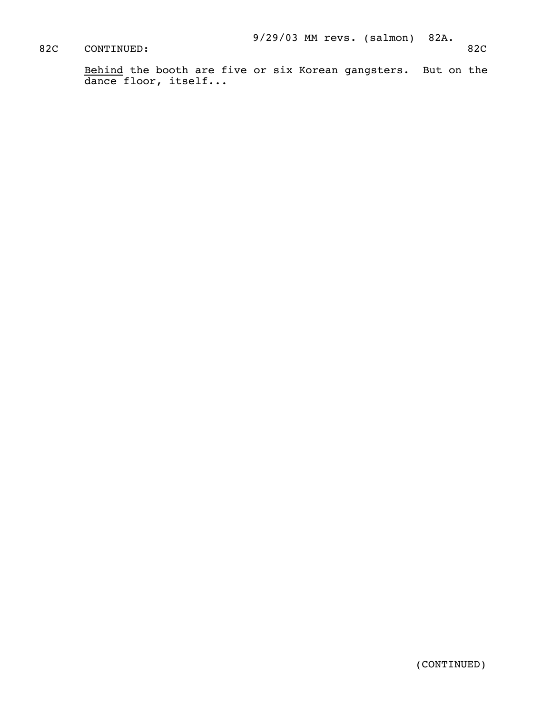# 82C CONTINUED: 82C

Behind the booth are five or six Korean gangsters. But on the dance floor, itself...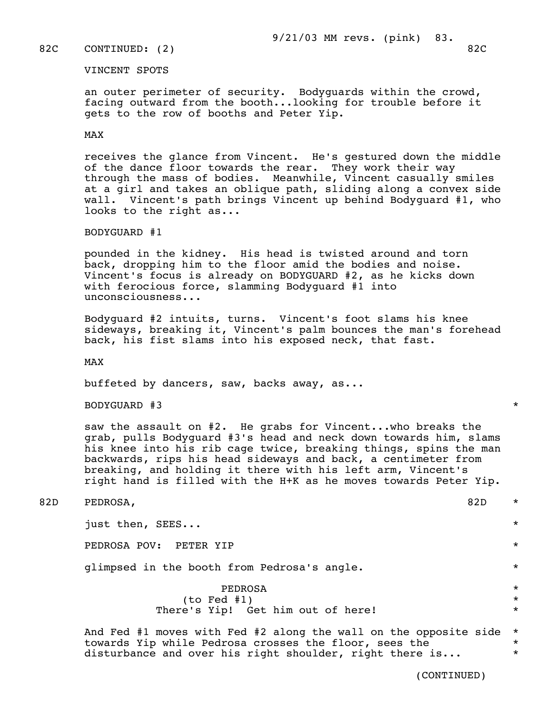### 82C CONTINUED: (2) 82C

#### VINCENT SPOTS

 an outer perimeter of security. Bodyguards within the crowd, facing outward from the booth...looking for trouble before it gets to the row of booths and Peter Yip.

#### MAX

 receives the glance from Vincent. He's gestured down the middle of the dance floor towards the rear. They work their way through the mass of bodies. Meanwhile, Vincent casually smiles at a girl and takes an oblique path, sliding along a convex side wall. Vincent's path brings Vincent up behind Bodyguard #1, who looks to the right as...

BODYGUARD #1

 pounded in the kidney. His head is twisted around and torn back, dropping him to the floor amid the bodies and noise. Vincent's focus is already on BODYGUARD #2, as he kicks down with ferocious force, slamming Bodyguard #1 into unconsciousness...

 Bodyguard #2 intuits, turns. Vincent's foot slams his knee sideways, breaking it, Vincent's palm bounces the man's forehead back, his fist slams into his exposed neck, that fast.

MAX

buffeted by dancers, saw, backs away, as...

BODYGUARD #3 \*

 saw the assault on #2. He grabs for Vincent...who breaks the grab, pulls Bodyguard #3's head and neck down towards him, slams his knee into his rib cage twice, breaking things, spins the man backwards, rips his head sideways and back, a centimeter from breaking, and holding it there with his left arm, Vincent's right hand is filled with the H+K as he moves towards Peter Yip.

82D PEDROSA,  $\sim$  82D  $\star$ 

just then, SEES... \*

PEDROSA POV: PETER YIP \*

glimpsed in the booth from Pedrosa's angle. \*

 PEDROSA \* (to Fed #1) \* There's Yip! Get him out of here!  $*$ 

> And Fed #1 moves with Fed #2 along the wall on the opposite side \* towards Yip while Pedrosa crosses the floor, sees the \* disturbance and over his right shoulder, right there is...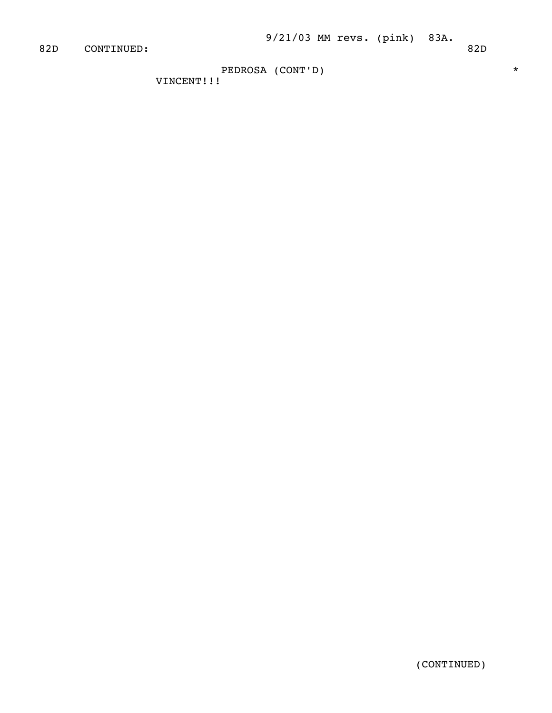PEDROSA (CONT'D) \*

VINCENT!!!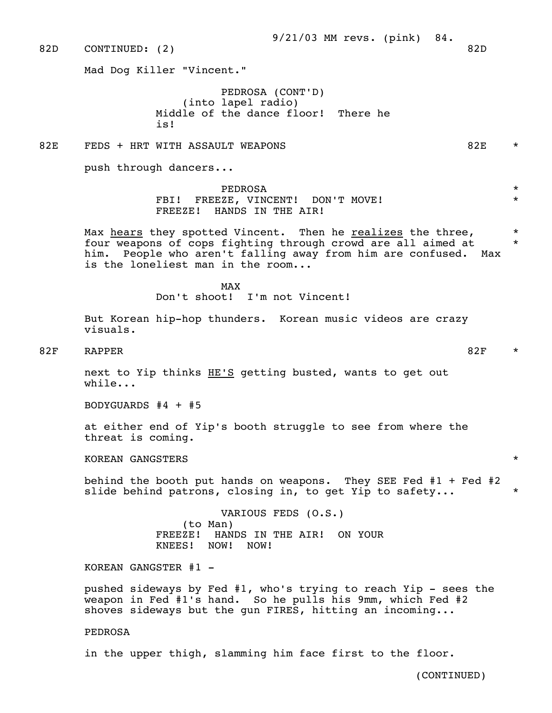82D CONTINUED: (2) 82D 82D

Mad Dog Killer "Vincent."

 PEDROSA (CONT'D) (into lapel radio) Middle of the dance floor! There he is! It's a set of the set of the set of the set of the set of the set of the set of the set of the set of the s

## 82E FEDS + HRT WITH ASSAULT WEAPONS 82E \*

push through dancers...

 PEDROSA \* FBI! FREEZE, VINCENT! DON'T MOVE! \* \* \* FREEZE! HANDS IN THE AIR!

> Max hears they spotted Vincent. Then he realizes the three,  $*$  four weapons of cops fighting through crowd are all aimed at \* him. People who aren't falling away from him are confused. Max is the loneliest man in the room...

MAX and the state of the state of the state of the state of the state of the state of the state of the state of the state of the state of the state of the state of the state of the state of the state of the state of the st Don't shoot! I'm not Vincent!

> But Korean hip-hop thunders. Korean music videos are crazy visuals.

82F RAPPER 82F \*

 next to Yip thinks HE'S getting busted, wants to get out while...

BODYGUARDS #4 + #5

 at either end of Yip's booth struggle to see from where the threat is coming.

KOREAN GANGSTERS \*

 behind the booth put hands on weapons. They SEE Fed #1 + Fed #2 slide behind patrons, closing in, to get Yip to safety...  $*$ 

> VARIOUS FEDS (O.S.) (to Man) FREEZE! HANDS IN THE AIR! ON YOUR KNEES! NOW! NOW!

KOREAN GANGSTER  $#1 -$ 

 pushed sideways by Fed #1, who's trying to reach Yip - sees the weapon in Fed #1's hand. So he pulls his 9mm, which Fed #2 shoves sideways but the qun FIRES, hitting an incoming...

PEDROSA

in the upper thigh, slamming him face first to the floor.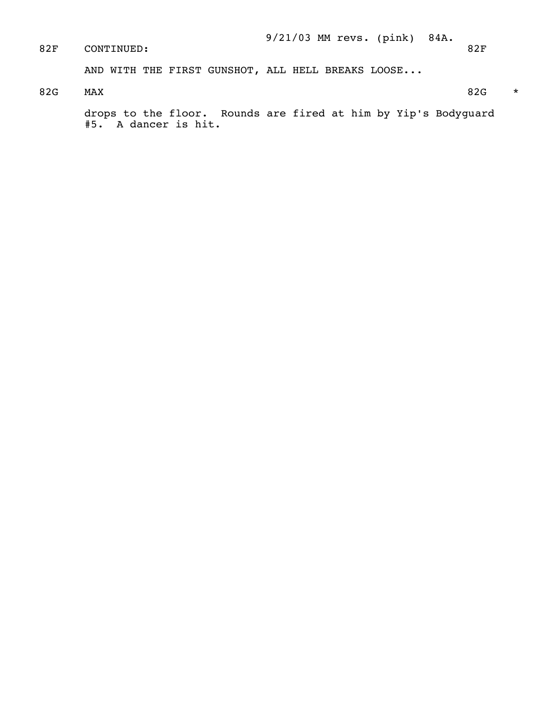9/21/03 MM revs. (pink) 84A. CONTINUED: 82F AND WITH THE FIRST GUNSHOT, ALL HELL BREAKS LOOSE... 82G MAX  $82G \rightarrow 82G$  drops to the floor. Rounds are fired at him by Yip's Bodyguard #5. A dancer is hit.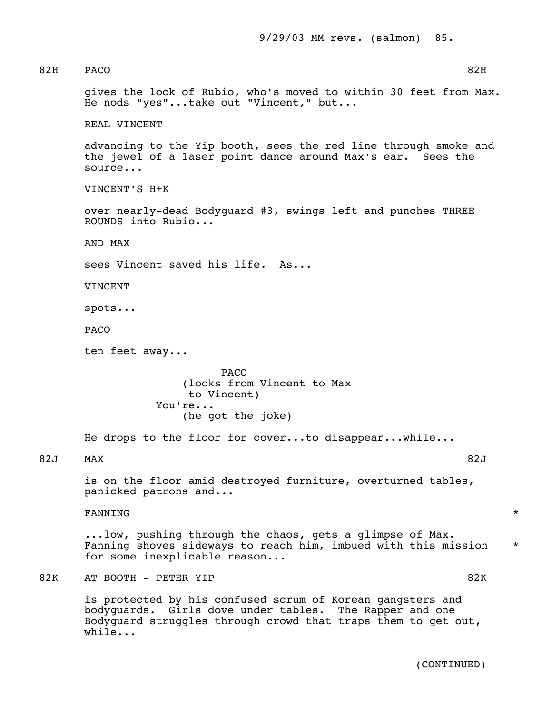82H PACO 82H gives the look of Rubio, who's moved to within 30 feet from Max. He nods "yes"...take out "Vincent," but... REAL VINCENT advancing to the Yip booth, sees the red line through smoke and the jewel of a laser point dance around Max's ear. Sees the source... VINCENT'S H+K over nearly-dead Bodyguard #3, swings left and punches THREE ROUNDS into Rubio... AND MAX sees Vincent saved his life. As... VINCENT spots... PACO ten feet away... **PACO**  (looks from Vincent to Max to Vincent) You're... (he got the joke) He drops to the floor for cover...to disappear...while... 82J MAX 82J is on the floor amid destroyed furniture, overturned tables, panicked patrons and... FANNING  $\qquad$  ...low, pushing through the chaos, gets a glimpse of Max. Fanning shoves sideways to reach him, imbued with this mission \* for some inexplicable reason... 82K AT BOOTH - PETER YIP 82K is protected by his confused scrum of Korean gangsters and bodyguards. Girls dove under tables. The Rapper and one Bodyguard struggles through crowd that traps them to get out, while...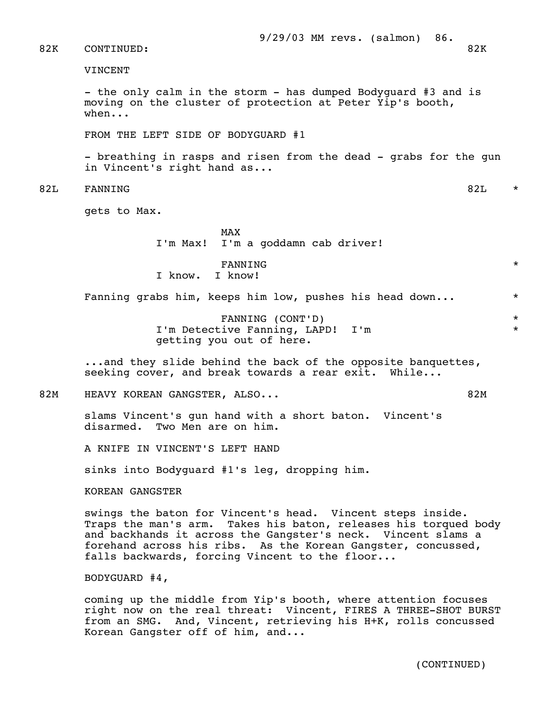#### 82K CONTINUED: 82K

VINCENT

 - the only calm in the storm - has dumped Bodyguard #3 and is moving on the cluster of protection at Peter Yip's booth, when...

FROM THE LEFT SIDE OF BODYGUARD #1

 - breathing in rasps and risen from the dead - grabs for the gun in Vincent's right hand as...

82L FANNING 82L \*

gets to Max.

MAX and the state of the state of the state of the state of the state of the state of the state of the state of the state of the state of the state of the state of the state of the state of the state of the state of the st I'm Max! I'm a goddamn cab driver!

 $\tt{FANNING}$  \* I know. I know!

Fanning grabs him, keeps him low, pushes his head down...  $*$ 

 FANNING (CONT'D) \* I'm Detective Fanning, LAPD! I'm \* getting you out of here.

 ...and they slide behind the back of the opposite banquettes, seeking cover, and break towards a rear exit. While...

82M HEAVY KOREAN GANGSTER, ALSO... SAN SANG BARAGEAN ASSAULT AND MALL ASSESSMENT RANGERY AND MALL ASSESSMENT RANGERY AND MALL AND MALL AND MALL AND MALL AND MALL AND MALL AND MALL AND MALL AND MALL AND MALL AND MALL AND MA

 slams Vincent's gun hand with a short baton. Vincent's disarmed. Two Men are on him.

A KNIFE IN VINCENT'S LEFT HAND

sinks into Bodyguard #1's leg, dropping him.

KOREAN GANGSTER

 swings the baton for Vincent's head. Vincent steps inside. Traps the man's arm. Takes his baton, releases his torqued body and backhands it across the Gangster's neck. Vincent slams a forehand across his ribs. As the Korean Gangster, concussed, falls backwards, forcing Vincent to the floor...

BODYGUARD #4,

 coming up the middle from Yip's booth, where attention focuses right now on the real threat: Vincent, FIRES A THREE-SHOT BURST from an SMG. And, Vincent, retrieving his H+K, rolls concussed Korean Gangster off of him, and...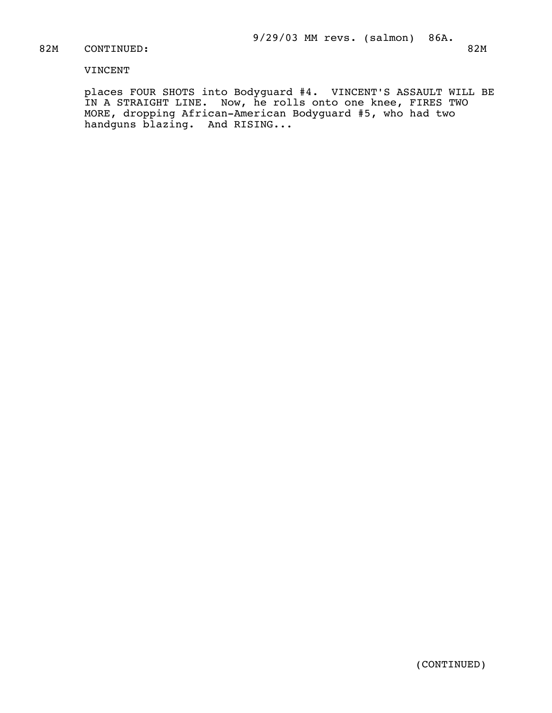## 82M CONTINUED: 82M

# VINCENT

 places FOUR SHOTS into Bodyguard #4. VINCENT'S ASSAULT WILL BE IN A STRAIGHT LINE. Now, he rolls onto one knee, FIRES TWO MORE, dropping African-American Bodyguard #5, who had two handguns blazing. And RISING...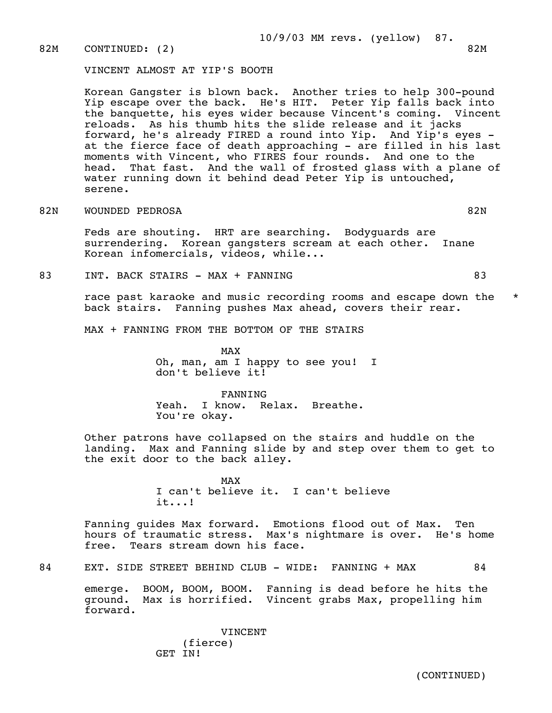82M CONTINUED: (2) 82M

VINCENT ALMOST AT YIP'S BOOTH

 Korean Gangster is blown back. Another tries to help 300-pound Yip escape over the back. He's HIT. Peter Yip falls back into the banquette, his eyes wider because Vincent's coming. Vincent reloads. As his thumb hits the slide release and it jacks forward, he's already FIRED a round into Yip. And Yip's eyes at the fierce face of death approaching - are filled in his last moments with Vincent, who FIRES four rounds. And one to the head. That fast. And the wall of frosted glass with a plane of water running down it behind dead Peter Yip is untouched, serene.

82N WOUNDED PEDROSA 82N 82N

 Feds are shouting. HRT are searching. Bodyguards are surrendering. Korean gangsters scream at each other. Inane Korean infomercials, videos, while...

83 INT. BACK STAIRS - MAX + FANNING  $\begin{array}{ccc} 83 \end{array}$  83

race past karaoke and music recording rooms and escape down the  $*$ back stairs. Fanning pushes Max ahead, covers their rear.

MAX + FANNING FROM THE BOTTOM OF THE STAIRS

MAX and the state of the state of the state of the state of the state of the state of the state of the state of the state of the state of the state of the state of the state of the state of the state of the state of the st Oh, man, am I happy to see you! I don't believe it!

> FANNING Yeah. I know. Relax. Breathe. You're okay.

 Other patrons have collapsed on the stairs and huddle on the landing. Max and Fanning slide by and step over them to get to the exit door to the back alley.

MAX and the state of the state of the state of the state of the state of the state of the state of the state of the state of the state of the state of the state of the state of the state of the state of the state of the st I can't believe it. I can't believe it...!

> Fanning guides Max forward. Emotions flood out of Max. Ten hours of traumatic stress. Max's nightmare is over. He's home free. Tears stream down his face.

84 EXT. SIDE STREET BEHIND CLUB - WIDE: FANNING + MAX 84

 emerge. BOOM, BOOM, BOOM. Fanning is dead before he hits the ground. Max is horrified. Vincent grabs Max, propelling him forward.

> VINCENT (fierce) GET IN!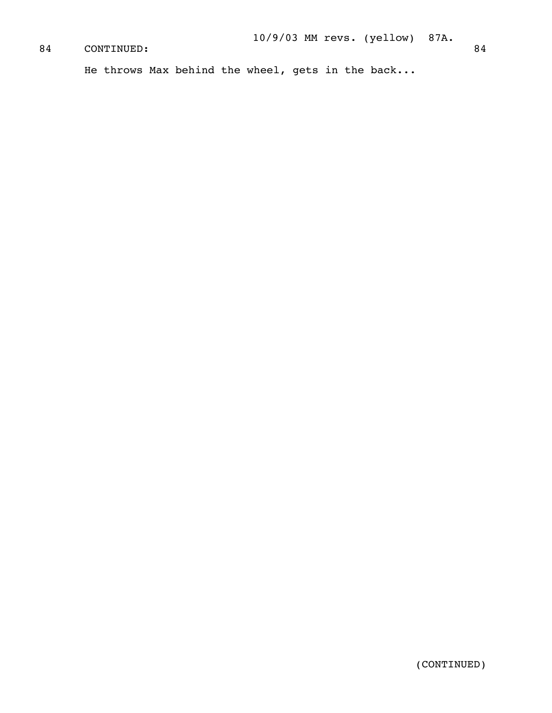# CONTINUED: 84

He throws Max behind the wheel, gets in the back...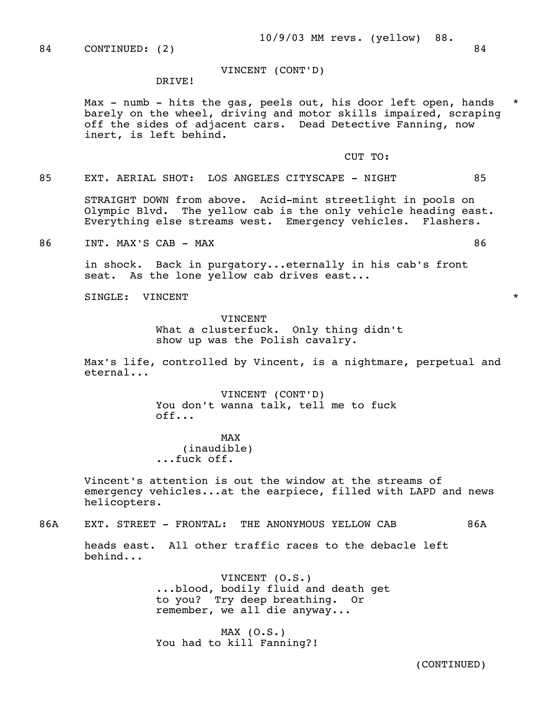VINCENT (CONT'D)

#### DRIVE!

Max - numb - hits the gas, peels out, his door left open, hands barely on the wheel, driving and motor skills impaired, scraping off the sides of adjacent cars. Dead Detective Fanning, now inert, is left behind.

## CUT TO:

85 EXT. AERIAL SHOT: LOS ANGELES CITYSCAPE - NIGHT 85

 STRAIGHT DOWN from above. Acid-mint streetlight in pools on Olympic Blvd. The yellow cab is the only vehicle heading east. Everything else streams west. Emergency vehicles. Flashers.

86 INT. MAX'S CAB - MAX 86

 in shock. Back in purgatory...eternally in his cab's front seat. As the lone yellow cab drives east...

SINGLE: VINCENT  $\qquad \qquad \star$ 

## **VINCENT**  What a clusterfuck. Only thing didn't show up was the Polish cavalry.

Max's life, controlled by Vincent, is a nightmare, perpetual and eternal...

> VINCENT (CONT'D) You don't wanna talk, tell me to fuck off...

MAX and the state of the state of the state of the state of the state of the state of the state of the state of the state of the state of the state of the state of the state of the state of the state of the state of the st (inaudible) ...fuck off.

> Vincent's attention is out the window at the streams of emergency vehicles...at the earpiece, filled with LAPD and news helicopters.

86A EXT. STREET - FRONTAL: THE ANONYMOUS YELLOW CAB 86A

 heads east. All other traffic races to the debacle left behind...

> VINCENT (O.S.) ...blood, bodily fluid and death get to you? Try deep breathing. Or remember, we all die anyway...

MAX  $(0.S.)$ You had to kill Fanning?!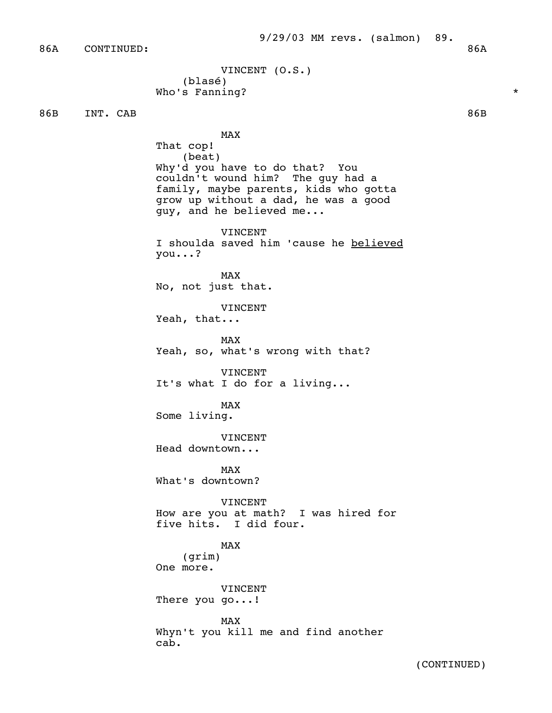86A CONTINUED: 86A

```
 VINCENT (O.S.) 
   (blasé) 
Who's Fanning? *
```
86B INT. CAB 86B

MAX and the state of the state of the state of the state of the state of the state of the state of the state of the state of the state of the state of the state of the state of the state of the state of the state of the st That cop! (beat) Why'd you have to do that? You couldn't wound him? The guy had a family, maybe parents, kids who gotta grow up without a dad, he was a good guy, and he believed me...

> VINCENT I shoulda saved him 'cause he believed you...?

MAX and the state of the state of the state of the state of the state of the state of the state of the state of the state of the state of the state of the state of the state of the state of the state of the state of the st No, not just that.

VINCENT

Yeah, that...

MAX and the state of the state of the state of the state of the state of the state of the state of the state of the state of the state of the state of the state of the state of the state of the state of the state of the st Yeah, so, what's wrong with that?

> VINCENT It's what I do for a living...

MAX and the state of the state of the state of the state of the state of the state of the state of the state of the state of the state of the state of the state of the state of the state of the state of the state of the st Some living.

> **VINCENT** Head downtown...

MAX and the state of the state of the state of the state of the state of the state of the state of the state of the state of the state of the state of the state of the state of the state of the state of the state of the st What's downtown?

> VINCENT How are you at math? I was hired for five hits. I did four.

MAX and the state of the state of the state of the state of the state of the state of the state of the state of the state of the state of the state of the state of the state of the state of the state of the state of the st (grim) One more.

> VINCENT There you go...!

MAX and the state of the state of the state of the state of the state of the state of the state of the state of the state of the state of the state of the state of the state of the state of the state of the state of the st Whyn't you kill me and find another cab.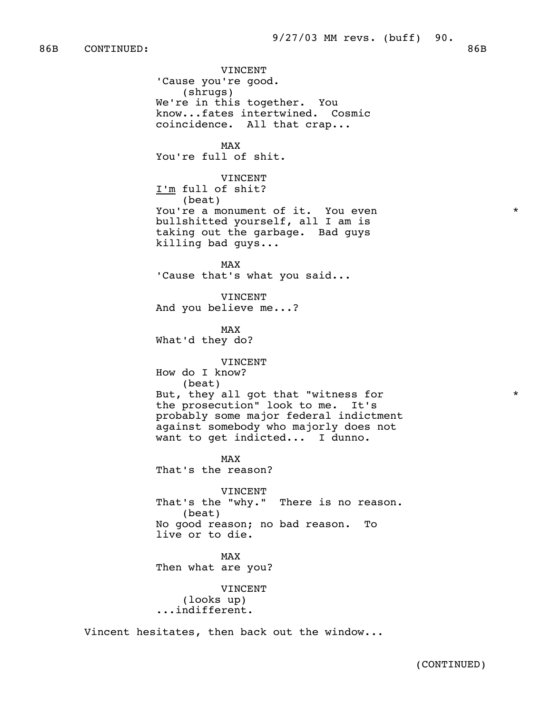86B CONTINUED: 86B

 VINCENT 'Cause you're good. (shrugs) We're in this together. You know...fates intertwined. Cosmic coincidence. All that crap... MAX and the state of the state of the state of the state of the state of the state of the state of the state of the state of the state of the state of the state of the state of the state of the state of the state of the st You're full of shit. VINCENT I'm full of shit? (beat) You're a monument of it. You even  $*$  bullshitted yourself, all I am is taking out the garbage. Bad guys killing bad guys... MAX and the state of the state of the state of the state of the state of the state of the state of the state of the state of the state of the state of the state of the state of the state of the state of the state of the st 'Cause that's what you said... VINCENT And you believe me...? MAX and the state of the state of the state of the state of the state of the state of the state of the state of the state of the state of the state of the state of the state of the state of the state of the state of the st What'd they do? VINCENT How do I know? (beat) But, they all got that "witness for  $*$  the prosecution" look to me. It's probably some major federal indictment against somebody who majorly does not want to get indicted... I dunno. MAX and the state of the state of the state of the state of the state of the state of the state of the state of the state of the state of the state of the state of the state of the state of the state of the state of the st That's the reason? VINCENT That's the "why." There is no reason. (beat) No good reason; no bad reason. To live or to die. MAX and the state of the state of the state of the state of the state of the state of the state of the state of the state of the state of the state of the state of the state of the state of the state of the state of the st Then what are you? VINCENT (looks up) ...indifferent.

Vincent hesitates, then back out the window...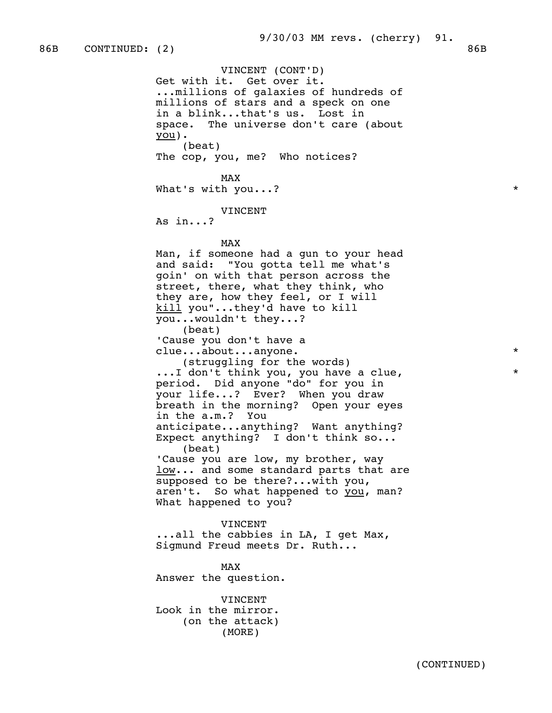VINCENT (CONT'D) Get with it. Get over it. ...millions of galaxies of hundreds of millions of stars and a speck on one in a blink...that's us. Lost in space. The universe don't care (about  $you)$ . (beat) The cop, you, me? Who notices? MAX and the state of the state of the state of the state of the state of the state of the state of the state of the state of the state of the state of the state of the state of the state of the state of the state of the st What's with you...?  $*$  VINCENT As in...? MAX and the state of the state of the state of the state of the state of the state of the state of the state of the state of the state of the state of the state of the state of the state of the state of the state of the st Man, if someone had a gun to your head and said: "You gotta tell me what's goin' on with that person across the street, there, what they think, who they are, how they feel, or I will kill you"...they'd have to kill you...wouldn't they...? (beat) 'Cause you don't have a clue...about...anyone. \* (struggling for the words) ...I don't think you, you have a clue,  $*$  period. Did anyone "do" for you in your life...? Ever? When you draw breath in the morning? Open your eyes in the a.m.? You anticipate...anything? Want anything? Expect anything? I don't think so... (beat) 'Cause you are low, my brother, way low... and some standard parts that are supposed to be there?...with you, aren't. So what happened to you, man? What happened to you? VINCENT ...all the cabbies in LA, I get Max, Sigmund Freud meets Dr. Ruth... MAX and the state of the state of the state of the state of the state of the state of the state of the state of the state of the state of the state of the state of the state of the state of the state of the state of the st Answer the question. VINCENT

 Look in the mirror. (on the attack) (MORE)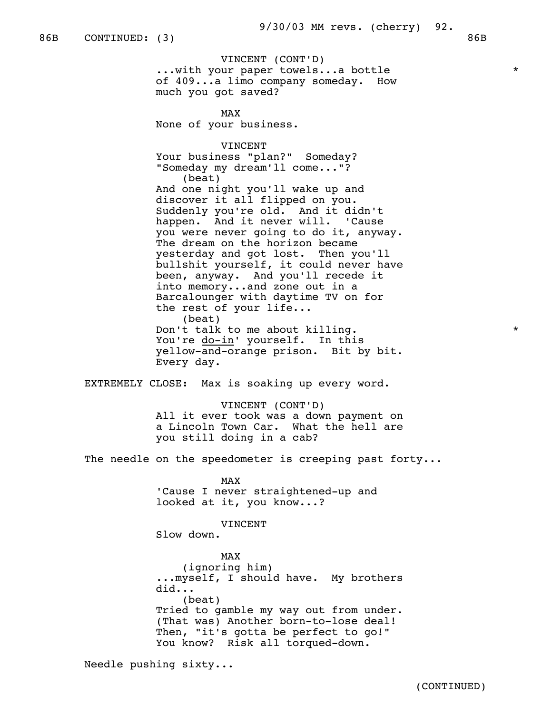VINCENT (CONT'D) ...with your paper towels...a bottle \* of 409...a limo company someday. How much you got saved?

MAX and the state of the state of the state of the state of the state of the state of the state of the state of the state of the state of the state of the state of the state of the state of the state of the state of the st None of your business.

> VINCENT Your business "plan?" Someday? "Someday my dream'll come..."? (beat) And one night you'll wake up and discover it all flipped on you. Suddenly you're old. And it didn't happen. And it never will. 'Cause you were never going to do it, anyway. The dream on the horizon became yesterday and got lost. Then you'll bullshit yourself, it could never have been, anyway. And you'll recede it into memory...and zone out in a Barcalounger with daytime TV on for the rest of your life... (beat) Don't talk to me about killing.  $\star$ You're do-in' yourself. In this yellow-and-orange prison. Bit by bit. Every day.

EXTREMELY CLOSE: Max is soaking up every word.

 VINCENT (CONT'D) All it ever took was a down payment on a Lincoln Town Car. What the hell are you still doing in a cab?

The needle on the speedometer is creeping past forty...

MAX and the state of the state of the state of the state of the state of the state of the state of the state of the state of the state of the state of the state of the state of the state of the state of the state of the st 'Cause I never straightened-up and looked at it, you know...?

VINCENT

Slow down.

MAX and the state of the state of the state of the state of the state of the state of the state of the state of the state of the state of the state of the state of the state of the state of the state of the state of the st (ignoring him) ...myself, I should have. My brothers did... (beat) Tried to gamble my way out from under. (That was) Another born-to-lose deal! Then, "it's gotta be perfect to go!" You know? Risk all torqued-down.

Needle pushing sixty...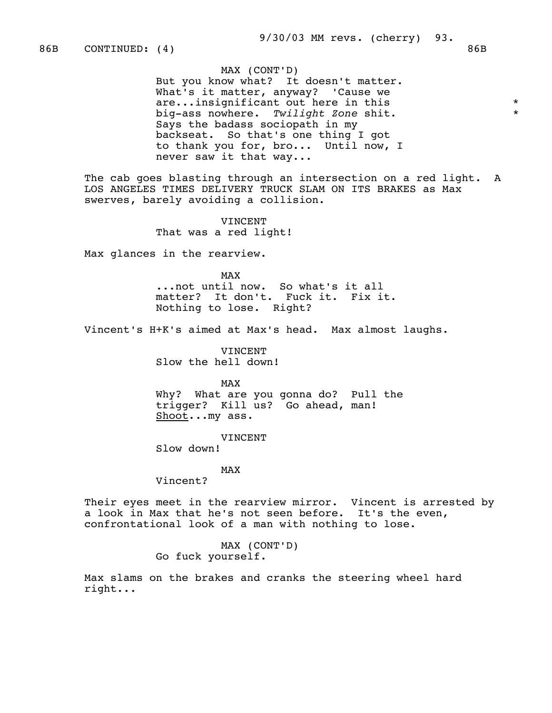MAX (CONT'D) But you know what? It doesn't matter. What's it matter, anyway? 'Cause we are...insignificant out here in this  $*$ <br>his assumed an  $\frac{m}{1}$  isht zone shit big-ass nowhere. *Twilight Zone* shit. \* Says the badass sociopath in my backseat. So that's one thing I got to thank you for, bro... Until now, I never saw it that way...

The cab goes blasting through an intersection on a red light. A LOS ANGELES TIMES DELIVERY TRUCK SLAM ON ITS BRAKES as Max swerves, barely avoiding a collision.

> VINCENT That was a red light!

Max glances in the rearview.

MAX and the state of the state of the state of the state of the state of the state of the state of the state of the state of the state of the state of the state of the state of the state of the state of the state of the st ...not until now. So what's it all matter? It don't. Fuck it. Fix it. Nothing to lose. Right?

Vincent's H+K's aimed at Max's head. Max almost laughs.

 VINCENT Slow the hell down!

MAX and the state of the state of the state of the state of the state of the state of the state of the state of the state of the state of the state of the state of the state of the state of the state of the state of the st

 Why? What are you gonna do? Pull the trigger? Kill us? Go ahead, man! Shoot...my ass.

VINCENT

Slow down!

## MAX and the state of the state of the state of the state of the state of the state of the state of the state of the state of the state of the state of the state of the state of the state of the state of the state of the st

Vincent?

 Their eyes meet in the rearview mirror. Vincent is arrested by a look in Max that he's not seen before. It's the even, confrontational look of a man with nothing to lose.

> MAX (CONT'D) Go fuck yourself.

 Max slams on the brakes and cranks the steering wheel hard right...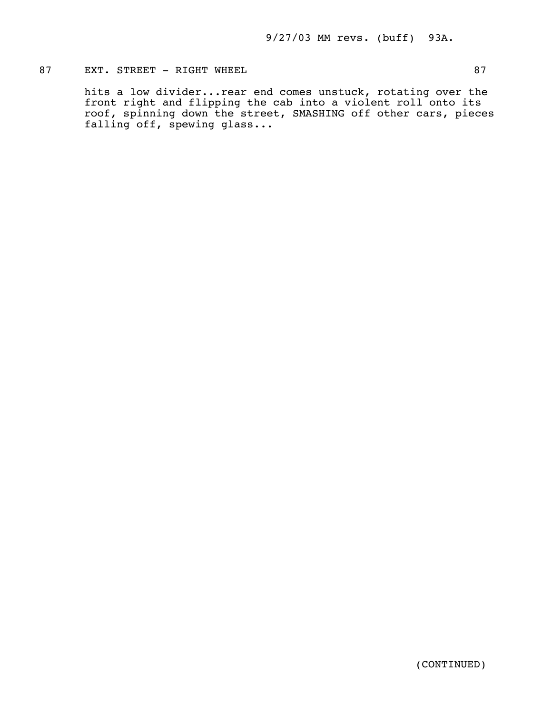# 87 EXT. STREET - RIGHT WHEEL 87

 hits a low divider...rear end comes unstuck, rotating over the front right and flipping the cab into a violent roll onto its roof, spinning down the street, SMASHING off other cars, pieces falling off, spewing glass...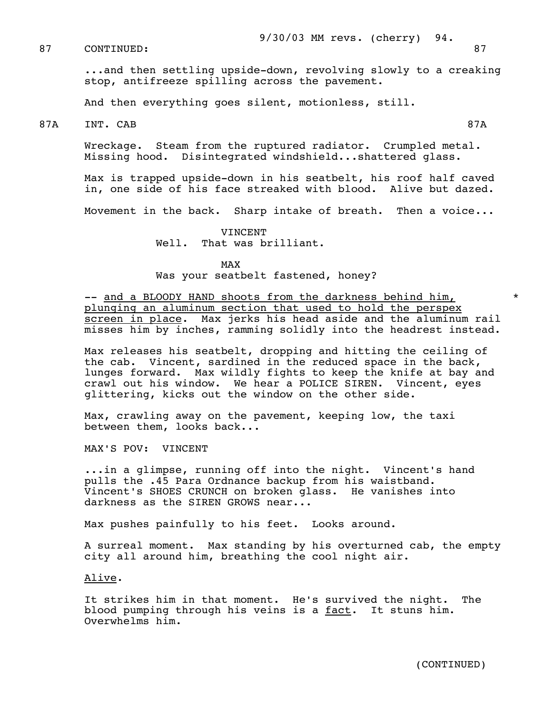87 CONTINUED: 87

 ...and then settling upside-down, revolving slowly to a creaking stop, antifreeze spilling across the pavement.

And then everything goes silent, motionless, still.

87A INT. CAB 87A

 Wreckage. Steam from the ruptured radiator. Crumpled metal. Missing hood. Disintegrated windshield...shattered glass.

 Max is trapped upside-down in his seatbelt, his roof half caved in, one side of his face streaked with blood. Alive but dazed.

Movement in the back. Sharp intake of breath. Then a voice...

#### VINCENT Well. That was brilliant.

MAX and the state of the state of the state of the state of the state of the state of the state of the state of the state of the state of the state of the state of the state of the state of the state of the state of the st

Was your seatbelt fastened, honey?

-- and a BLOODY HAND shoots from the darkness behind him, plunging an aluminum section that used to hold the perspex screen in place. Max jerks his head aside and the aluminum rail misses him by inches, ramming solidly into the headrest instead.

 Max releases his seatbelt, dropping and hitting the ceiling of the cab. Vincent, sardined in the reduced space in the back, lunges forward. Max wildly fights to keep the knife at bay and crawl out his window. We hear a POLICE SIREN. Vincent, eyes glittering, kicks out the window on the other side.

 Max, crawling away on the pavement, keeping low, the taxi between them, looks back...

MAX'S POV: VINCENT

 ...in a glimpse, running off into the night. Vincent's hand pulls the .45 Para Ordnance backup from his waistband. Vincent's SHOES CRUNCH on broken glass. He vanishes into darkness as the SIREN GROWS near...

Max pushes painfully to his feet. Looks around.

 A surreal moment. Max standing by his overturned cab, the empty city all around him, breathing the cool night air.

Alive.

 It strikes him in that moment. He's survived the night. The blood pumping through his veins is a fact. It stuns him. Overwhelms him.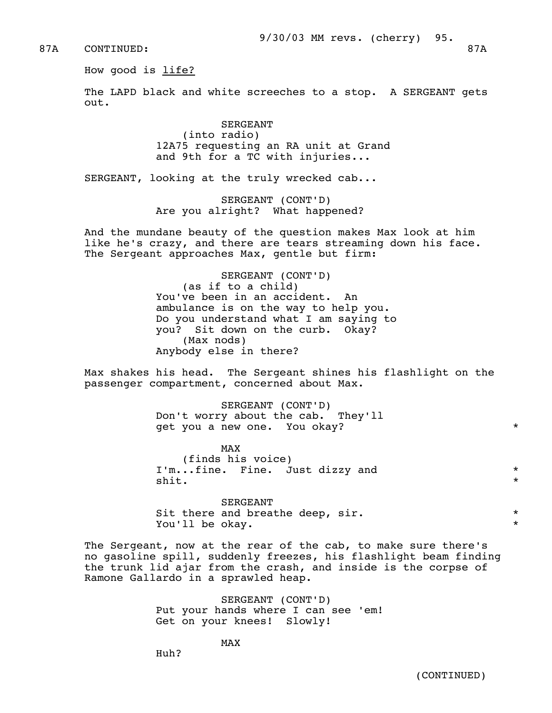87A CONTINUED: 87A

How good is life?

 The LAPD black and white screeches to a stop. A SERGEANT gets out.

> SERGEANT (into radio) 12A75 requesting an RA unit at Grand and 9th for a TC with injuries...

SERGEANT, looking at the truly wrecked cab...

 SERGEANT (CONT'D) Are you alright? What happened?

 And the mundane beauty of the question makes Max look at him like he's crazy, and there are tears streaming down his face. The Sergeant approaches Max, gentle but firm:

> SERGEANT (CONT'D) (as if to a child) You've been in an accident. An ambulance is on the way to help you. Do you understand what I am saying to you? Sit down on the curb. Okay? (Max nods) Anybody else in there?

 Max shakes his head. The Sergeant shines his flashlight on the passenger compartment, concerned about Max.

> SERGEANT (CONT'D) Don't worry about the cab. They'll get you a new one. You okay? \*

MAX and the state of the state of the state of the state of the state of the state of the state of the state of the state of the state of the state of the state of the state of the state of the state of the state of the st (finds his voice) I'm...fine. Fine. Just dizzy and \*  $\mathsf{shift}$ .  $\star$ 

> SERGEANT Sit there and breathe deep, sir.  $\star$ You'll be okay.

 The Sergeant, now at the rear of the cab, to make sure there's no gasoline spill, suddenly freezes, his flashlight beam finding the trunk lid ajar from the crash, and inside is the corpse of Ramone Gallardo in a sprawled heap.

> SERGEANT (CONT'D) Put your hands where I can see 'em! Get on your knees! Slowly!

MAX and the state of the state of the state of the state of the state of the state of the state of the state of the state of the state of the state of the state of the state of the state of the state of the state of the st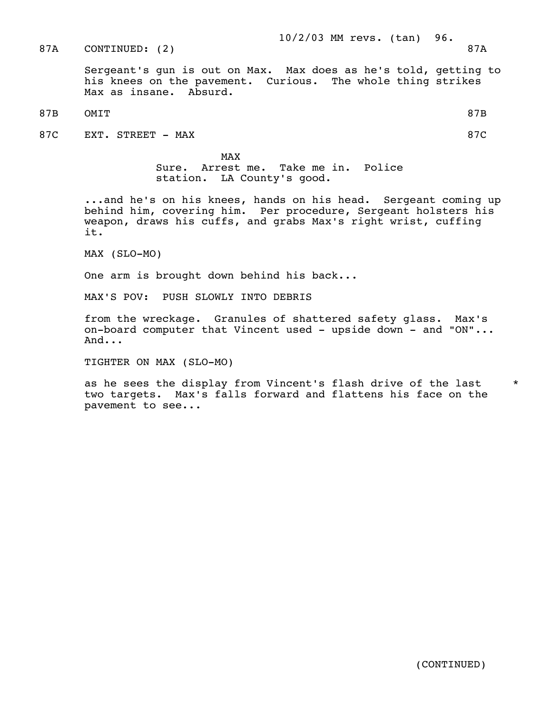87A CONTINUED: (2) 87A

 Sergeant's gun is out on Max. Max does as he's told, getting to his knees on the pavement. Curious. The whole thing strikes Max as insane. Absurd.

87B OMIT 87B

87C EXT. STREET - MAX 87C

MAX and the state of the state of the state of the state of the state of the state of the state of the state of the state of the state of the state of the state of the state of the state of the state of the state of the st Sure. Arrest me. Take me in. Police station. LA County's good.

> ...and he's on his knees, hands on his head. Sergeant coming up behind him, covering him. Per procedure, Sergeant holsters his weapon, draws his cuffs, and grabs Max's right wrist, cuffing it.

MAX (SLO-MO)

One arm is brought down behind his back...

MAX'S POV: PUSH SLOWLY INTO DEBRIS

 from the wreckage. Granules of shattered safety glass. Max's on-board computer that Vincent used - upside down - and "ON"... And...

TIGHTER ON MAX (SLO-MO)

as he sees the display from Vincent's flash drive of the last \* two targets. Max's falls forward and flattens his face on the pavement to see...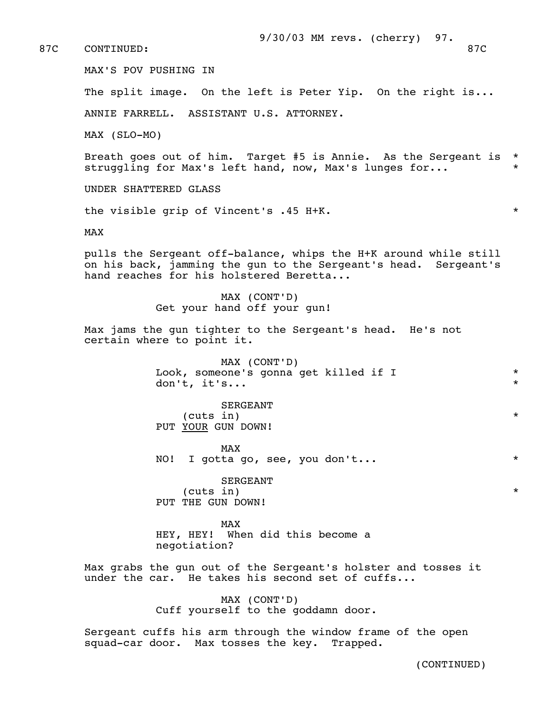87C CONTINUED: 87C

MAX'S POV PUSHING IN

The split image. On the left is Peter Yip. On the right is...

ANNIE FARRELL. ASSISTANT U.S. ATTORNEY.

MAX (SLO-MO)

 Breath goes out of him. Target #5 is Annie. As the Sergeant is \* struggling for Max's left hand, now, Max's lunges for...

UNDER SHATTERED GLASS

the visible grip of Vincent's .45 H+K.  $*$ 

MAX

 pulls the Sergeant off-balance, whips the H+K around while still on his back, jamming the gun to the Sergeant's head. Sergeant's hand reaches for his holstered Beretta...

> MAX (CONT'D) Get your hand off your gun!

 Max jams the gun tighter to the Sergeant's head. He's not certain where to point it.

> MAX (CONT'D) Look, someone's gonna get killed if I  $*$ don't, it's... \*

> > SERGEANT

 (cuts in) \* PUT YOUR GUN DOWN!

MAX and the state of the state of the state of the state of the state of the state of the state of the state of the state of the state of the state of the state of the state of the state of the state of the state of the st NO! I gotta go, see, you don't... \*

 SERGEANT (cuts in) \* PUT THE GUN DOWN!

MAX and the state of the state of the state of the state of the state of the state of the state of the state of the state of the state of the state of the state of the state of the state of the state of the state of the st HEY, HEY! When did this become a negotiation?

> Max grabs the gun out of the Sergeant's holster and tosses it under the car. He takes his second set of cuffs...

> > MAX (CONT'D) Cuff yourself to the goddamn door.

 Sergeant cuffs his arm through the window frame of the open squad-car door. Max tosses the key. Trapped.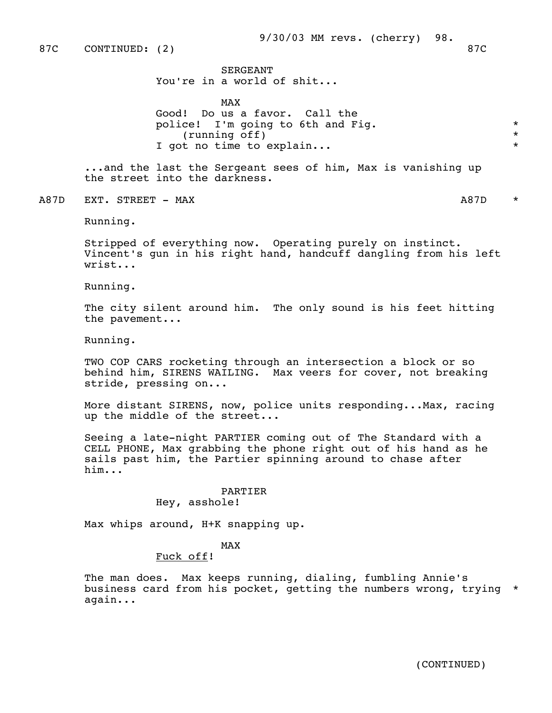87C CONTINUED: (2) 87C

 SERGEANT You're in a world of shit...

MAX and the state of the state of the state of the state of the state of the state of the state of the state of the state of the state of the state of the state of the state of the state of the state of the state of the st Good! Do us a favor. Call the police! I'm going to 6th and Fig.  $\star$ <br>(running off)  $\star$  $(running of f)$ I got no time to explain...

> ...and the last the Sergeant sees of him, Max is vanishing up the street into the darkness.

A87D EXT. STREET – MAX and the state of the state of the state of the state of the state of the state of the state of the state of the state of the state of the state of the state of the state of the state of the state of

Running.

 Stripped of everything now. Operating purely on instinct. Vincent's gun in his right hand, handcuff dangling from his left wrist...

Running.

The city silent around him. The only sound is his feet hitting the pavement...

Running.

 TWO COP CARS rocketing through an intersection a block or so behind him, SIRENS WAILING. Max veers for cover, not breaking stride, pressing on...

 More distant SIRENS, now, police units responding...Max, racing up the middle of the street...

 Seeing a late-night PARTIER coming out of The Standard with a CELL PHONE, Max grabbing the phone right out of his hand as he sails past him, the Partier spinning around to chase after him...

# PARTIER

Hey, asshole!

Max whips around, H+K snapping up.

## MAX and the state of the state of the state of the state of the state of the state of the state of the state of the state of the state of the state of the state of the state of the state of the state of the state of the st

## Fuck off!

 The man does. Max keeps running, dialing, fumbling Annie's business card from his pocket, getting the numbers wrong, trying \* again...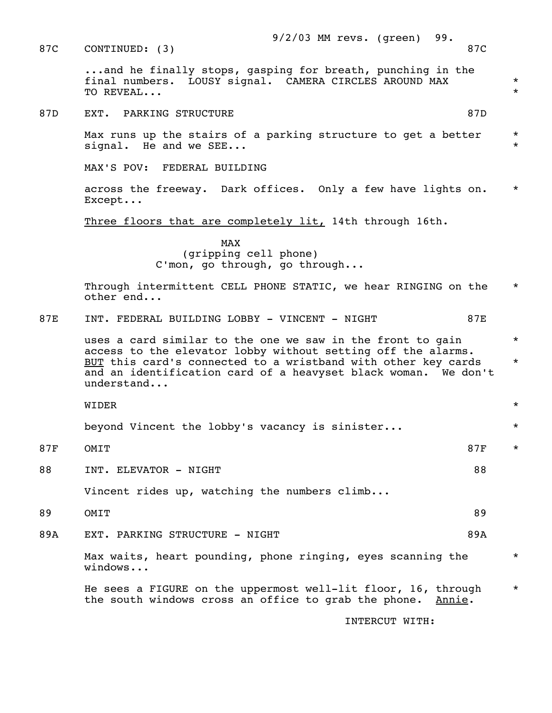87D EXT. PARKING STRUCTURE 87D STRUCTURE 87D Max runs up the stairs of a parking structure to get a better \* signal. He and we SEE... MAX'S POV: FEDERAL BUILDING across the freeway. Dark offices. Only a few have lights on. \* Except... Three floors that are completely lit, 14th through 16th. MAX and the state of the state of the state of the state of the state of the state of the state of the state of the state of the state of the state of the state of the state of the state of the state of the state of the st (gripping cell phone) C'mon, go through, go through... Through intermittent CELL PHONE STATIC, we hear RINGING on the  $*$  other end... 87E INT. FEDERAL BUILDING LOBBY - VINCENT - NIGHT 87E uses a card similar to the one we saw in the front to gain  $*$  access to the elevator lobby without setting off the alarms. BUT this card's connected to a wristband with other key cards \* and an identification card of a heavyset black woman. We don't understand... WIDER \* beyond Vincent the lobby's vacancy is sinister... \* 87F OMIT  $\star$ 88 INT. ELEVATOR – NIGHT Vincent rides up, watching the numbers climb... 89 OMIT 89 89A EXT. PARKING STRUCTURE - NIGHT 89A Max waits, heart pounding, phone ringing, eyes scanning the  $*$  windows... He sees a FIGURE on the uppermost well-lit floor, 16, through \* the south windows cross an office to grab the phone. Annie. INTERCUT WITH:

87C CONTINUED: (3) 87C

...and he finally stops, gasping for breath, punching in the

 final numbers. LOUSY signal. CAMERA CIRCLES AROUND MAX \* TO REVEAL... \*

9/2/03 MM revs. (green) 99.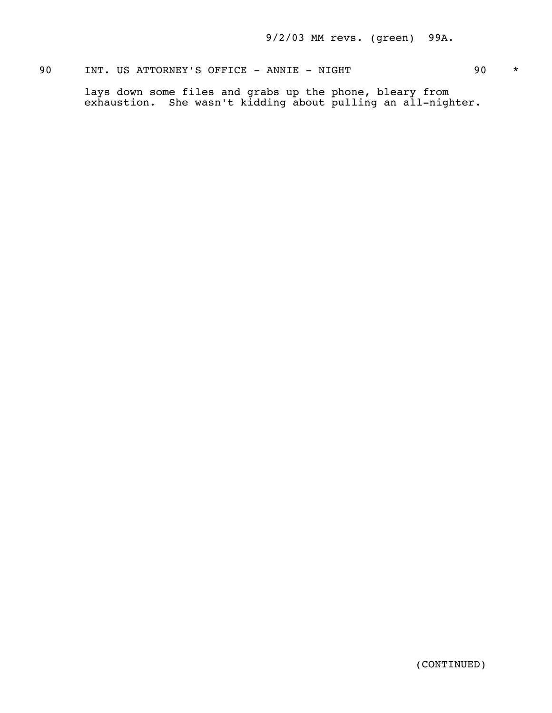## 90 INT. US ATTORNEY'S OFFICE - ANNIE - NIGHT 90 \*

 lays down some files and grabs up the phone, bleary from exhaustion. She wasn't kidding about pulling an all-nighter.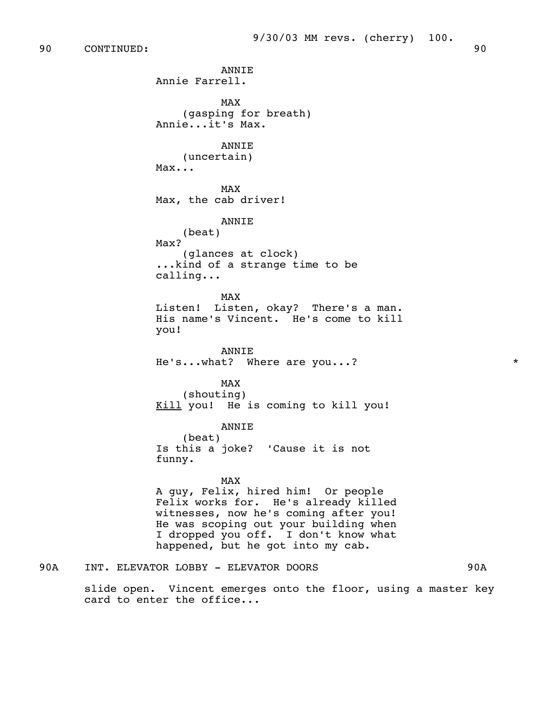90 CONTINUED: 90

 ANNIE Annie Farrell. MAX and the state of the state of the state of the state of the state of the state of the state of the state of the state of the state of the state of the state of the state of the state of the state of the state of the st (gasping for breath) Annie...it's Max. **ANNTE**  (uncertain) Max... MAX and the state of the state of the state of the state of the state of the state of the state of the state of the state of the state of the state of the state of the state of the state of the state of the state of the st Max, the cab driver! ANNIE (beat) Max? (glances at clock) ...kind of a strange time to be calling... MAX and the state of the state of the state of the state of the state of the state of the state of the state of the state of the state of the state of the state of the state of the state of the state of the state of the st Listen! Listen, okay? There's a man. His name's Vincent. He's come to kill you! ANNIE He's...what? Where are you...? \* MAX and the state of the state of the state of the state of the state of the state of the state of the state of the state of the state of the state of the state of the state of the state of the state of the state of the st (shouting) Kill you! He is coming to kill you! ANNIE (beat) Is this a joke? 'Cause it is not funny. MAX and the state of the state of the state of the state of the state of the state of the state of the state of the state of the state of the state of the state of the state of the state of the state of the state of the st A guy, Felix, hired him! Or people Felix works for. He's already killed witnesses, now he's coming after you! He was scoping out your building when I dropped you off. I don't know what happened, but he got into my cab.

90A INT. ELEVATOR LOBBY - ELEVATOR DOORS 90A 90A

 slide open. Vincent emerges onto the floor, using a master key card to enter the office...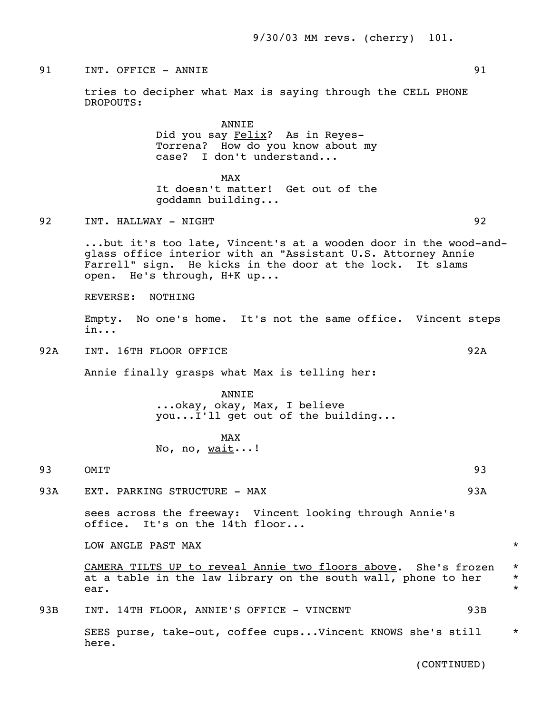## 91 INT. OFFICE - ANNIE 91

 tries to decipher what Max is saying through the CELL PHONE DROPOUTS:

> ANNIE Did you say Felix? As in Reyes- Torrena? How do you know about my case? I don't understand...

MAX and the state of the state of the state of the state of the state of the state of the state of the state of the state of the state of the state of the state of the state of the state of the state of the state of the st It doesn't matter! Get out of the goddamn building...

### 92 INT. HALLWAY - NIGHT 92

 ...but it's too late, Vincent's at a wooden door in the wood-and glass office interior with an "Assistant U.S. Attorney Annie Farrell" sign. He kicks in the door at the lock. It slams open. He's through, H+K up...

REVERSE: NOTHING

 Empty. No one's home. It's not the same office. Vincent steps in...

92A INT. 16TH FLOOR OFFICE 92A

Annie finally grasps what Max is telling her:

 ANNIE ...okay, okay, Max, I believe you...I'll get out of the building...

## MAX and the state of the state of the state of the state of the state of the state of the state of the state of the state of the state of the state of the state of the state of the state of the state of the state of the st No, no, wait...!

## 93 OMIT 93

93A EXT. PARKING STRUCTURE - MAX 93A

 sees across the freeway: Vincent looking through Annie's office. It's on the 14th floor...

LOW ANGLE PAST MAX  $\quad$ 

 CAMERA TILTS UP to reveal Annie two floors above. She's frozen \* at a table in the law library on the south wall, phone to her  $*$ ear.  $\star$ 

93B INT. 14TH FLOOR, ANNIE'S OFFICE - VINCENT 93B

 SEES purse, take-out, coffee cups...Vincent KNOWS she's still \* here.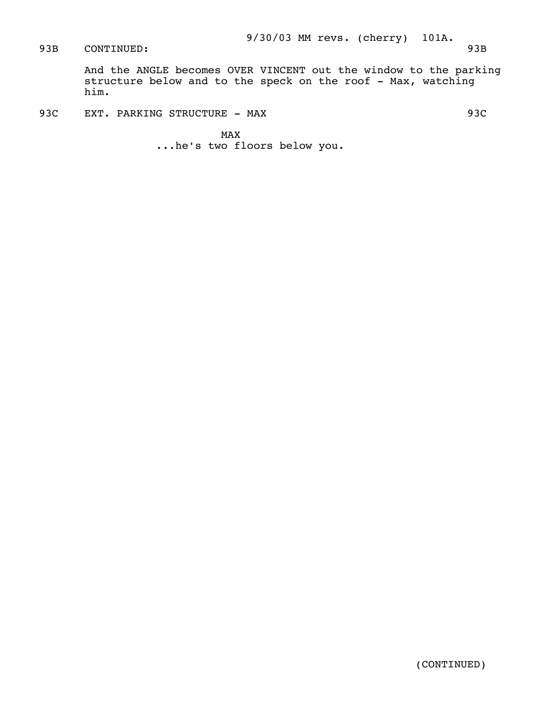CONTINUED: 93B

 And the ANGLE becomes OVER VINCENT out the window to the parking structure below and to the speck on the roof - Max, watching him.

93C EXT. PARKING STRUCTURE - MAX 93C

MAX and the state of the state of the state of the state of the state of the state of the state of the state of the state of the state of the state of the state of the state of the state of the state of the state of the st ...he's two floors below you.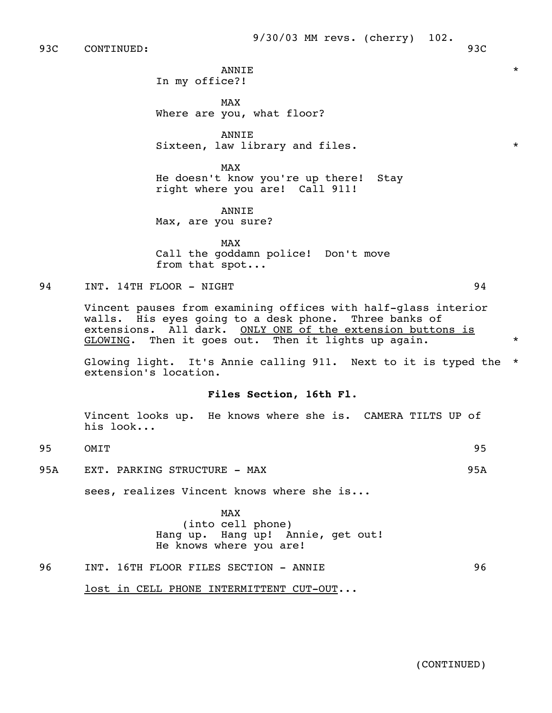93C CONTINUED: 93C

 ANNIE \* In my office?!

MAX and the state of the state of the state of the state of the state of the state of the state of the state of the state of the state of the state of the state of the state of the state of the state of the state of the st Where are you, what floor?

> ANNIE Sixteen, law library and files.  $*$

MAX and the state of the state of the state of the state of the state of the state of the state of the state of the state of the state of the state of the state of the state of the state of the state of the state of the st He doesn't know you're up there! Stay right where you are! Call 911!

> ANNIE Max, are you sure?

MAX and the state of the state of the state of the state of the state of the state of the state of the state of the state of the state of the state of the state of the state of the state of the state of the state of the st Call the goddamn police! Don't move from that spot...

94 INT. 14TH FLOOR - NIGHT 94

 Vincent pauses from examining offices with half-glass interior walls. His eyes going to a desk phone. Three banks of extensions. All dark. ONLY ONE of the extension buttons is  $GLOWING.$  Then it goes out. Then it lights up again.

 Glowing light. It's Annie calling 911. Next to it is typed the \* extension's location.

### **Files Section, 16th Fl.**

 Vincent looks up. He knows where she is. CAMERA TILTS UP of his look...

- 95 OMIT 95
- 95A EXT. PARKING STRUCTURE MAX 95A

sees, realizes Vincent knows where she is...

MAX and the state of the state of the state of the state of the state of the state of the state of the state of the state of the state of the state of the state of the state of the state of the state of the state of the st (into cell phone) Hang up. Hang up! Annie, get out! He knows where you are!

96 INT. 16TH FLOOR FILES SECTION - ANNIE 96

lost in CELL PHONE INTERMITTENT CUT-OUT...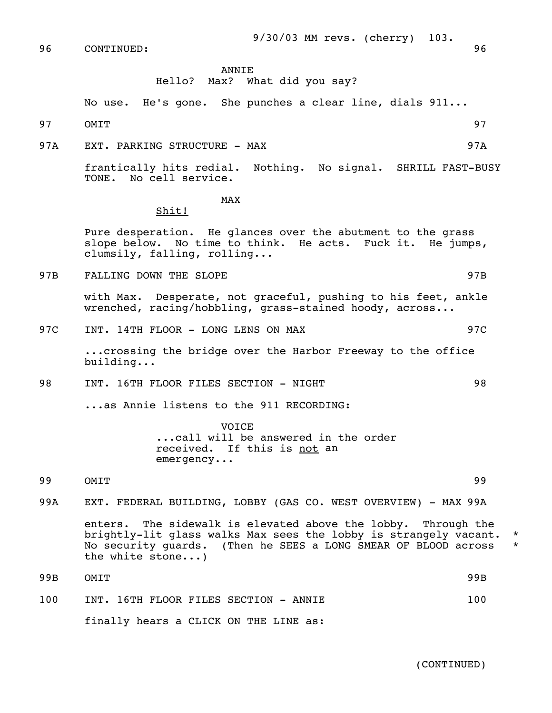96 CONTINUED: 96

9/30/03 MM revs. (cherry) 103.

### ANNIE

Hello? Max? What did you say?

No use. He's gone. She punches a clear line, dials 911...

97 OMIT

97A FXT, PARKING STRUCTURE - MAX 97A

 frantically hits redial. Nothing. No signal. SHRILL FAST-BUSY TONE. No cell service.

## MAX and the state of the state of the state of the state of the state of the state of the state of the state of the state of the state of the state of the state of the state of the state of the state of the state of the st

## Shit!

 Pure desperation. He glances over the abutment to the grass slope below. No time to think. He acts. Fuck it. He jumps, clumsily, falling, rolling...

97B FALLING DOWN THE SLOPE 97B SALLING ASSESSMENT OF THE SET OF THE SET OF THE SALE OF THE SALE OF THE SALE OF THE SALE OF THE SALE OF THE SALE OF THE SALE OF THE SALE OF THE SALE OF THE SALE OF THE SALE OF THE SALE OF THE

 with Max. Desperate, not graceful, pushing to his feet, ankle wrenched, racing/hobbling, grass-stained hoody, across...

97C INT. 14TH FLOOR - LONG LENS ON MAX 97C

 ...crossing the bridge over the Harbor Freeway to the office building...

98 INT. 16TH FLOOR FILES SECTION - NIGHT 98

...as Annie listens to the 911 RECORDING:

 VOICE ...call will be answered in the order received. If this is not an emergency...

99 OMIT 99

99A EXT. FEDERAL BUILDING, LOBBY (GAS CO. WEST OVERVIEW) - MAX 99A

 enters. The sidewalk is elevated above the lobby. Through the brightly-lit glass walks Max sees the lobby is strangely vacant. \*<br>No security quards, (Then he SEES a LONG SMEAR OF BLOOD across \* No security guards. (Then he SEES a LONG SMEAR OF BLOOD across \* the white stone...)

 99B OMIT 99B 100 INT. 16TH FLOOR FILES SECTION - ANNIE 100 finally hears a CLICK ON THE LINE as:

$$
\overline{0}
$$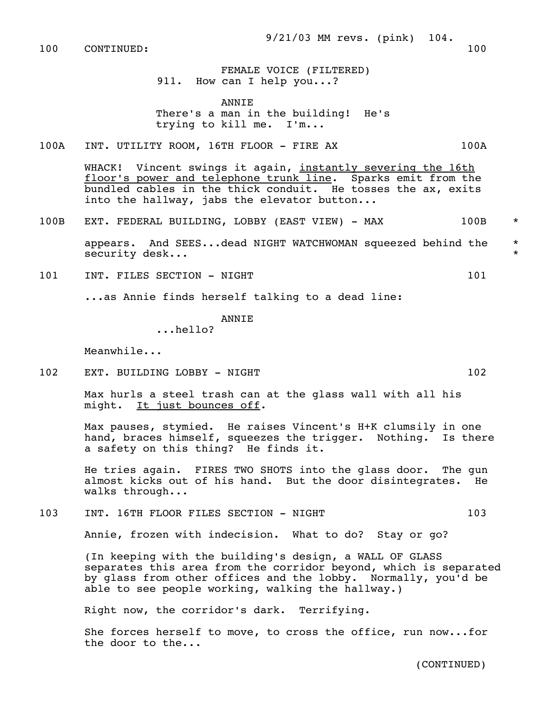100 CONTINUED: 100

 FEMALE VOICE (FILTERED) 911. How can I help you...?

**ANNTE** 

 There's a man in the building! He's trying to kill me. I'm...

100A INT. UTILITY ROOM, 16TH FLOOR - FIRE AX 100A

WHACK! Vincent swings it again, instantly severing the 16th floor's power and telephone trunk line. Sparks emit from the bundled cables in the thick conduit. He tosses the ax, exits into the hallway, jabs the elevator button...

100B EXT. FEDERAL BUILDING, LOBBY (EAST VIEW) - MAX 100B \*

 appears. And SEES...dead NIGHT WATCHWOMAN squeezed behind the \* security desk...  $\star$ 

101 INT. FILES SECTION - NIGHT 101 101

...as Annie finds herself talking to a dead line:

ANNIE

...hello?

Meanwhile...

102 EXT. BUILDING LOBBY - NIGHT 102 102

 Max hurls a steel trash can at the glass wall with all his might. It just bounces off.

 Max pauses, stymied. He raises Vincent's H+K clumsily in one hand, braces himself, squeezes the trigger. Nothing. Is there a safety on this thing? He finds it.

 He tries again. FIRES TWO SHOTS into the glass door. The gun almost kicks out of his hand. But the door disintegrates. He walks through...

103 INT. 16TH FLOOR FILES SECTION - NIGHT 103

Annie, frozen with indecision. What to do? Stay or go?

 (In keeping with the building's design, a WALL OF GLASS separates this area from the corridor beyond, which is separated by glass from other offices and the lobby. Normally, you'd be able to see people working, walking the hallway.)

Right now, the corridor's dark. Terrifying.

 She forces herself to move, to cross the office, run now...for the door to the...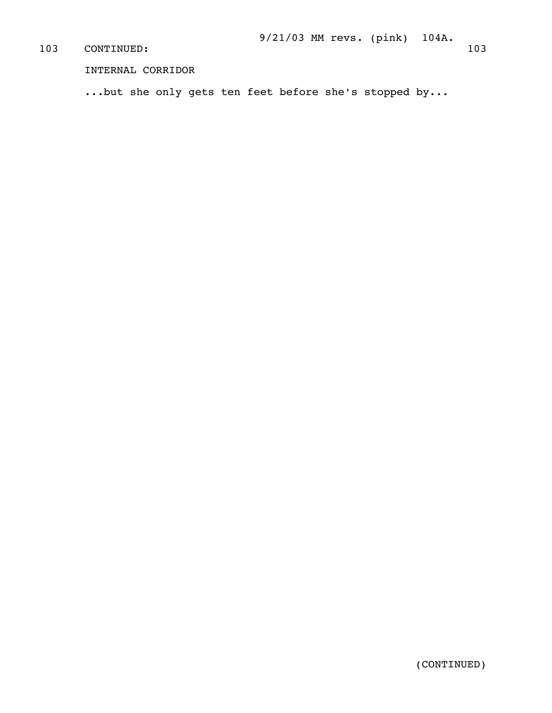# 103 CONTINUED: 103 103

INTERNAL CORRIDOR

...but she only gets ten feet before she's stopped by...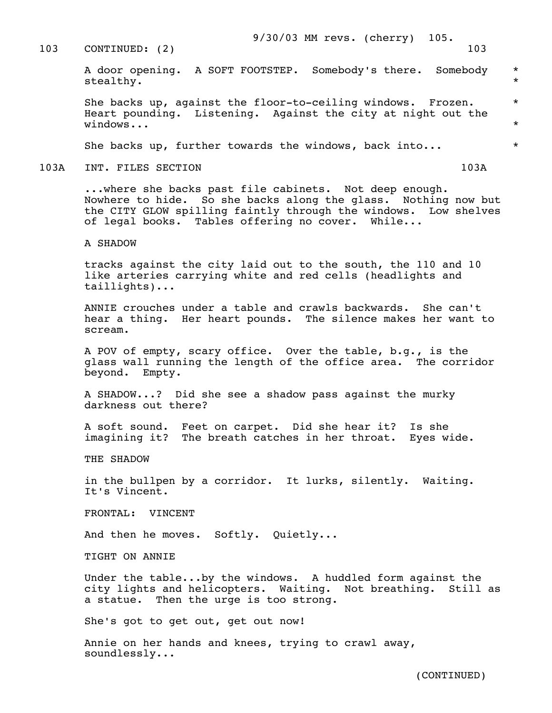### 103 CONTINUED: (2) 103

### 9/30/03 MM revs. (cherry) 105.

 A door opening. A SOFT FOOTSTEP. Somebody's there. Somebody \* stealthy.  $\qquad \qquad \star$ 

> She backs up, against the floor-to-ceiling windows. Frozen. \* Heart pounding. Listening. Against the city at night out the  $\text{windows...}$  \*

> She backs up, further towards the windows, back into...  $*$

103A INT. FILES SECTION 103A

 ...where she backs past file cabinets. Not deep enough. Nowhere to hide. So she backs along the glass. Nothing now but the CITY GLOW spilling faintly through the windows. Low shelves of legal books. Tables offering no cover. While...

A SHADOW

 tracks against the city laid out to the south, the 110 and 10 like arteries carrying white and red cells (headlights and taillights)...

 ANNIE crouches under a table and crawls backwards. She can't hear a thing. Her heart pounds. The silence makes her want to scream.

 A POV of empty, scary office. Over the table, b.g., is the glass wall running the length of the office area. The corridor beyond. Empty.

 A SHADOW...? Did she see a shadow pass against the murky darkness out there?

 A soft sound. Feet on carpet. Did she hear it? Is she imagining it? The breath catches in her throat. Eyes wide.

THE SHADOW

 in the bullpen by a corridor. It lurks, silently. Waiting. It's Vincent.

FRONTAL: VINCENT

And then he moves. Softly. Quietly...

TIGHT ON ANNIE

 Under the table...by the windows. A huddled form against the city lights and helicopters. Waiting. Not breathing. Still as a statue. Then the urge is too strong.

She's got to get out, get out now!

 Annie on her hands and knees, trying to crawl away, soundlessly...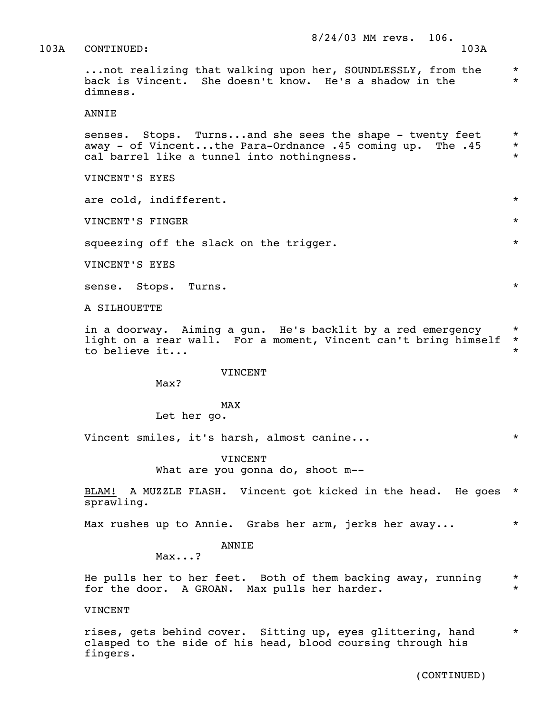103A CONTINUED: 103A

...not realizing that walking upon her, SOUNDLESSLY, from the \* back is Vincent. She doesn't know. He's a shadow in the \* dimness.

ANNIE

senses. Stops. Turns...and she sees the shape - twenty feet \* away - of Vincent...the Para-Ordnance .45 coming up. The .45 \* cal barrel like a tunnel into nothingness. \*

VINCENT'S EYES

are cold, indifferent.  $\star$ 

VINCENT'S FINGER \*

squeezing off the slack on the trigger.  $*$ 

VINCENT'S EYES

sense. Stops. Turns. \*

A SILHOUETTE

in a doorway. Aiming a gun. He's backlit by a red emergency \* light on a rear wall. For a moment, Vincent can't bring himself \* to believe it...

#### VINCENT

Max?

## MAX and the state of the state of the state of the state of the state of the state of the state of the state of the state of the state of the state of the state of the state of the state of the state of the state of the st

Let her go.

Vincent smiles, it's harsh, almost canine...  $\ast$ 

VINCENT

What are you gonna do, shoot m--

 BLAM! A MUZZLE FLASH. Vincent got kicked in the head. He goes \* sprawling.

Max rushes up to Annie. Grabs her arm, jerks her away...  $*$ 

#### ANNIE

Max...?

He pulls her to her feet. Both of them backing away, running  $*$ <br>for the door  $\lambda$  CPOAN way pulls ber bardor for the door. A GROAN. Max pulls her harder.

VINCENT

rises, gets behind cover. Sitting up, eyes glittering, hand \* clasped to the side of his head, blood coursing through his fingers.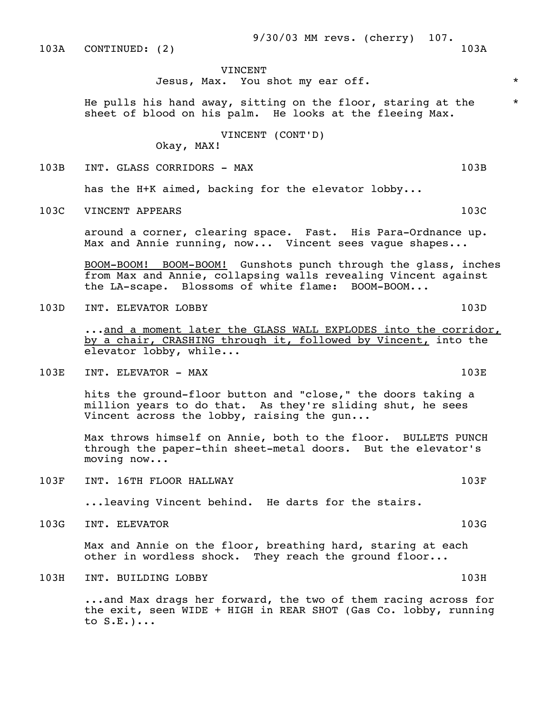### VINCENT

Jesus, Max. You shot my ear off. \*

He pulls his hand away, sitting on the floor, staring at the  $*$ sheet of blood on his palm. He looks at the fleeing Max.

VINCENT (CONT'D)

Okay, MAX!

103B INT. GLASS CORRIDORS - MAX 103B

has the H+K aimed, backing for the elevator lobby...

103C VINCENT APPEARS 103C

 around a corner, clearing space. Fast. His Para-Ordnance up. Max and Annie running, now... Vincent sees vague shapes...

 BOOM-BOOM! BOOM-BOOM! Gunshots punch through the glass, inches from Max and Annie, collapsing walls revealing Vincent against the LA-scape. Blossoms of white flame: BOOM-BOOM...

103D INT. ELEVATOR LOBBY 103D

 ...and a moment later the GLASS WALL EXPLODES into the corridor, by a chair, CRASHING through it, followed by Vincent, into the elevator lobby, while...

103E INT. ELEVATOR - MAX 103E

 hits the ground-floor button and "close," the doors taking a million years to do that. As they're sliding shut, he sees Vincent across the lobby, raising the gun...

 Max throws himself on Annie, both to the floor. BULLETS PUNCH through the paper-thin sheet-metal doors. But the elevator's moving now...

103F INT. 16TH FLOOR HALLWAY 103F

...leaving Vincent behind. He darts for the stairs.

103G INT. ELEVATOR 103G

 Max and Annie on the floor, breathing hard, staring at each other in wordless shock. They reach the ground floor...

103H INT. BUILDING LOBBY 103H

 ...and Max drags her forward, the two of them racing across for the exit, seen WIDE + HIGH in REAR SHOT (Gas Co. lobby, running to S.E.)...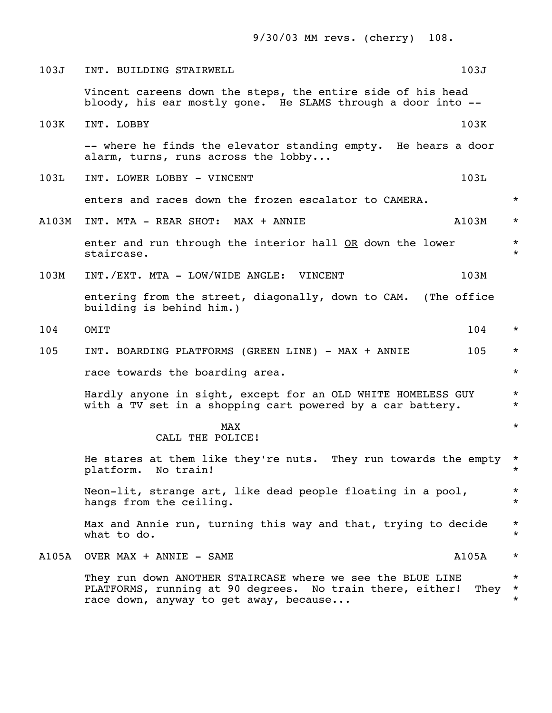9/30/03 MM revs. (cherry) 108.

| 103J  | INT. BUILDING STAIRWELL                                                                                                                                           | 103J  |                               |
|-------|-------------------------------------------------------------------------------------------------------------------------------------------------------------------|-------|-------------------------------|
|       | Vincent careens down the steps, the entire side of his head<br>bloody, his ear mostly gone. He SLAMS through a door into --                                       |       |                               |
| 103K  | INT. LOBBY                                                                                                                                                        | 103K  |                               |
|       | -- where he finds the elevator standing empty. He hears a door<br>alarm, turns, runs across the lobby                                                             |       |                               |
| 103L  | INT. LOWER LOBBY - VINCENT                                                                                                                                        | 103L  |                               |
|       | enters and races down the frozen escalator to CAMERA.                                                                                                             |       | $\star$                       |
| A103M | INT. MTA - REAR SHOT: MAX + ANNIE                                                                                                                                 | A103M | $\star$                       |
|       | enter and run through the interior hall OR down the lower<br>staircase.                                                                                           |       | $\star$<br>$\star$            |
| 103M  | INT./EXT. MTA - LOW/WIDE ANGLE: VINCENT                                                                                                                           | 103M  |                               |
|       | entering from the street, diagonally, down to CAM. (The office<br>building is behind him.)                                                                        |       |                               |
| 104   | OMIT                                                                                                                                                              | 104   | $\star$                       |
| 105   | INT. BOARDING PLATFORMS (GREEN LINE) - MAX + ANNIE                                                                                                                | 105   | $\star$                       |
|       | race towards the boarding area.                                                                                                                                   |       | $\star$                       |
|       | Hardly anyone in sight, except for an OLD WHITE HOMELESS GUY<br>with a TV set in a shopping cart powered by a car battery.                                        |       | $\star$<br>$\star$            |
|       | <b>MAX</b><br>CALL THE POLICE!                                                                                                                                    |       | $\star$                       |
|       | He stares at them like they're nuts. They run towards the empty *<br>platform. No train!                                                                          |       | $\star$                       |
|       | Neon-lit, strange art, like dead people floating in a pool,<br>hangs from the ceiling.                                                                            |       | $\star$<br>$\star$            |
|       | Max and Annie run, turning this way and that, trying to decide<br>what to do.                                                                                     |       | $\star$<br>$\star$            |
| A105A | OVER MAX + ANNIE - SAME                                                                                                                                           | A105A | $\star$                       |
|       | They run down ANOTHER STAIRCASE where we see the BLUE LINE<br>PLATFORMS, running at 90 degrees. No train there, either!<br>race down, anyway to get away, because | They  | $\star$<br>$\star$<br>$\star$ |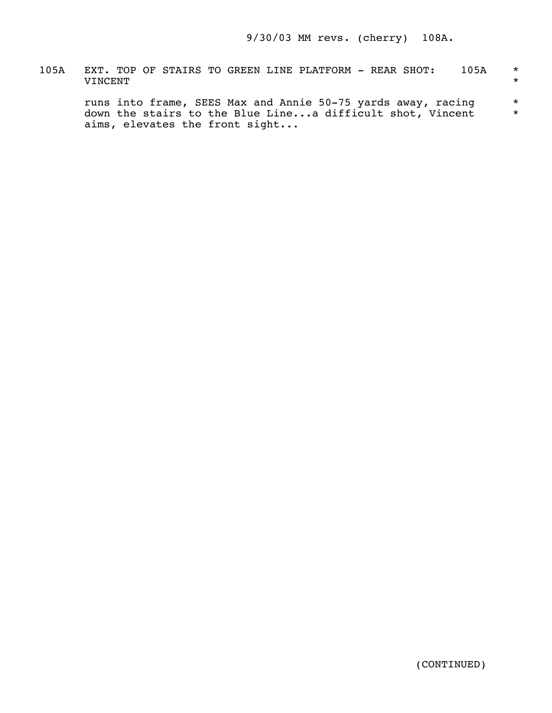105A EXT. TOP OF STAIRS TO GREEN LINE PLATFORM - REAR SHOT: 105A \* VINCENT \*

 runs into frame, SEES Max and Annie 50-75 yards away, racing \* down the stairs to the Blue Line...a difficult shot, Vincent  $*$ aims, elevates the front sight...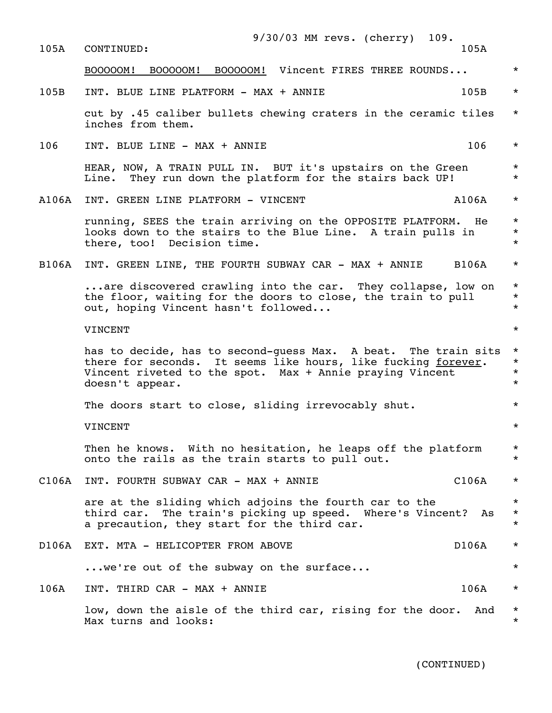| 105A  | $9/30/03$ MM revs. (cherry)<br>109.<br>CONTINUED:                                                                                                                                                              | 105A  |                                             |
|-------|----------------------------------------------------------------------------------------------------------------------------------------------------------------------------------------------------------------|-------|---------------------------------------------|
|       |                                                                                                                                                                                                                |       |                                             |
|       | BOOOOOM! Vincent FIRES THREE ROUNDS<br>B00000M!<br>B00000M!                                                                                                                                                    |       | $\star$                                     |
| 105B  | INT. BLUE LINE PLATFORM - MAX + ANNIE                                                                                                                                                                          | 105B  | $^\star$                                    |
|       | cut by .45 caliber bullets chewing craters in the ceramic tiles<br>inches from them.                                                                                                                           |       | $\star$                                     |
| 106   | INT. BLUE LINE - MAX + ANNIE                                                                                                                                                                                   | 106   | $\star$                                     |
|       | HEAR, NOW, A TRAIN PULL IN. BUT it's upstairs on the Green<br>They run down the platform for the stairs back UP!<br>Line.                                                                                      |       | $^{\star}$<br>$^\star$                      |
| A106A | INT. GREEN LINE PLATFORM - VINCENT                                                                                                                                                                             | A106A | $^\star$                                    |
|       | running, SEES the train arriving on the OPPOSITE PLATFORM.<br>looks down to the stairs to the Blue Line. A train pulls in<br>there, too! Decision time.                                                        | He    | $\star$<br>$^\star$<br>$\star$              |
| B106A | INT. GREEN LINE, THE FOURTH SUBWAY CAR - MAX + ANNIE                                                                                                                                                           | B106A | $^\star$                                    |
|       | are discovered crawling into the car. They collapse, low on<br>the floor, waiting for the doors to close, the train to pull<br>out, hoping Vincent hasn't followed                                             |       | $\star$<br>$^\star$<br>$^\star$             |
|       | VINCENT                                                                                                                                                                                                        |       | $\star$                                     |
|       | has to decide, has to second-quess Max. A beat. The train sits<br>there for seconds. It seems like hours, like fucking forever.<br>Vincent riveted to the spot. Max + Annie praying Vincent<br>doesn't appear. |       | $\star$<br>$^\star$<br>$^\star$<br>$^\star$ |
|       | The doors start to close, sliding irrevocably shut.                                                                                                                                                            |       | $^\star$                                    |
|       | VINCENT                                                                                                                                                                                                        |       | $\star$                                     |
|       | Then he knows. With no hesitation, he leaps off the platform<br>onto the rails as the train starts to pull out.                                                                                                |       | $\star$<br>$^\star$                         |
| C106A | INT. FOURTH SUBWAY CAR - MAX + ANNIE                                                                                                                                                                           | C106A | $^\star$                                    |
|       | are at the sliding which adjoins the fourth car to the<br>third car. The train's picking up speed. Where's Vincent?<br>a precaution, they start for the third car.                                             | As    | $^\star$<br>$^{\star}$<br>$\star$           |
| D106A | EXT. MTA - HELICOPTER FROM ABOVE                                                                                                                                                                               | D106A | $^\star$                                    |
|       | we're out of the subway on the surface                                                                                                                                                                         |       | $\star$                                     |
| 106A  | INT. THIRD CAR - MAX + ANNIE                                                                                                                                                                                   | 106A  | $^\star$                                    |
|       | low, down the aisle of the third car, rising for the door.<br>Max turns and looks:                                                                                                                             | And   | $\star$<br>$\star$                          |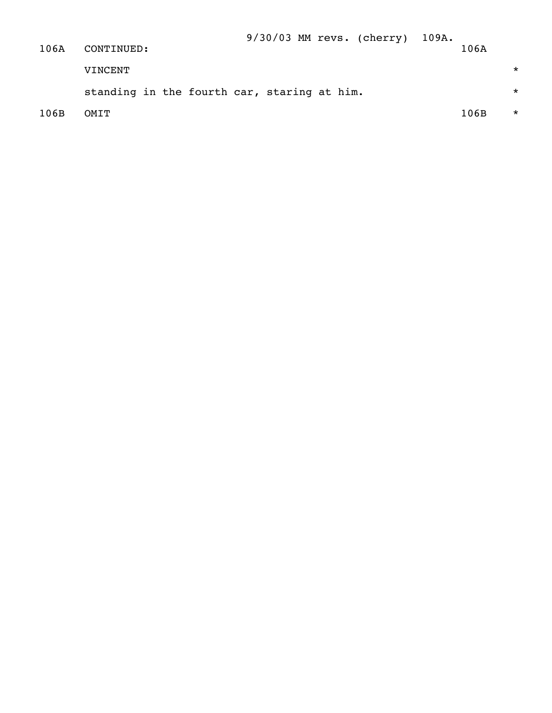| 106A | CONTINUED:                                  | 9/30/03 MM revs. (cherry) 109A. | 106A |          |
|------|---------------------------------------------|---------------------------------|------|----------|
|      | VINCENT                                     |                                 |      | $\star$  |
|      | standing in the fourth car, staring at him. |                                 |      | $\star$  |
| 106B | OMTT                                        |                                 | 106B | $^\star$ |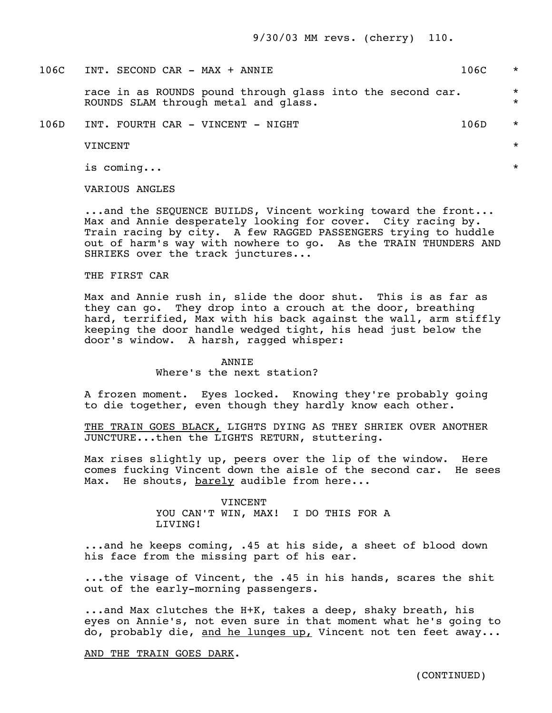| 106C | INT. SECOND CAR - MAX + ANNIE                                                                      | 106C | $\star$            |
|------|----------------------------------------------------------------------------------------------------|------|--------------------|
|      | race in as ROUNDS pound through glass into the second car.<br>ROUNDS SLAM through metal and glass. |      | $\star$<br>$\star$ |
| 106D | INT. FOURTH CAR - VINCENT - NIGHT                                                                  | 106D | $\star$            |
|      | VINCENT                                                                                            |      | $\star$            |
|      | is coming                                                                                          |      | $\star$            |

VARIOUS ANGLES

 ...and the SEQUENCE BUILDS, Vincent working toward the front... Max and Annie desperately looking for cover. City racing by. Train racing by city. A few RAGGED PASSENGERS trying to huddle out of harm's way with nowhere to go. As the TRAIN THUNDERS AND SHRIEKS over the track junctures...

### THE FIRST CAR

 Max and Annie rush in, slide the door shut. This is as far as they can go. They drop into a crouch at the door, breathing hard, terrified, Max with his back against the wall, arm stiffly keeping the door handle wedged tight, his head just below the door's window. A harsh, ragged whisper:

## **ANNTE** Where's the next station?

 A frozen moment. Eyes locked. Knowing they're probably going to die together, even though they hardly know each other.

 THE TRAIN GOES BLACK, LIGHTS DYING AS THEY SHRIEK OVER ANOTHER JUNCTURE...then the LIGHTS RETURN, stuttering.

 Max rises slightly up, peers over the lip of the window. Here comes fucking Vincent down the aisle of the second car. He sees Max. He shouts, barely audible from here...

> VINCENT YOU CAN'T WIN, MAX! I DO THIS FOR A LIVING!

 ...and he keeps coming, .45 at his side, a sheet of blood down his face from the missing part of his ear.

 ...the visage of Vincent, the .45 in his hands, scares the shit out of the early-morning passengers.

 ...and Max clutches the H+K, takes a deep, shaky breath, his eyes on Annie's, not even sure in that moment what he's going to do, probably die, and he lunges up, Vincent not ten feet away...

AND THE TRAIN GOES DARK.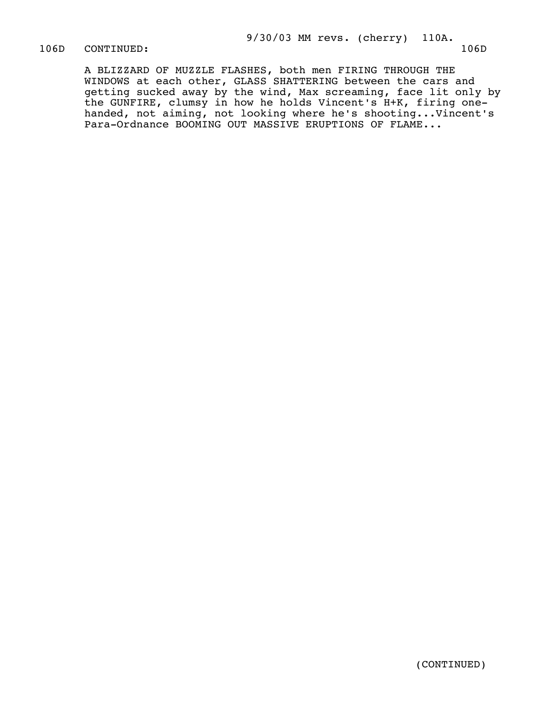106D CONTINUED: 106D

 A BLIZZARD OF MUZZLE FLASHES, both men FIRING THROUGH THE WINDOWS at each other, GLASS SHATTERING between the cars and getting sucked away by the wind, Max screaming, face lit only by the GUNFIRE, clumsy in how he holds Vincent's H+K, firing one handed, not aiming, not looking where he's shooting...Vincent's Para-Ordnance BOOMING OUT MASSIVE ERUPTIONS OF FLAME...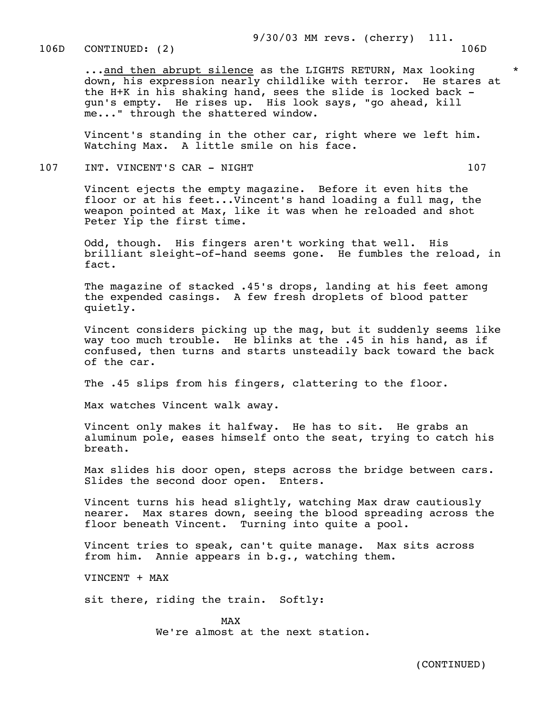...and then abrupt silence as the LIGHTS RETURN, Max looking down, his expression nearly childlike with terror. He stares at the H+K in his shaking hand, sees the slide is locked back gun's empty. He rises up. His look says, "go ahead, kill me..." through the shattered window.

 Vincent's standing in the other car, right where we left him. Watching Max. A little smile on his face.

107 INT. VINCENT'S CAR - NIGHT 107 107

 Vincent ejects the empty magazine. Before it even hits the floor or at his feet...Vincent's hand loading a full mag, the weapon pointed at Max, like it was when he reloaded and shot Peter Yip the first time.

 Odd, though. His fingers aren't working that well. His brilliant sleight-of-hand seems gone. He fumbles the reload, in fact.

 The magazine of stacked .45's drops, landing at his feet among the expended casings. A few fresh droplets of blood patter quietly.

 Vincent considers picking up the mag, but it suddenly seems like way too much trouble. He blinks at the .45 in his hand, as if confused, then turns and starts unsteadily back toward the back of the car.

The .45 slips from his fingers, clattering to the floor.

Max watches Vincent walk away.

 Vincent only makes it halfway. He has to sit. He grabs an aluminum pole, eases himself onto the seat, trying to catch his breath.

 Max slides his door open, steps across the bridge between cars. Slides the second door open. Enters.

 Vincent turns his head slightly, watching Max draw cautiously nearer. Max stares down, seeing the blood spreading across the floor beneath Vincent. Turning into quite a pool.

 Vincent tries to speak, can't quite manage. Max sits across from him. Annie appears in b.g., watching them.

VINCENT + MAX

sit there, riding the train. Softly:

MAX and the state of the state of the state of the state of the state of the state of the state of the state of the state of the state of the state of the state of the state of the state of the state of the state of the st We're almost at the next station.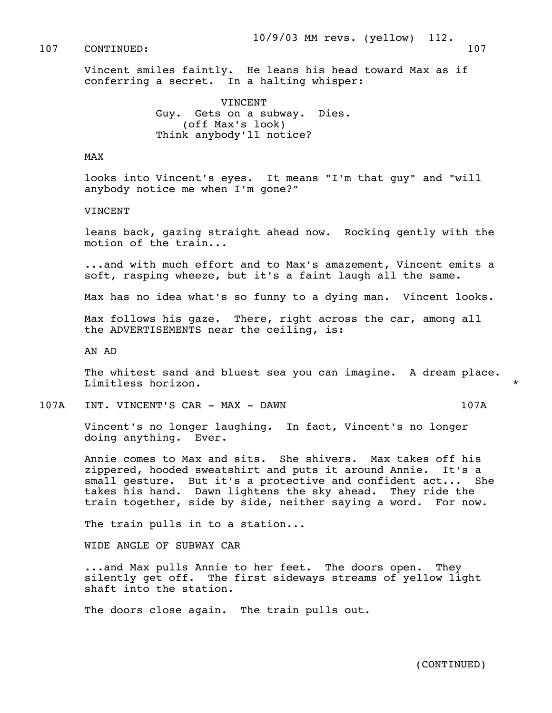107 CONTINUED: 107

 Vincent smiles faintly. He leans his head toward Max as if conferring a secret. In a halting whisper:

> **VINCENT**  Guy. Gets on a subway. Dies. (off Max's look) Think anybody'll notice?

### MAX

 looks into Vincent's eyes. It means "I'm that guy" and "will anybody notice me when I'm gone?"

#### VINCENT

 leans back, gazing straight ahead now. Rocking gently with the motion of the train...

 ...and with much effort and to Max's amazement, Vincent emits a soft, rasping wheeze, but it's a faint laugh all the same.

Max has no idea what's so funny to a dying man. Vincent looks.

 Max follows his gaze. There, right across the car, among all the ADVERTISEMENTS near the ceiling, is:

AN AD

The whitest sand and bluest sea you can imagine. A dream place. Limitless horizon.

107A INT. VINCENT'S CAR - MAX - DAWN 107A

 Vincent's no longer laughing. In fact, Vincent's no longer doing anything. Ever.

 Annie comes to Max and sits. She shivers. Max takes off his zippered, hooded sweatshirt and puts it around Annie. It's a small gesture. But it's a protective and confident act... She takes his hand. Dawn lightens the sky ahead. They ride the train together, side by side, neither saying a word. For now.

The train pulls in to a station...

WIDE ANGLE OF SUBWAY CAR

 ...and Max pulls Annie to her feet. The doors open. They silently get off. The first sideways streams of yellow light shaft into the station.

The doors close again. The train pulls out.